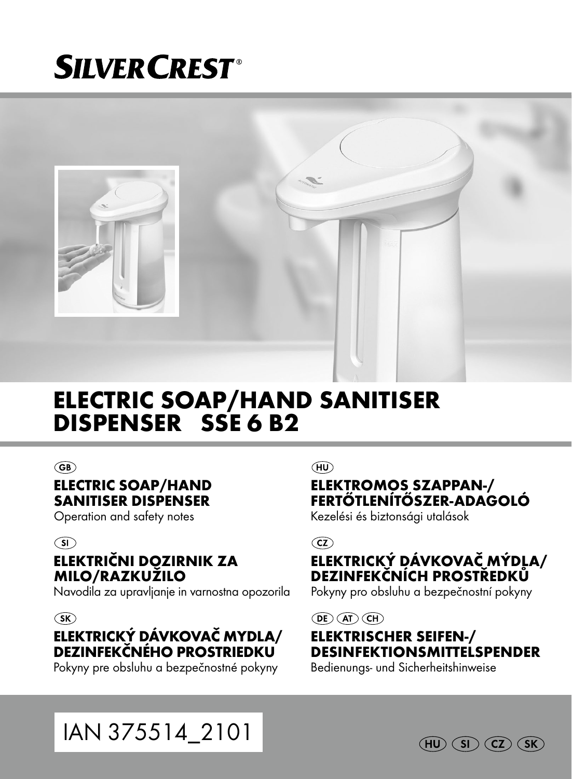# **SILVER CREST®**



### ELECTRIC SOAP/HAND SANITISER DISPENSER SSE 6 B2

#### $\widehat{\text{GB}}$

#### ELECTRIC SOAP/HAND SANITISER DISPENSER

Operation and safety notes

#### $\circ$

#### ELEKTRIČNI DOZIRNIK ZA MILO/RAZKUŽILO

Navodila za upravljanje in varnostna opozorila

#### $(SK)$

#### ELEKTRICKÝ DÁVKOVAČ MYDLA/ DEZINFEKČNÉHO PROSTRIEDKU

Pokyny pre obsluhu a bezpečnostné pokyny

(HU)

#### ELEKTROMOS SZAPPAN-/ FERTŐTLENÍTŐSZER-ADAGOLÓ

Kezelési és biztonsági utalások

 $\overline{c}z$ 

#### ELEKTRICKÝ DÁVKOVAČ MÝDLA/ DEZINFEKČNÍCH PROSTŘEDKŮ

Pokyny pro obsluhu a bezpečnostní pokyny

 $\overline{CD}$   $\overline{AD}$   $\overline{CH}$ 

#### ELEKTRISCHER SEIFEN-/ DESINFEKTIONSMITTELSPENDER

Bedienungs- und Sicherheitshinweise

IAN 375514\_2101

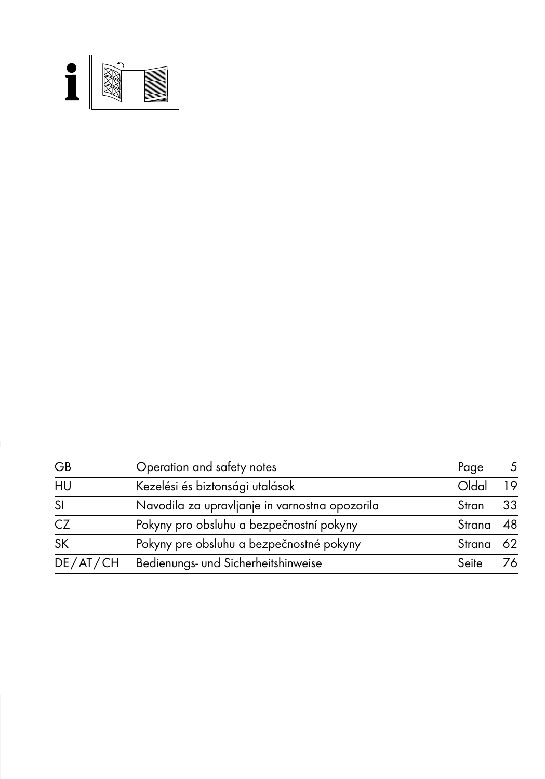

| GB            | Operation and safety notes                     | Page      | 5  |
|---------------|------------------------------------------------|-----------|----|
| HU            | Kezelési és biztonsági utalások                | Oldal     | 19 |
| <sub>SI</sub> | Navodila za upravljanje in varnostna opozorila | Stran     | 33 |
| CZ            | Pokyny pro obsluhu a bezpečnostní pokyny       | Strana 48 |    |
| <b>SK</b>     | Pokyny pre obsluhu a bezpečnostné pokyny       | Strana 62 |    |
| DE/AT/CH      | Bedienungs- und Sicherheitshinweise            | Seite     | 76 |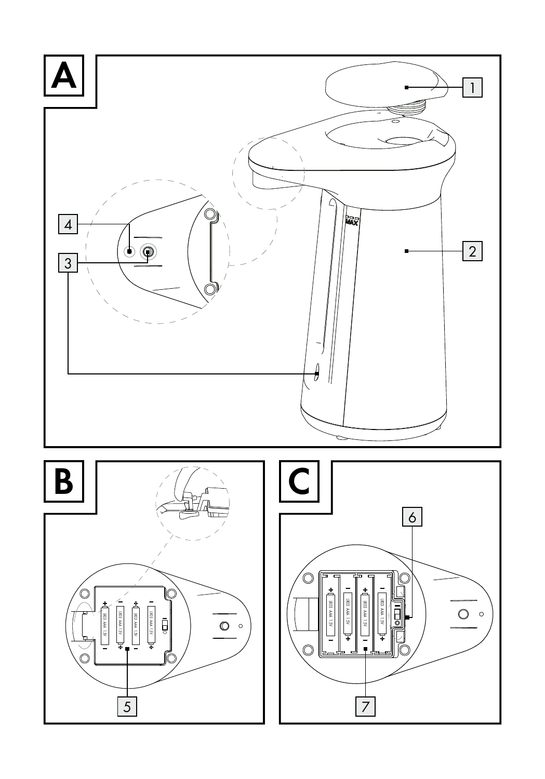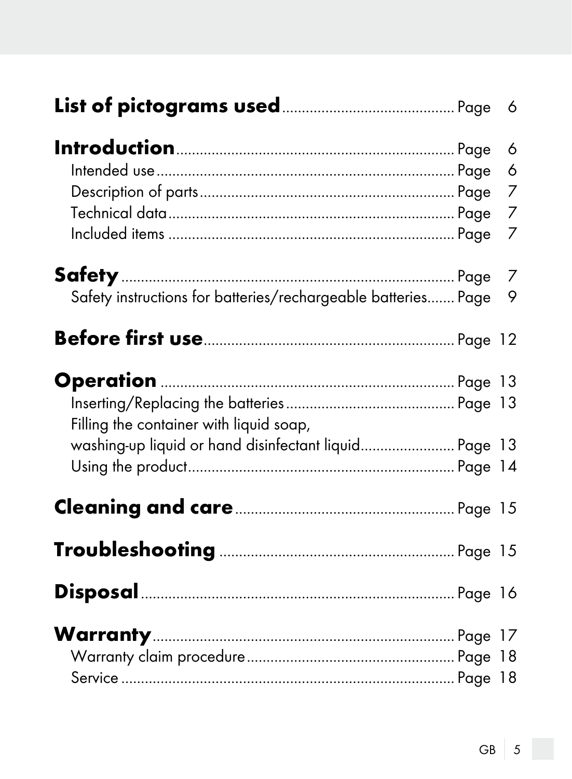|                                                                                                  | 6<br>6<br>7<br>7<br>7 |
|--------------------------------------------------------------------------------------------------|-----------------------|
| Safety instructions for batteries/rechargeable batteries Page 9                                  |                       |
|                                                                                                  |                       |
| Filling the container with liquid soap,<br>washing-up liquid or hand disinfectant liquid Page 13 |                       |
|                                                                                                  |                       |
|                                                                                                  |                       |
|                                                                                                  |                       |
|                                                                                                  |                       |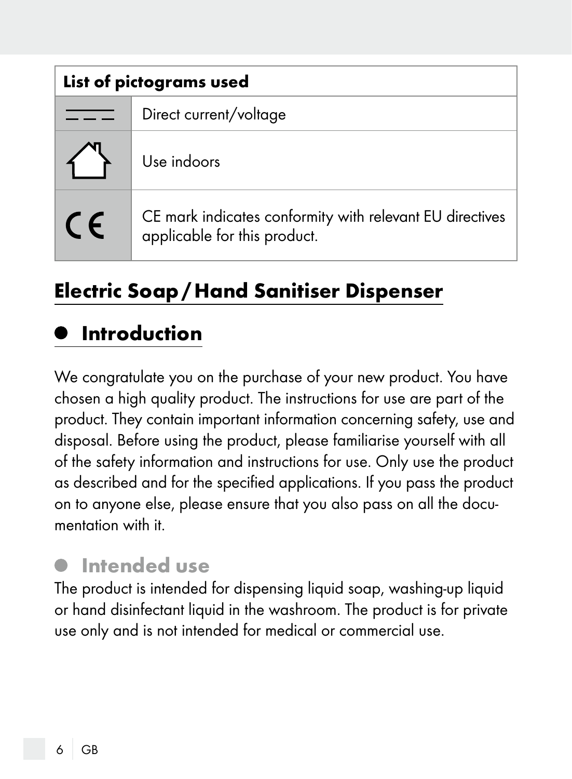| List of pictograms used |                                                                                          |
|-------------------------|------------------------------------------------------------------------------------------|
|                         | Direct current/voltage                                                                   |
|                         | Use indoors                                                                              |
| $\epsilon$              | CE mark indicates conformity with relevant EU directives<br>applicable for this product. |

## Electric Soap/Hand Sanitiser Dispenser

#### Introduction

We congratulate you on the purchase of your new product. You have chosen a high quality product. The instructions for use are part of the product. They contain important information concerning safety, use and disposal. Before using the product, please familiarise yourself with all of the safety information and instructions for use. Only use the product as described and for the specified applications. If you pass the product on to anyone else, please ensure that you also pass on all the documentation with it.

#### Intended use

The product is intended for dispensing liquid soap, washing-up liquid or hand disinfectant liquid in the washroom. The product is for private use only and is not intended for medical or commercial use.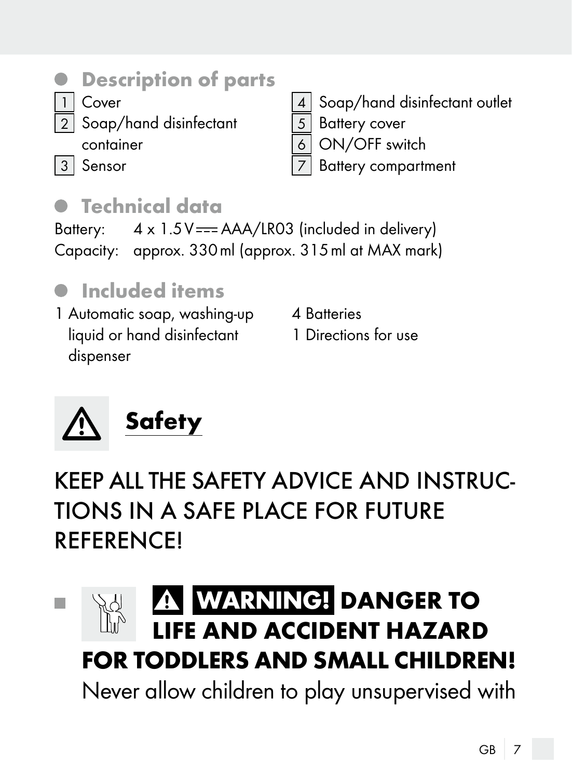

#### Description of parts

- Cover
	- Soap/hand disinfectant
		- container
- Soap/hand disinfectant outlet
- 5 Battery cover
- ON/OFF switch
- **Battery compartment**
- 3 Sensor
- Technical data

Battery:  $4 \times 1.5V = -AAA/LR03$  (included in delivery) Capacity: approx. 330ml (approx. 315ml at MAX mark)

## $\bullet$  Included items

1 Automatic soap, washing-up liquid or hand disinfectant dispenser

- 4 Batteries
	- 1 Directions for use



# KEEP ALL THE SAFETY ADVICE AND INSTRUC-TIONS IN A SAFE PLACE FOR FUTURE **REFERENCE!**

#### **WARNING! DANGER TO** m. **IFF AND ACCIDENT HAZARD** FOR TODDLERS AND SMALL CHILDREN! Never allow children to play unsupervised with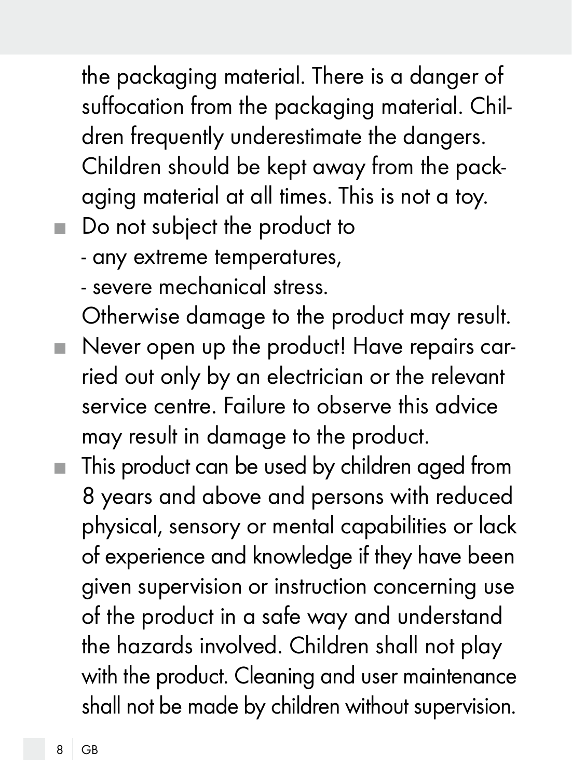the packaging material. There is a danger of suffocation from the packaging material. Children frequently underestimate the dangers. Children should be kept away from the packaging material at all times. This is not a toy.

- Do not subject the product to
	- any extreme temperatures,

- severe mechanical stress.

Otherwise damage to the product may result.

- Never open up the product! Have repairs carried out only by an electrician or the relevant service centre. Failure to observe this advice may result in damage to the product.
- This product can be used by children aged from 8 years and above and persons with reduced physical, sensory or mental capabilities or lack of experience and knowledge if they have been given supervision or instruction concerning use of the product in a safe way and understand the hazards involved. Children shall not play with the product. Cleaning and user maintenance shall not be made by children without supervision.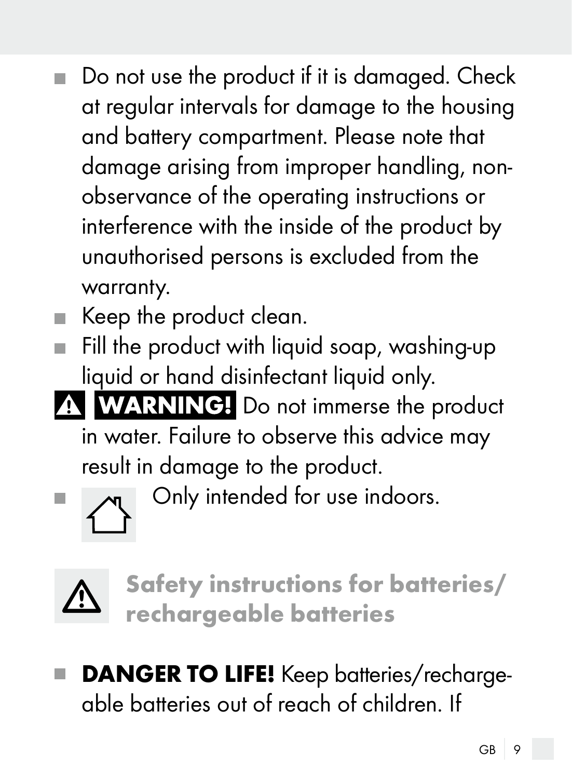- Do not use the product if it is damaged. Check  $\blacksquare$ at regular intervals for damage to the housing and battery compartment. Please note that damage arising from improper handling, nonobservance of the operating instructions or interference with the inside of the product by unauthorised persons is excluded from the warranty.
- Keep the product clean.
- $\blacksquare$  Fill the product with liquid soap, washing-up liquid or hand disinfectant liquid only.
- A **WARNING!** Do not immerse the product in water. Failure to observe this advice may result in damage to the product.



 $\blacksquare$   $\blacksquare$   $\blacksquare$   $\blacksquare$   $\blacksquare$   $\blacksquare$   $\blacksquare$   $\blacksquare$   $\blacksquare$   $\blacksquare$   $\blacksquare$   $\blacksquare$   $\blacksquare$   $\blacksquare$   $\blacksquare$   $\blacksquare$   $\blacksquare$   $\blacksquare$   $\blacksquare$   $\blacksquare$   $\blacksquare$   $\blacksquare$   $\blacksquare$   $\blacksquare$   $\blacksquare$   $\blacksquare$   $\blacksquare$   $\blacksquare$   $\blacksquare$   $\blacksquare$   $\blacksquare$   $\blacks$ 



Safety instructions for batteries/ rechargeable batteries

**DANGER TO LIFE!** Keep batteries/rechargeable batteries out of reach of children. If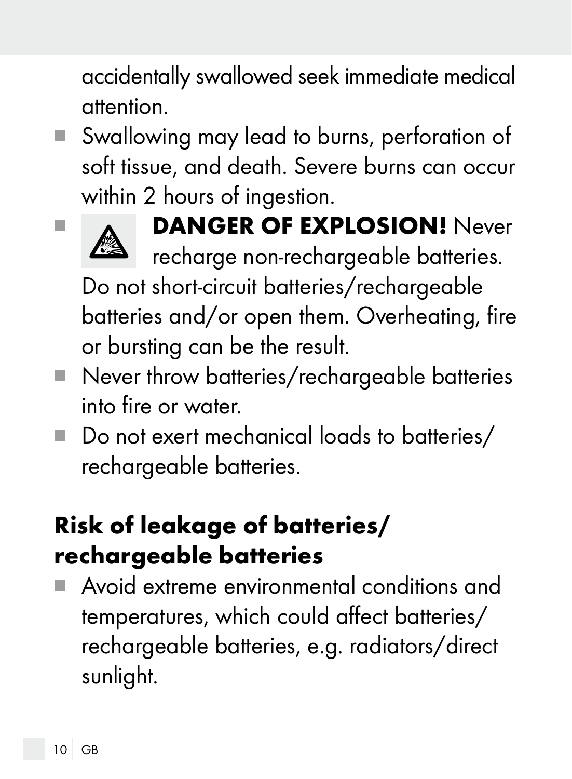accidentally swallowed seek immediate medical attention.

■ Swallowing may lead to burns, perforation of soft tissue, and death. Severe burns can occur within 2 hours of ingestion.



# **No. 6 DANGER OF EXPLOSION!** Never

recharge non-rechargeable batteries.

 Do not short-circuit batteries/rechargeable batteries and/or open them. Overheating, fire or bursting can be the result.

- Never throw batteries/rechargeable batteries into fire or water.
- Do not exert mechanical loads to batteries/ rechargeable batteries.

# Risk of leakage of batteries/ rechargeable batteries

 Avoid extreme environmental conditions and temperatures, which could affect batteries/ rechargeable batteries, e.g. radiators/direct sunlight.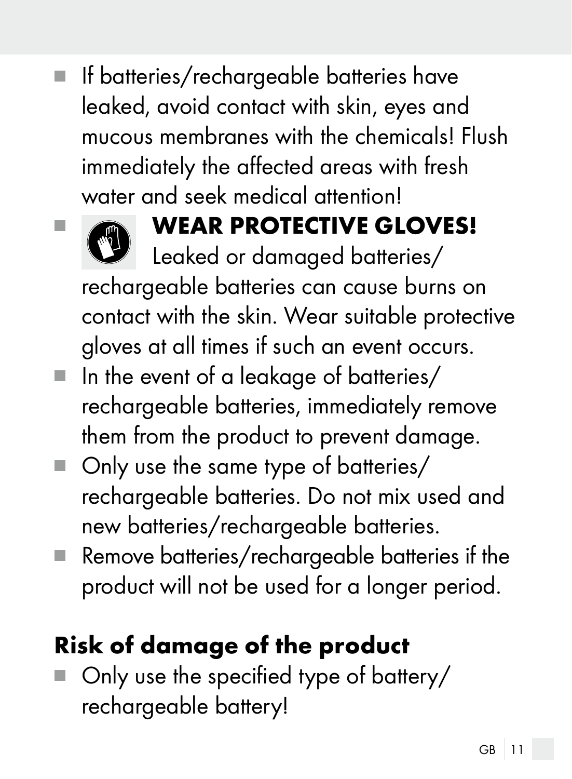$\blacksquare$  If batteries/rechargeable batteries have leaked, avoid contact with skin, eyes and mucous membranes with the chemicals! Flush immediately the affected areas with fresh water and seek medical attention!



# **EXAMPLE ARE WEAR PROTECTIVE GLOVES!**

Leaked or damaged batteries/ rechargeable batteries can cause burns on contact with the skin. Wear suitable protective gloves at all times if such an event occurs.

- $\blacksquare$  In the event of a leakage of batteries/ rechargeable batteries, immediately remove them from the product to prevent damage.
- Only use the same type of batteries/ rechargeable batteries. Do not mix used and new batteries/rechargeable batteries.
- Remove batteries/rechargeable batteries if the product will not be used for a longer period.

# Risk of damage of the product

■ Only use the specified type of battery/ rechargeable battery!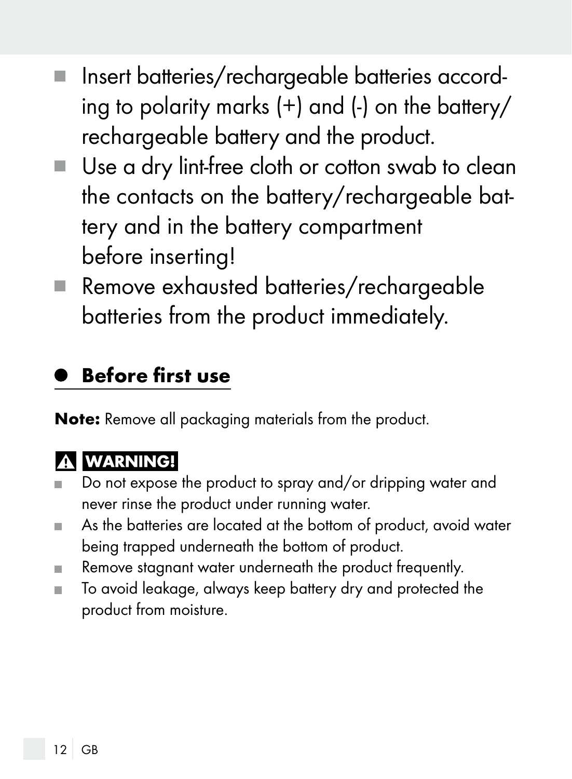- Insert batteries/rechargeable batteries according to polarity marks (+) and (-) on the battery/ rechargeable battery and the product.
- Use a dry lint-free cloth or cotton swab to clean the contacts on the battery/rechargeable battery and in the battery compartment before inserting!
- Remove exhausted batteries/rechargeable batteries from the product immediately.

## Before first use

Note: Remove all packaging materials from the product.

## **A WARNING!**

- Do not expose the product to spray and/or dripping water and never rinse the product under running water.
- As the batteries are located at the bottom of product, avoid water being trapped underneath the bottom of product.
- Remove stagnant water underneath the product frequently.
- To avoid leakage, always keep battery dry and protected the product from moisture.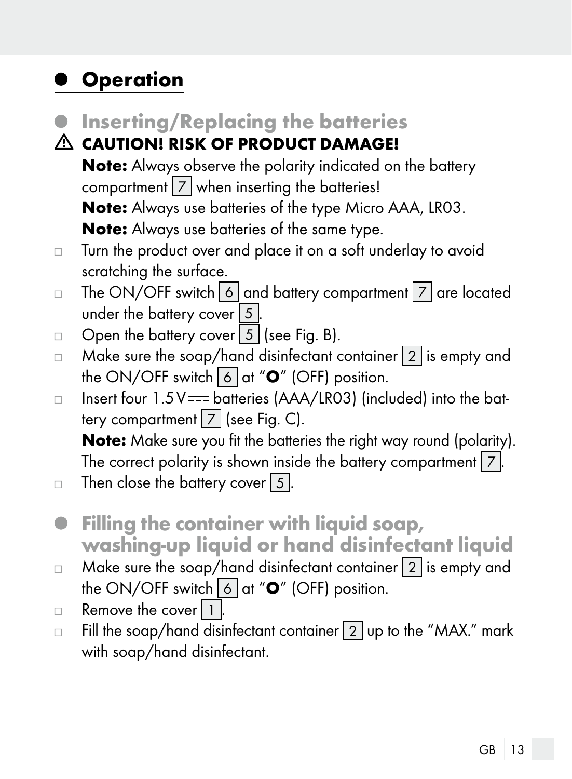### **Operation**

- **Inserting/Replacing the batteries**
- CAUTION! RISK OF PRODUCT DAMAGE! Note: Always observe the polarity indicated on the battery compartment  $\boxed{7}$  when inserting the batteries! Note: Always use batteries of the type Micro AAA, LR03. Note: Always use batteries of the same type.
- Turn the product over and place it on a soft underlay to avoid  $\Box$ scratching the surface.
- The ON/OFF switch  $\boxed{6}$  and battery compartment  $\boxed{7}$  are located  $\Box$ under the battery cover  $\boxed{5}$ .
- Open the battery cover  $\boxed{5}$  (see Fig. B).  $\Box$
- Make sure the soap/hand disinfectant container  $\boxed{2}$  is empty and  $\Box$ the ON/OFF switch  $\boxed{6}$  at " $\mathbf{O}''$  (OFF) position.
- Insert four  $1.5V =$  batteries (AAA/LR03) (included) into the bat- $\Box$ tery compartment  $\boxed{7}$  (see Fig. C).

Note: Make sure you fit the batteries the right way round (polarity). The correct polarity is shown inside the battery compartment  $\boxed{7}$ .

- Then close the battery cover  $\vert 5 \vert$ .  $\Box$
- Filling the container with liquid soap,  $\bullet$ washing-up liquid or hand disinfectant liquid
- $\Box$  Make sure the soap/hand disinfectant container  $\boxed{2}$  is empty and the ON/OFF switch  $\boxed{6}$  at " $\mathbf{O}$ " (OFF) position.
- Remove the cover  $|1|$ .  $\Box$
- Fill the soap/hand disinfectant container  $\boxed{2}$  up to the "MAX." mark  $\Box$ with soap/hand disinfectant.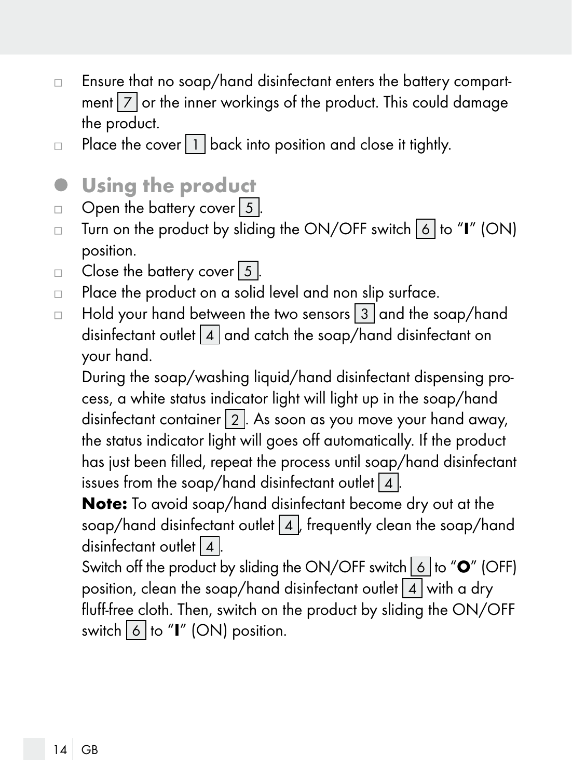- □ Ensure that no soap/hand disinfectant enters the battery compartment  $\boxed{7}$  or the inner workings of the product. This could damage the product.
- Place the cover  $\boxed{1}$  back into position and close it tightly.  $\Box$
- Using the product  $\bullet$
- Open the battery cover  $\boxed{5}$ .  $\Box$
- Turn on the product by sliding the ON/OFF switch  $\boxed{6}$  to "I" (ON)  $\Box$ position.
- Close the battery cover  $5$ .  $\Box$
- Place the product on a solid level and non slip surface.  $\Box$
- Hold your hand between the two sensors  $\boxed{3}$  and the soap/hand  $\Box$ disinfectant outlet 4 and catch the soap/hand disinfectant on your hand.

 During the soap/washing liquid/hand disinfectant dispensing process, a white status indicator light will light up in the soap/hand disinfectant container  $\boxed{2}$ . As soon as you move your hand away, the status indicator light will goes off automatically. If the product has just been filled, repeat the process until soap/hand disinfectant issues from the soap/hand disinfectant outlet  $\boxed{4}$  .

 Note: To avoid soap/hand disinfectant become dry out at the soap/hand disinfectant outlet 4, frequently clean the soap/hand disinfectant outlet  $4$ .

Switch off the product by sliding the ON/OFF switch  $\overline{6}$  to " $\overline{O}$ " (OFF) position, clean the soap/hand disinfectant outlet  $\boxed{4}$  with a dry fluff-free cloth. Then, switch on the product by sliding the ON/OFF switch 6 to "I" (ON) position.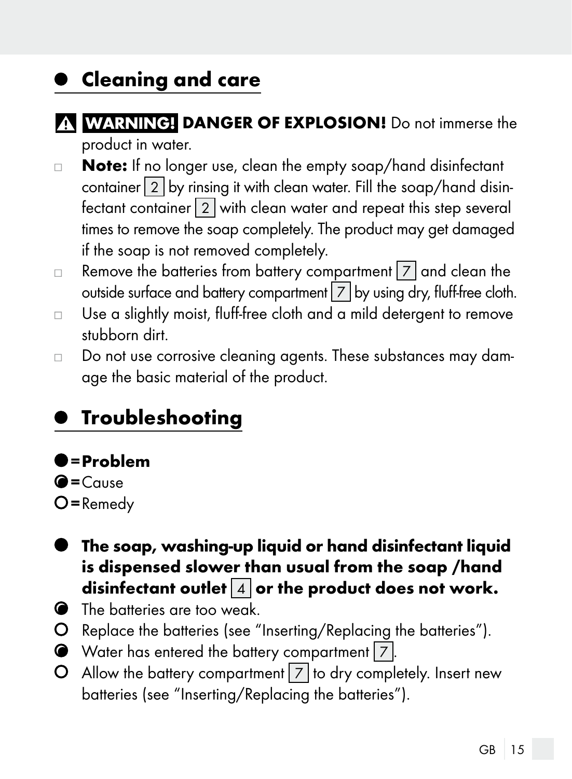## **• Cleaning and care**

- **ANGER OF EXPLOSION!** Do not immerse the product in water.
- Note: If no longer use, clean the empty soap/hand disinfectant  $\Box$ container  $\boxed{2}$  by rinsing it with clean water. Fill the soap/hand disinfectant container 2 with clean water and repeat this step several times to remove the soap completely. The product may get damaged if the soap is not removed completely.
- Remove the batteries from battery compartment  $\boxed{7}$  and clean the  $\Box$ outside surface and battery compartment  $\boxed{7}$  by using dry, fluff-free cloth.
- Use a slightly moist, fluff-free cloth and a mild detergent to remove  $\Box$ stubborn dirt.
- Do not use corrosive cleaning agents. These substances may dam- $\Box$ age the basic material of the product.

## Troubleshooting

#### $\bullet$  = Problem

- $\bigcirc$  = Cause
- $O$  = Remedy
- The soap, washing-up liquid or hand disinfectant liquid is dispensed slower than usual from the soap /hand disinfectant outlet  $\boxed{4}$  or the product does not work.
- The batteries are too weak.
- Replace the batteries (see "Inserting/Replacing the batteries").
- Water has entered the battery compartment  $\boxed{7}$ .
- $\Omega$  Allow the battery compartment  $|z|$  to dry completely. Insert new batteries (see "Inserting/Replacing the batteries").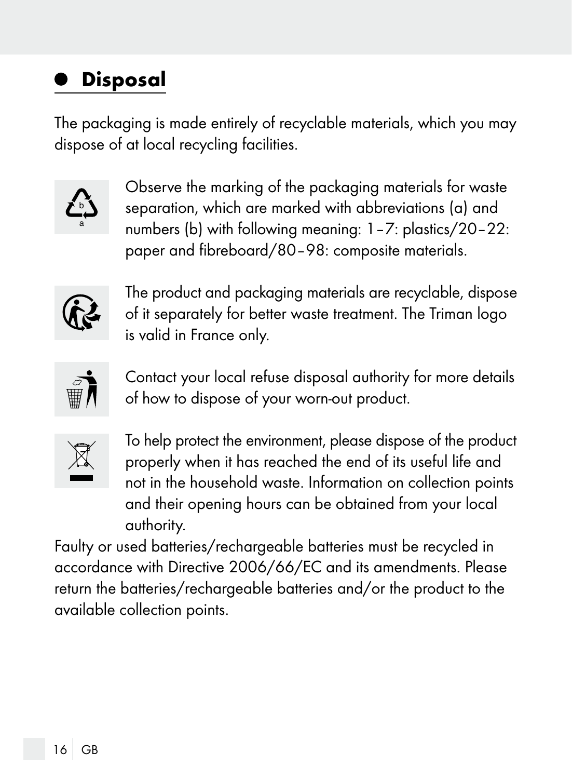# Disposal

The packaging is made entirely of recyclable materials, which you may dispose of at local recycling facilities.



Observe the marking of the packaging materials for waste separation, which are marked with abbreviations (a) and numbers (b) with following meaning: 1–7: plastics/20–22: paper and fibreboard/80–98: composite materials.



The product and packaging materials are recyclable, dispose of it separately for better waste treatment. The Triman logo is valid in France only.



Contact your local refuse disposal authority for more details of how to dispose of your worn-out product.



To help protect the environment, please dispose of the product properly when it has reached the end of its useful life and not in the household waste. Information on collection points and their opening hours can be obtained from your local authority.

Faulty or used batteries/rechargeable batteries must be recycled in accordance with Directive 2006/66/EC and its amendments. Please return the batteries/rechargeable batteries and/or the product to the available collection points.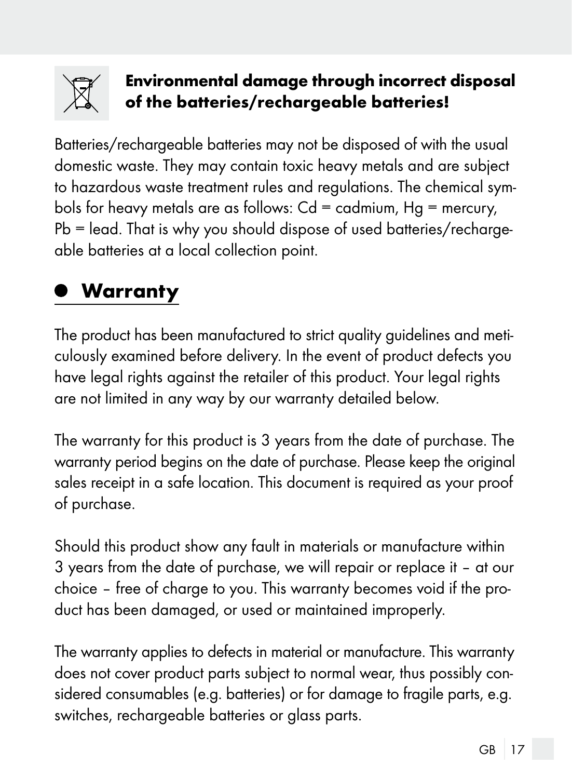

#### Environmental damage through incorrect disposal of the batteries/rechargeable batteries!

Batteries/rechargeable batteries may not be disposed of with the usual domestic waste. They may contain toxic heavy metals and are subject to hazardous waste treatment rules and regulations. The chemical symbols for heavy metals are as follows:  $Cd = cadmium$ ,  $Hg = mercury$ , Pb = lead. That is why you should dispose of used batteries/rechargeable batteries at a local collection point.

## Warranty

The product has been manufactured to strict quality guidelines and meticulously examined before delivery. In the event of product defects you have legal rights against the retailer of this product. Your legal rights are not limited in any way by our warranty detailed below.

The warranty for this product is 3 years from the date of purchase. The warranty period begins on the date of purchase. Please keep the original sales receipt in a safe location. This document is required as your proof of purchase.

Should this product show any fault in materials or manufacture within 3 years from the date of purchase, we will repair or replace it – at our choice – free of charge to you. This warranty becomes void if the product has been damaged, or used or maintained improperly.

The warranty applies to defects in material or manufacture. This warranty does not cover product parts subject to normal wear, thus possibly considered consumables (e.g. batteries) or for damage to fragile parts, e.g. switches, rechargeable batteries or glass parts.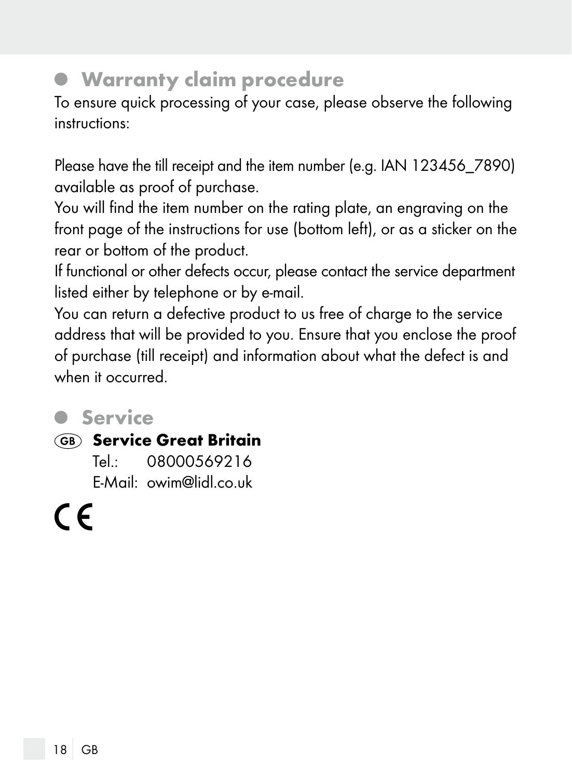#### Warranty claim procedure

To ensure quick processing of your case, please observe the following instructions:

Please have the till receipt and the item number (e.g. IAN 123456\_7890) available as proof of purchase.

You will find the item number on the rating plate, an engraving on the front page of the instructions for use (bottom left), or as a sticker on the rear or bottom of the product.

If functional or other defects occur, please contact the service department listed either by telephone or by e-mail.

You can return a defective product to us free of charge to the service address that will be provided to you. Ensure that you enclose the proof of purchase (till receipt) and information about what the defect is and when it occurred.

#### Service

#### **GB** Service Great Britain

Tel.: 08000569216 E-Mail: owim@lidl.co.uk

( F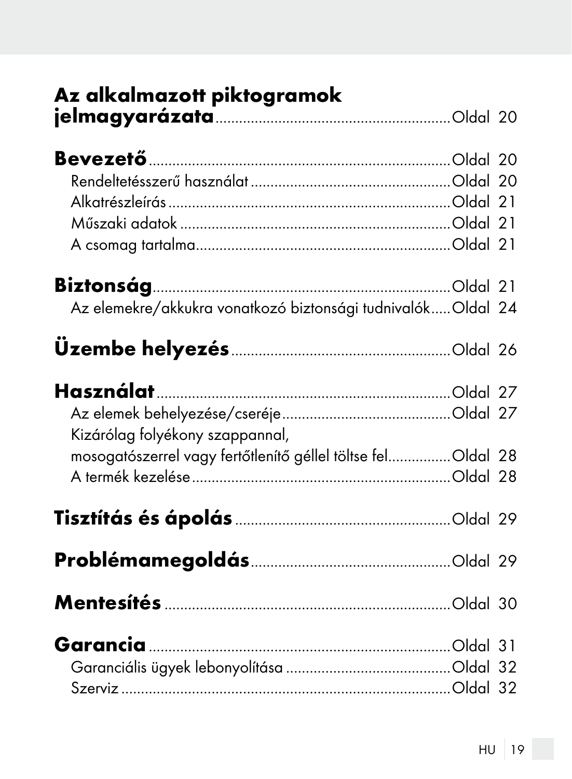| Az alkalmazott piktogramok                                  |  |
|-------------------------------------------------------------|--|
|                                                             |  |
| Az elemekre/akkukra vonatkozó biztonsági tudnivalókOldal 24 |  |
|                                                             |  |
| Kizárólag folyékony szappannal,                             |  |
| mosogatószerrel vagy fertőtlenítő géllel töltse felOldal 28 |  |
|                                                             |  |
|                                                             |  |
|                                                             |  |
|                                                             |  |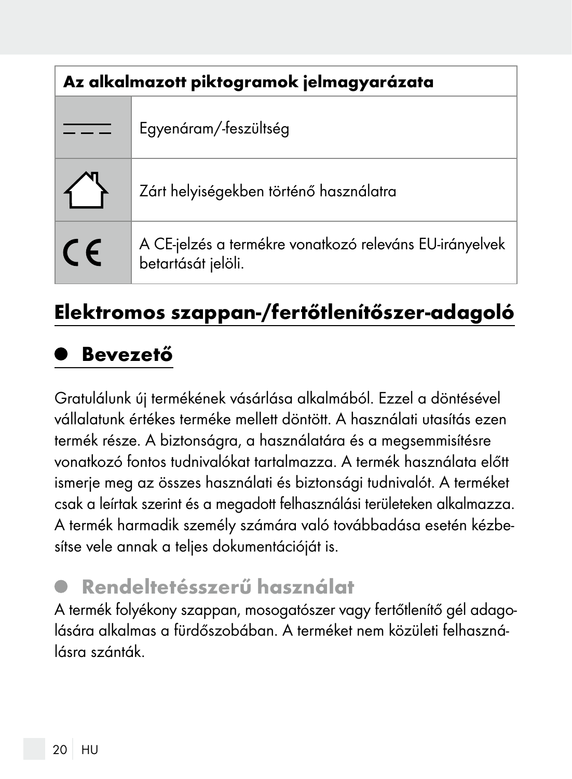| Az alkalmazott piktogramok jelmagyarázata |                                                                               |
|-------------------------------------------|-------------------------------------------------------------------------------|
|                                           | Egyenáram/-feszültség                                                         |
|                                           | Zárt helyiségekben történő használatra                                        |
| $\epsilon$                                | A CE-jelzés a termékre vonatkozó releváns EU-irányelvek<br>betartását jelöli. |

## Elektromos szappan-/fertőtlenítőszer-adagoló

### Bevezető

Gratulálunk új termékének vásárlása alkalmából. Ezzel a döntésével vállalatunk értékes terméke mellett döntött. A használati utasítás ezen termék része. A biztonságra, a használatára és a megsemmisítésre vonatkozó fontos tudnivalókat tartalmazza. A termék használata előtt ismerje meg az összes használati és biztonsági tudnivalót. A terméket csak a leírtak szerint és a megadott felhasználási területeken alkalmazza. A termék harmadik személy számára való továbbadása esetén kézbesítse vele annak a teljes dokumentációját is.

### Rendeltetésszerű használat

A termék folyékony szappan, mosogatószer vagy fertőtlenítő gél adagolására alkalmas a fürdőszobában. A terméket nem közületi felhasználásra szánták.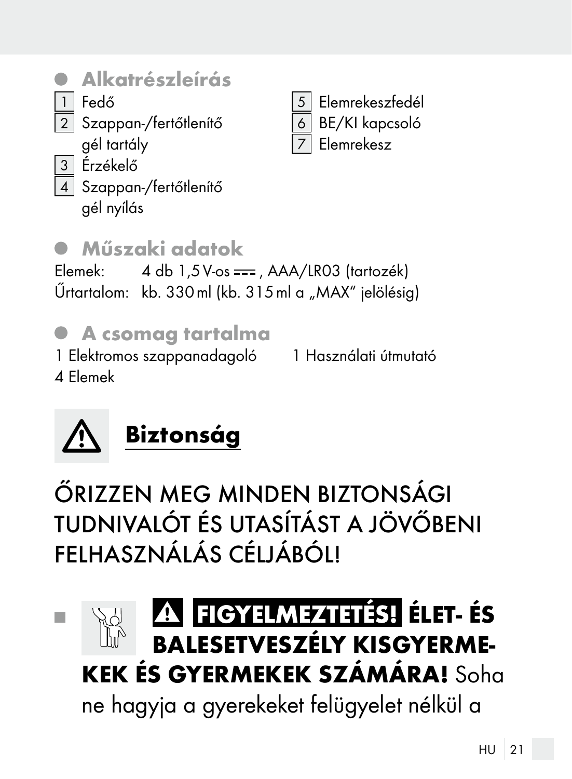- Alkatrészleírás
- 1 Fedő

2 Szappan-/fertőtlenítő

- gél tartály
- 3 Érzékelő
- $\mid$  Szappan-/fertőtlenítő
	- gél nyílás

## Műszaki adatok

Elemek:  $4 \text{ db } 1.5 \text{ V-os} ==$ , AAA/LR03 (tartozék) Űrtartalom: kb. 330 ml (kb. 315 ml a "MAX" jelölésig)

**Elemrekeszfedél** 6 BE/KI kapcsoló 7 Elemrekesz

# A csomag tartalma

1 Elektromos szappanadagoló 4 Elemek 1 Használati útmutató



ŐRIZZEN MEG MINDEN BIZTONSÁGI TUDNIVALÓT ÉS UTASÍTÁST A JÖVŐBENI FELHASZNÁLÁS CÉLJÁBÓL!

# FIGYELMEZTETÉS! ÉLET-ÉS **Tall BALESETVESZÉLY KISGYERME-**KEK ÉS GYERMEKEK SZÁMÁRA! Soha

ne hagyja a gyerekeket felügyelet nélkül a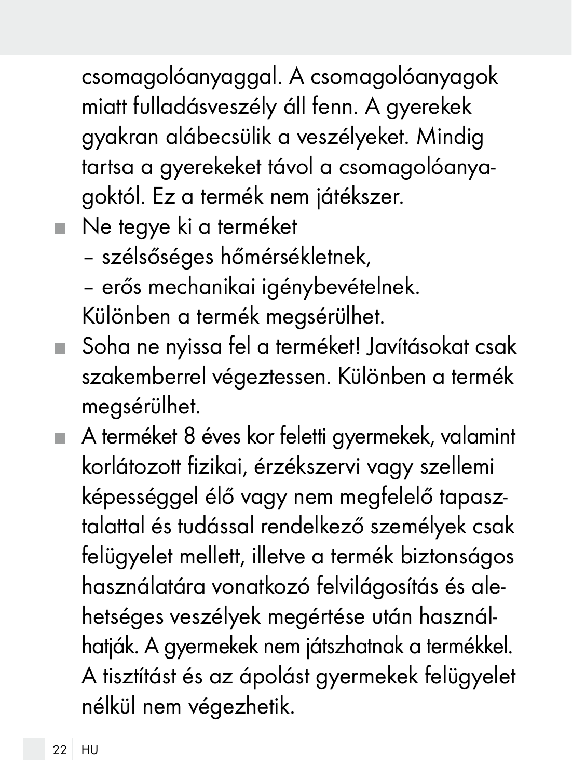csomagolóanyaggal. A csomagolóanyagok miatt fulladásveszély áll fenn. A gyerekek gyakran alábecsülik a veszélyeket. Mindig tartsa a gyerekeket távol a csomagolóanyagoktól. Ez a termék nem játékszer.

- Ne tegye ki a terméket
	- szélsőséges hőmérsékletnek,
	- erős mechanikai igénybevételnek.

Különben a termék megsérülhet.

- Soha ne nyissa fel a terméket! Javításokat csak szakemberrel végeztessen. Különben a termék megsérülhet.
- A terméket 8 éves kor feletti gyermekek, valamint korlátozott fizikai, érzékszervi vagy szellemi képességgel élő vagy nem megfelelő tapasztalattal és tudással rendelkező személyek csak felügyelet mellett, illetve a termék biztonságos használatára vonatkozó felvilágosítás és alehetséges veszélyek megértése után használhatják. A gyermekek nem játszhatnak a termékkel. A tisztítást és az ápolást gyermekek felügyelet nélkül nem végezhetik.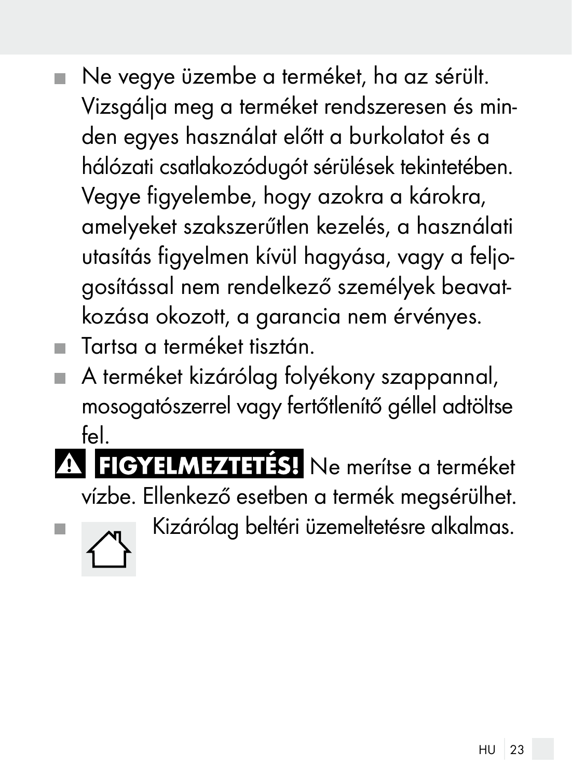- Ne vegye üzembe a terméket, ha az sérült.  $\mathbf{r}$ Vizsgálja meg a terméket rendszeresen és minden egyes használat előtt a burkolatot és a hálózati csatlakozódugót sérülések tekintetében. Vegye figyelembe, hogy azokra a károkra, amelyeket szakszerűtlen kezelés, a használati utasítás figyelmen kívül hagyása, vagy a feljogosítással nem rendelkező személyek beavatkozása okozott, a garancia nem érvényes.
- Tartsa a terméket tisztán.
- A terméket kizárólag folyékony szappannal, mosogatószerrel vagy fertőtlenítő géllel adtöltse fel.
- FIGYELMEZTETÉS! Ne merítse a terméket vízbe. Ellenkező esetben a termék megsérülhet.



 $\blacksquare$   $\blacksquare$  Kizárólag beltéri üzemeltetésre alkalmas.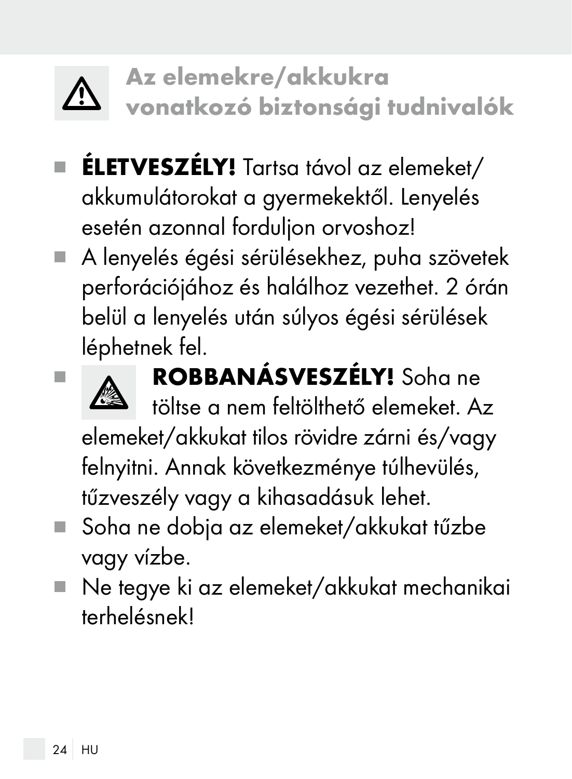

- ÉLETVESZÉLY! Tartsa távol az elemeket/ akkumulátorokat a gyermekektől. Lenyelés esetén azonnal forduljon orvoshoz!
- A lenyelés égési sérülésekhez, puha szövetek perforációjához és halálhoz vezethet. 2 órán belül a lenyelés után súlyos égési sérülések léphetnek fel.



**ROBBANÁSVESZÉLY!** Soha ne

töltse a nem feltölthető elemeket. Az elemeket/akkukat tilos rövidre zárni és/vagy felnyitni. Annak következménye túlhevülés, tűzveszély vagy a kihasadásuk lehet.

- Soha ne dobja az elemeket/akkukat tűzbe vagy vízbe.
- Ne tegye ki az elemeket/akkukat mechanikai terhelésnek!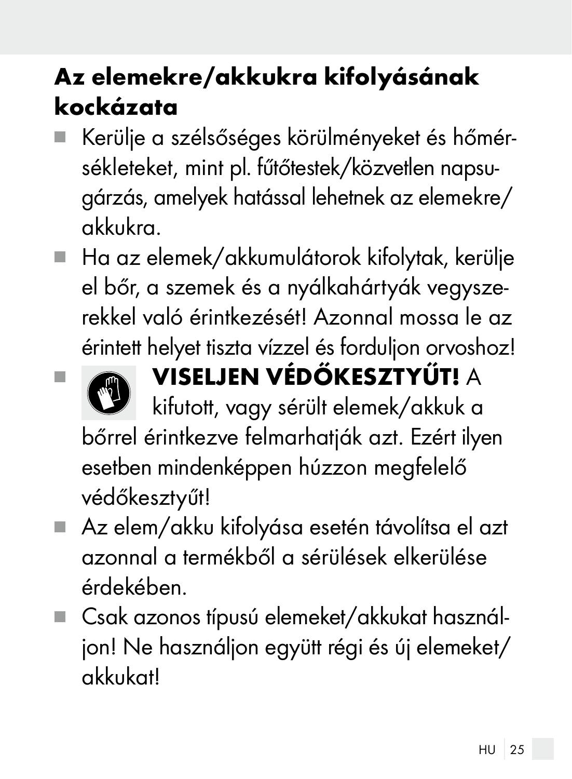# Az elemekre/akkukra kifolyásának kockázata

- Kerülje a szélsőséges körülményeket és hőmérsékleteket, mint pl. fűtőtestek/közvetlen napsugárzás, amelyek hatással lehetnek az elemekre/ akkukra.
- $\blacksquare$  Ha az elemek/akkumulátorok kifolytak, kerülje el bőr, a szemek és a nyálkahártyák vegyszerekkel való érintkezését! Azonnal mossa le az érintett helyet tiszta vízzel és forduljon orvoshoz!



# VISELJEN VÉDŐKESZTYŰT! A

kifutott, vagy sérült elemek/akkuk a bőrrel érintkezve felmarhatják azt. Ezért ilyen esetben mindenképpen húzzon megfelelő védőkesztyűt!

- Az elem/akku kifolyása esetén távolítsa el azt azonnal a termékből a sérülések elkerülése érdekében.
- Csak azonos típusú elemeket/akkukat használjon! Ne használjon együtt régi és új elemeket/ akkukat!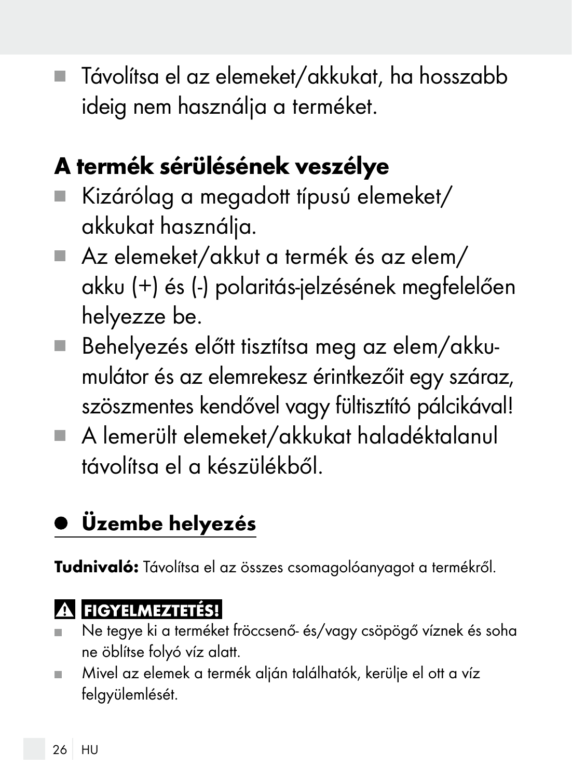Távolítsa el az elemeket/akkukat, ha hosszabb ideig nem használja a terméket.

# A termék sérülésének veszélye

- Kizárólag a megadott típusú elemeket/ akkukat használja.
- Az elemeket/akkut a termék és az elem/ akku (+) és (-) polaritás-jelzésének megfelelően helyezze be.
- Behelyezés előtt tisztítsa meg az elem/akkumulátor és az elemrekesz érintkezőit egy száraz, szöszmentes kendővel vagy fültisztító pálcikával!
- A lemerült elemeket/akkukat haladéktalanul távolítsa el a készülékből.

# Üzembe helyezés

Tudnivaló: Távolítsa el az összes csomagolóanyagot a termékről.

#### **A FIGYELMEZTETÉS!**

- Ne tegye ki a terméket fröccsenő- és/vagy csöpögő víznek és soha ne öblítse folyó víz alatt.
- Mivel az elemek a termék alján találhatók, kerülje el ott a víz ш felgyülemlését.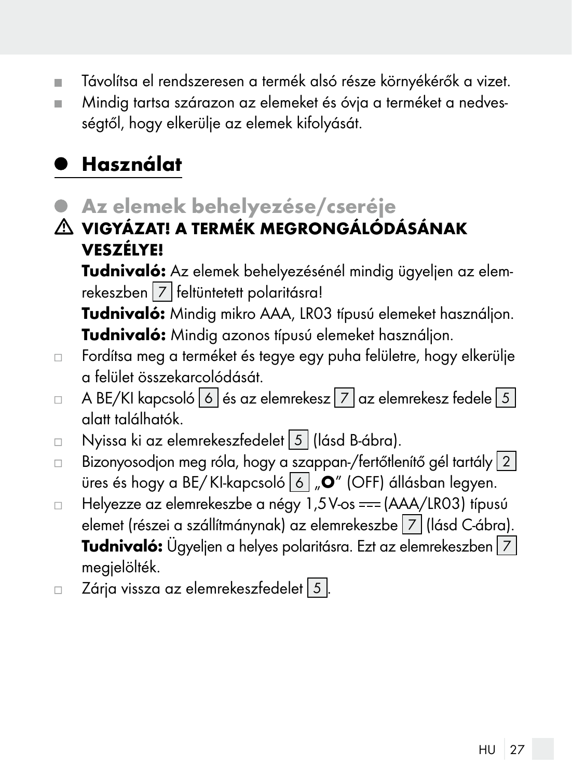- Távolítsa el rendszeresen a termék alsó része környékérők a vizet.
- Mindig tartsa szárazon az elemeket és óvja a terméket a nedvességtől, hogy elkerülje az elemek kifolyását.

### Használat

- Az elemek behelyezése/cseréje
- VIGYÁZAT! A TERMÉK MEGRONGÁLÓDÁSÁNAK VESZÉLYE!

 Tudnivaló: Az elemek behelyezésénél mindig ügyeljen az elemrekeszben 7 feltüntetett polaritásra!

Tudnivaló: Mindig mikro AAA, LR03 típusú elemeket használjon. Tudnivaló: Mindig azonos típusú elemeket használjon.

- □ Fordítsa meg a terméket és tegye egy puha felületre, hogy elkerülje a felület összekarcolódását.
- A BE/KI kapcsoló 6 és az elemrekesz 7 az elemrekesz fedele 5  $\Box$ alatt találhatók.
- Nyissa ki az elemrekeszfedelet 5 (lásd B-ábra).  $\Box$
- $\Box$  Bizonyosodjon meg róla, hogy a szappan-/fertőtlenítő gél tartály  $\boxed{2}$ üres és hogy a BE/KI-kapcsoló 6  $\sqrt{a}$  (OFF) állásban legyen.
- □ Helyezze az elemrekeszbe a négy 1,5V-os === (AAA/LR03) típusú elemet (részei a szállítmánynak) az elemrekeszbe  $7$  (lásd C-ábra). Tudnivaló: Ügyeljen a helyes polaritásra. Ezt az elemrekeszben  $|7|$ megjelölték.
- $\Box$  Zárja vissza az elemrekeszfedelet  $\Box$  5  $\Box$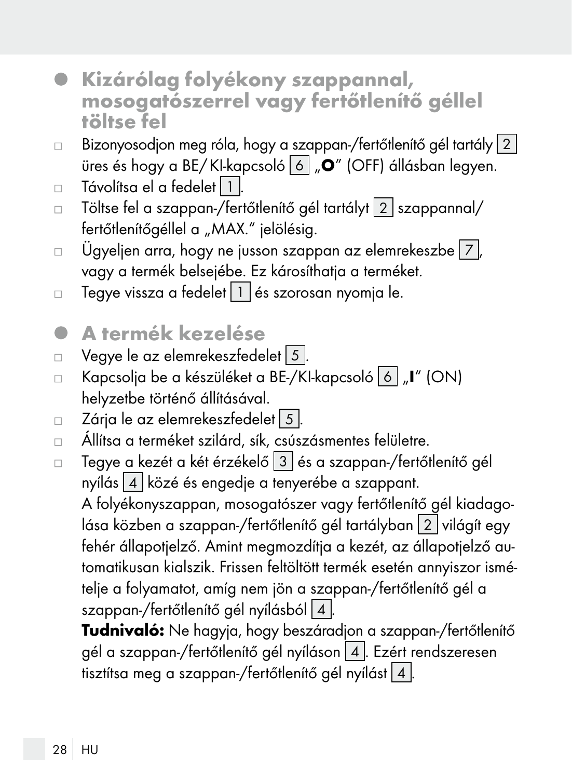- Kizárólag folyékony szappannal, mosogatószerrel vagy fertőtlenítő géllel töltse fel
- $\Box$  Bizonyosodjon meg róla, hogy a szappan-/fertőtlenítő gél tartály 2 üres és hogy a BE/KI-kapcsoló 6 "O" (OFF) állásban legyen.
- Távolítsa el a fedelet 11.  $\Box$
- $\Box$  Töltse fel a szappan-/fertőtlenítő gél tartályt  $\boxed{2}$  szappannal/ fertőtlenítőgéllel a "MAX." jelölésig.
- $\Box$  Ügyeljen arra, hogy ne jusson szappan az elemrekeszbe  $|7|$ , vagy a termék belsejébe. Ez károsíthatia a terméket.
- Tegye vissza a fedelet 1 és szorosan nyomja le.  $\Box$

#### A termék kezelése ۰

- Vegye le az elemrekeszfedelet 5.  $\Box$
- Kapcsolja be a készüléket a BE-/KI-kapcsoló 6 "I" (ON)  $\Box$ helyzetbe történő állításával.
- Zárja le az elemrekeszfedelet 5.  $\Box$
- Állítsa a terméket szilárd, sík, csúszásmentes felületre.
- $\Box$  Tegye a kezét a két érzékelő  $\vert 3 \vert$  és a szappan-/fertőtlenítő gél nyílás  $4$  közé és engedje a tenyerébe a szappant. A folyékonyszappan, mosogatószer vagy fertőtlenítő gél kiadagolása közben a szappan-/fertőtlenítő gél tartályban  $2$  világít egy fehér állapotjelző. Amint megmozdítja a kezét, az állapotjelző automatikusan kialszik. Frissen feltöltött termék esetén annyiszor ismételje a folyamatot, amíg nem jön a szappan-/fertőtlenítő gél a szappan-/fertőtlenítő gél nyílásból  $\boxed{4}$ .

Tudnivaló: Ne hagyja, hogy beszáradjon a szappan-/fertőtlenítő gél a szappan-/fertőtlenítő gél nyíláson 4 . Ezért rendszeresen tisztítsa meg a szappan-/fertőtlenítő gél nyílást  $4$ .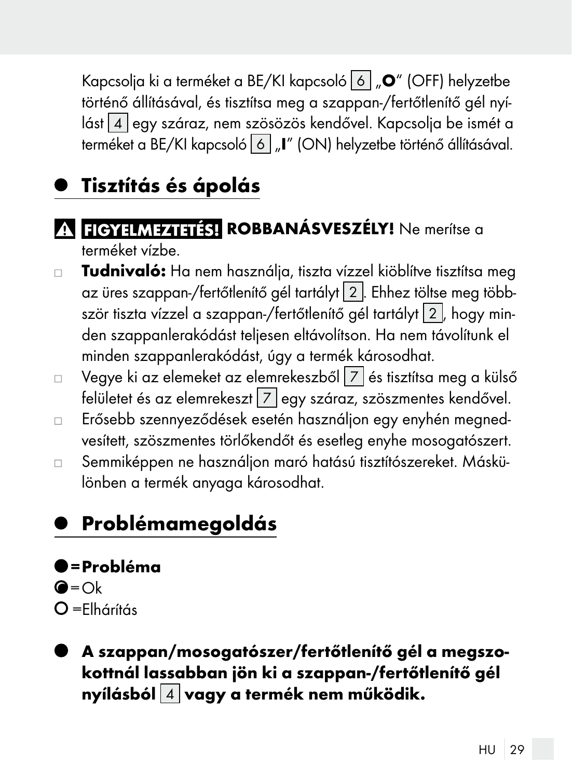Kapcsolja ki a terméket a BE/KI kapcsoló  $\boxed{6}$  " $\boxed{0}$ " (OFF) helyzetbe történő állításával, és tisztítsa meg a szappan-/fertőtlenítő gél nyílást 4 egy száraz, nem szösözös kendővel. Kapcsolja be ismét a terméket a BE/KI kapcsoló 6 "I" (ON) helyzetbe történő állításával.

### Tisztítás és ápolás

#### **RUBBANÁSVESZÉLY!** Ne merítse a terméket vízbe.

- Tudnivaló: Ha nem használja, tiszta vízzel kiöblítve tisztítsa meg  $\Box$ az üres szappan-/fertőtlenítő gél tartályt 2 . Ehhez töltse meg többször tiszta vízzel a szappan-/fertőtlenítő gél tartályt 2 , hogy minden szappanlerakódást teljesen eltávolítson. Ha nem távolítunk el minden szappanlerakódást, úgy a termék károsodhat.
- Vegye ki az elemeket az elemrekeszből 7 és tisztítsa meg a külső  $\Box$ felületet és az elemrekeszt 7 egy száraz, szöszmentes kendővel.
- Erősebb szennyeződések esetén használjon egy enyhén megnedvesített, szöszmentes törlőkendőt és esetleg enyhe mosogatószert.
- Semmiképpen ne használjon maró hatású tisztítószereket. Máskü- $\Box$ lönben a termék anyaga károsodhat.

### Problémamegoldás

- $=$  Probléma  $\bigcirc$ =Ok  $O =$ Elhárítás
- A szappan/mosogatószer/fertőtlenítő gél a megszokottnál lassabban jön ki a szappan-/fertőtlenítő gél nyílásból  $\boxed{4}$  vagy a termék nem működik.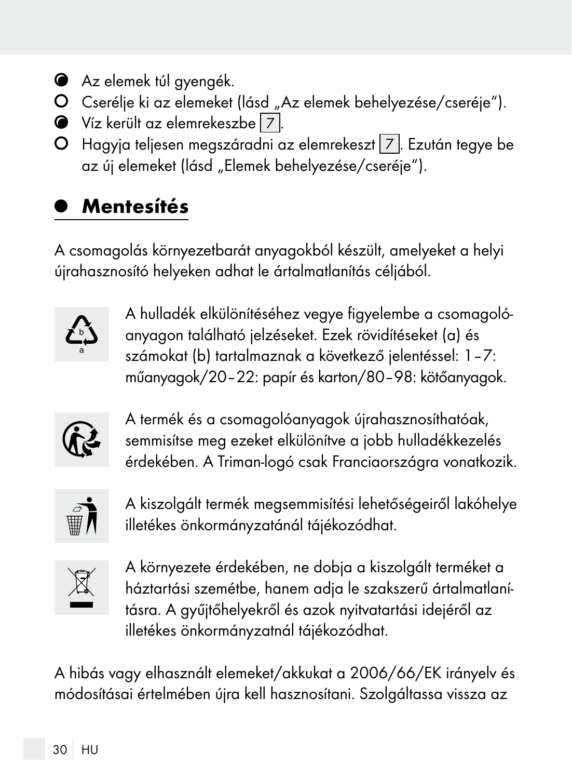- Az elemek túl gyengék.
- O Cserélje ki az elemeket (lásd "Az elemek behelyezése/cseréje").
- Víz került az elemrekeszbe 7 .
- O Hagyja teljesen megszáradni az elemrekeszt 7. Ezután tegye be az új elemeket (lásd "Elemek behelyezése/cseréje").

## Mentesítés

A csomagolás környezetbarát anyagokból készült, amelyeket a helyi újrahasznosító helyeken adhat le ártalmatlanítás céljából.



A hulladék elkülönítéséhez vegye figyelembe a csomagolóanyagon található jelzéseket. Ezek rövidítéseket (a) és számokat (b) tartalmaznak a következő jelentéssel: 1–7: műanyagok/20–22: papír és karton/80–98: kötőanyagok.



A termék és a csomagolóanyagok újrahasznosíthatóak, semmisítse meg ezeket elkülönítve a jobb hulladékkezelés érdekében. A Triman-logó csak Franciaországra vonatkozik.



A kiszolgált termék megsemmisítési lehetőségeiről lakóhelye illetékes önkormányzatánál tájékozódhat.



A környezete érdekében, ne dobja a kiszolgált terméket a háztartási szemétbe, hanem adja le szakszerű ártalmatlanításra. A gyűjtőhelyekről és azok nyitvatartási idejéről az illetékes önkormányzatnál tájékozódhat.

A hibás vagy elhasznált elemeket/akkukat a 2006/66/EK irányelv és módosításai értelmében újra kell hasznosítani. Szolgáltassa vissza az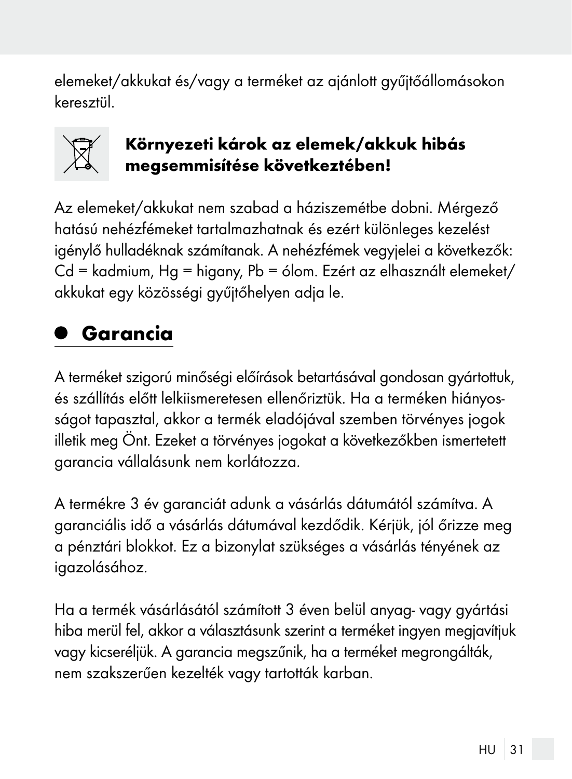elemeket/akkukat és/vagy a terméket az ajánlott gyűjtőállomásokon keresztül.



#### Környezeti károk az elemek/akkuk hibás megsemmisítése következtében!

Az elemeket/akkukat nem szabad a háziszemétbe dobni. Mérgező hatású nehézfémeket tartalmazhatnak és ezért különleges kezelést igénylő hulladéknak számítanak. A nehézfémek vegyjelei a következők: Cd = kadmium, Hg = higany, Pb = ólom. Ezért az elhasznált elemeket/ akkukat egy közösségi gyűjtőhelyen adja le.

### Garancia

A terméket szigorú minőségi előírások betartásával gondosan gyártottuk, és szállítás előtt lelkiismeretesen ellenőriztük. Ha a terméken hiányosságot tapasztal, akkor a termék eladójával szemben törvényes jogok illetik meg Önt. Ezeket a törvényes jogokat a következőkben ismertetett garancia vállalásunk nem korlátozza.

A termékre 3 év garanciát adunk a vásárlás dátumától számítva. A garanciális idő a vásárlás dátumával kezdődik. Kérjük, jól őrizze meg a pénztári blokkot. Ez a bizonylat szükséges a vásárlás tényének az igazolásához.

Ha a termék vásárlásától számított 3 éven belül anyag- vagy gyártási hiba merül fel, akkor a választásunk szerint a terméket ingyen megjavítjuk vagy kicseréljük. A garancia megszűnik, ha a terméket megrongálták, nem szakszerűen kezelték vagy tartották karban.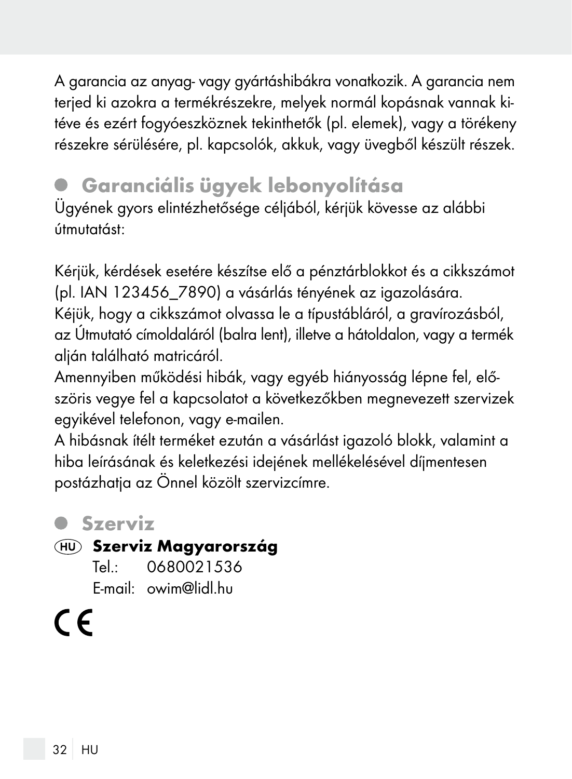A garancia az anyag- vagy gyártáshibákra vonatkozik. A garancia nem terjed ki azokra a termékrészekre, melyek normál kopásnak vannak kitéve és ezért fogyóeszköznek tekinthetők (pl. elemek), vagy a törékeny részekre sérülésére, pl. kapcsolók, akkuk, vagy üvegből készült részek.

## Garanciális ügyek lebonyolítása

Ügyének gyors elintézhetősége céljából, kérjük kövesse az alábbi útmutatást:

Kérjük, kérdések esetére készítse elő a pénztárblokkot és a cikkszámot (pl. IAN 123456\_7890) a vásárlás tényének az igazolására. Kéjük, hogy a cikkszámot olvassa le a típustábláról, a gravírozásból, az Útmutató címoldaláról (balra lent), illetve a hátoldalon, vagy a termék alján található matricáról.

Amennyiben működési hibák, vagy egyéb hiányosság lépne fel, előszöris vegye fel a kapcsolatot a következőkben megnevezett szervizek egyikével telefonon, vagy e-mailen.

A hibásnak ítélt terméket ezután a vásárlást igazoló blokk, valamint a hiba leírásának és keletkezési idejének mellékelésével díjmentesen postázhatja az Önnel közölt szervizcímre.

#### Szerviz

#### Szerviz Magyarország

Tel.: 0680021536 E-mail: owim@lidl.hu

( F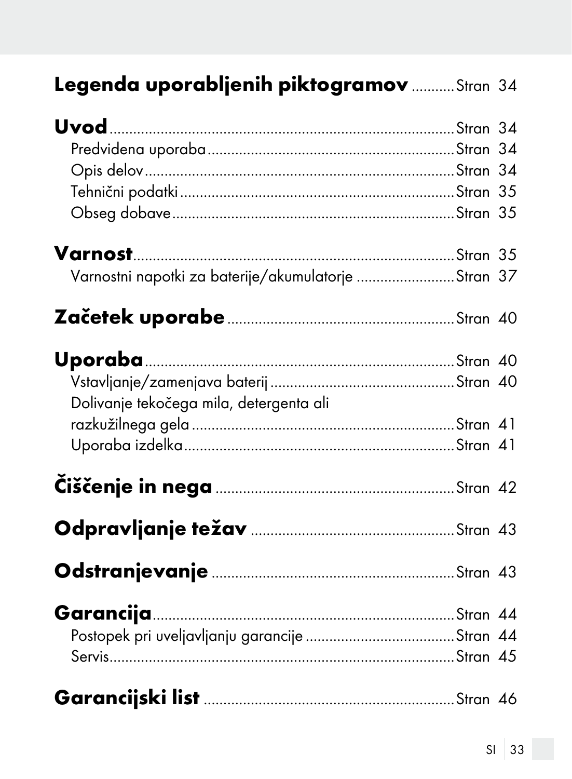## Legenda uporabljenih piktogramov .......... Stran 34

| Varnostni napotki za baterije/akumulatorje Stran 37 |  |
|-----------------------------------------------------|--|
|                                                     |  |
|                                                     |  |
|                                                     |  |
| Dolivanje tekočega mila, detergenta ali             |  |
|                                                     |  |
|                                                     |  |
|                                                     |  |
|                                                     |  |
|                                                     |  |
|                                                     |  |
|                                                     |  |
|                                                     |  |
|                                                     |  |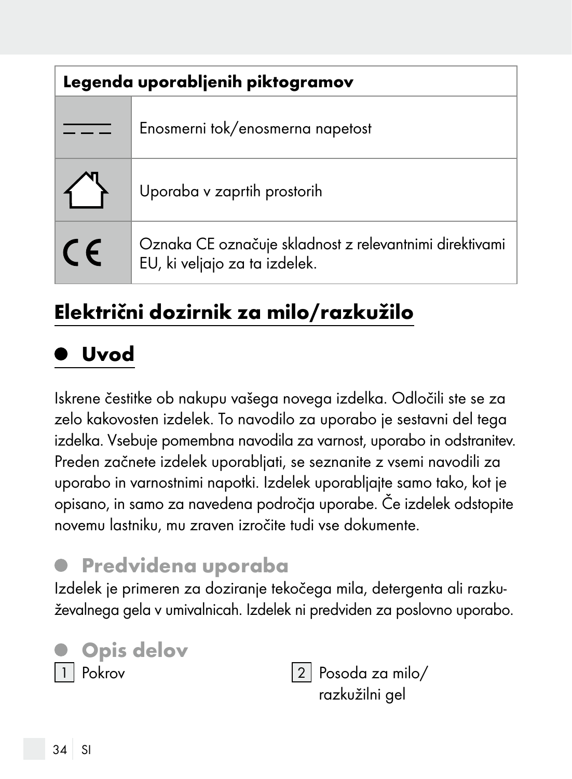| Legenda uporabljenih piktogramov |                                                                                          |
|----------------------------------|------------------------------------------------------------------------------------------|
|                                  | Enosmerni tok/enosmerna napetost                                                         |
|                                  | Uporaba v zaprtih prostorih                                                              |
| $\epsilon$                       | Oznaka CE označuje skladnost z relevantnimi direktivami<br>EU, ki veljajo za ta izdelek. |

## Električni dozirnik za milo/razkužilo

## Uvod

Iskrene čestitke ob nakupu vašega novega izdelka. Odločili ste se za zelo kakovosten izdelek. To navodilo za uporabo je sestavni del tega izdelka. Vsebuje pomembna navodila za varnost, uporabo in odstranitev. Preden začnete izdelek uporabljati, se seznanite z vsemi navodili za uporabo in varnostnimi napotki. Izdelek uporabljajte samo tako, kot je opisano, in samo za navedena področja uporabe. Če izdelek odstopite novemu lastniku, mu zraven izročite tudi vse dokumente.

### Predvidena uporaba

Izdelek je primeren za doziranje tekočega mila, detergenta ali razkuževalnega gela v umivalnicah. Izdelek ni predviden za poslovno uporabo.



razkužilni gel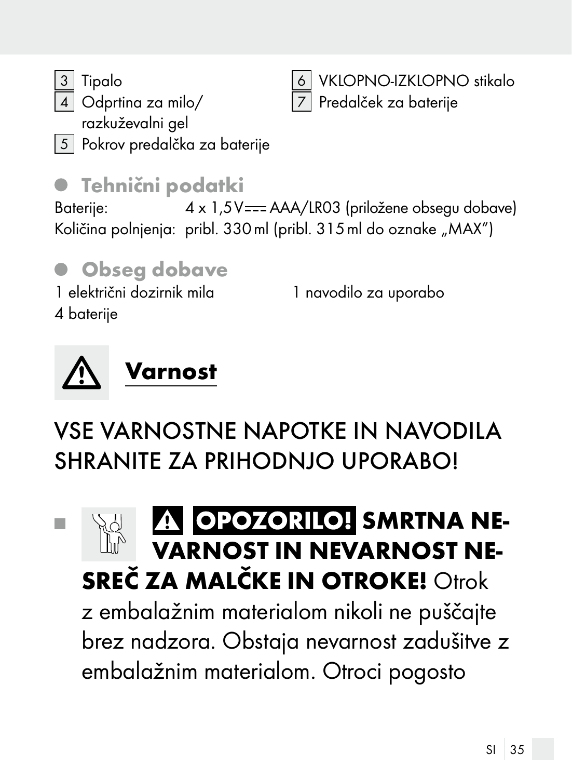3 Tipalo

4 Odprtina za milo/ razkuževalni gel

5 Pokrov predalčka za baterije

#### Tehnični podatki

Baterije: 4 x 1,5V = AAA/LR03 (priložene obsegu dobave) Količina polnjenja: pribl. 330 ml (pribl. 315 ml do oznake "MAX")

# Obseg dobave

Varnost

1 električni dozirnik mila 4 baterije

# VSE VARNOSTNE NAPOTKE IN NAVODILA SHRANITE ZA PRIHODNJO UPORABOJ

## **A OPOZORILO! SMRTNA NE-Tall** VARNOST IN NEVARNOST NE- SREČ ZA MALČKE IN OTROKE! Otrok z embalažnim materialom nikoli ne puščajte brez nadzora. Obstaja nevarnost zadušitve z

embalažnim materialom. Otroci pogosto





1 navodilo za uporabo

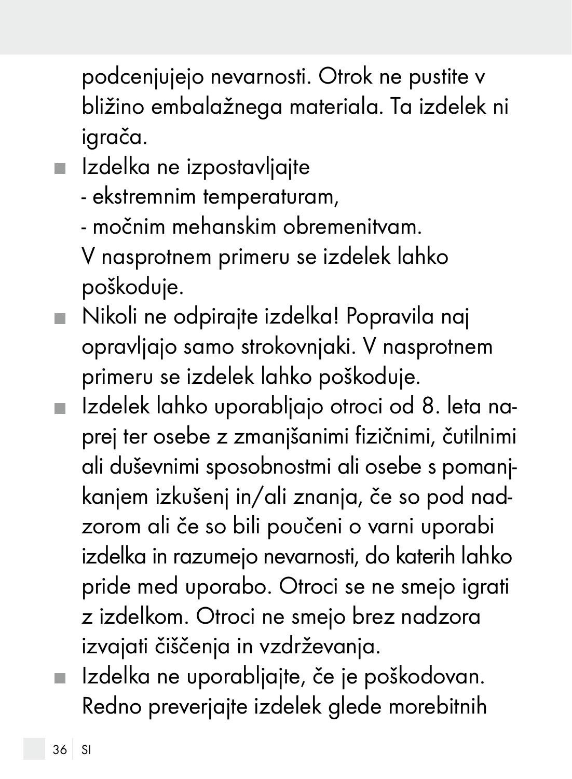podcenjujejo nevarnosti. Otrok ne pustite v bližino embalažnega materiala. Ta izdelek ni igrača.

**Izdelka ne izpostavljajte** 

- ekstremnim temperaturam,

- močnim mehanskim obremenitvam.

 V nasprotnem primeru se izdelek lahko poškoduje.

- Nikoli ne odpirajte izdelka! Popravila naj opravljajo samo strokovnjaki. V nasprotnem primeru se izdelek lahko poškoduje.
- Izdelek lahko uporabljajo otroci od 8. leta naprej ter osebe z zmanjšanimi fizičnimi, čutilnimi ali duševnimi sposobnostmi ali osebe s pomanjkanjem izkušenj in/ali znanja, če so pod nadzorom ali če so bili poučeni o varni uporabi izdelka in razumejo nevarnosti, do katerih lahko pride med uporabo. Otroci se ne smejo igrati z izdelkom. Otroci ne smejo brez nadzora izvajati čiščenja in vzdrževanja.
- Izdelka ne uporabljajte, če je poškodovan. Redno preverjajte izdelek glede morebitnih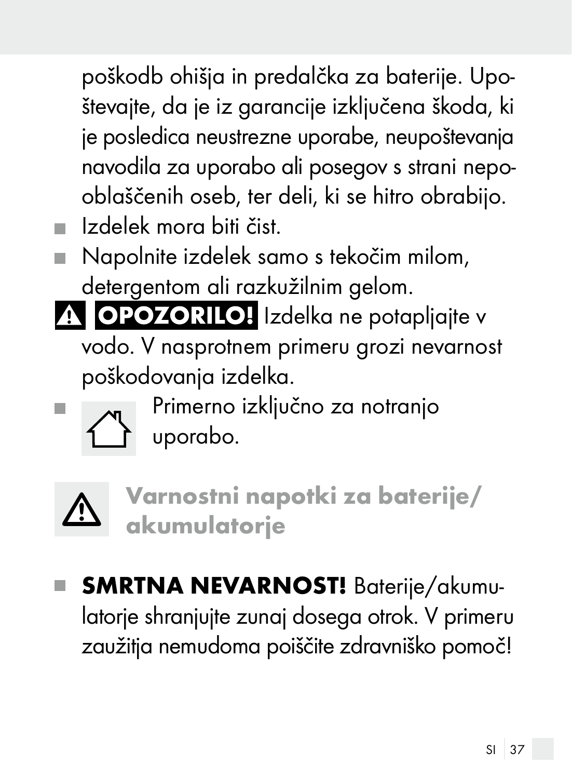poškodb ohišja in predalčka za baterije. Upoštevajte, da je iz garancije izključena škoda, ki je posledica neustrezne uporabe, neupoštevanja navodila za uporabo ali posegov s strani nepooblaščenih oseb, ter deli, ki se hitro obrabijo.

- Izdelek mora biti čist.
- Napolnite izdelek samo s tekočim milom, detergentom ali razkužilnim gelom.

A OPOZORILO! Izdelka ne potapljajte v vodo. V nasprotnem primeru grozi nevarnost poškodovanja izdelka.



**Primerno izključno za notranjo** uporabo.



Varnostni napotki za baterije/ akumulatorje

SMRTNA NEVARNOST! Baterije/akumulatorje shranjujte zunaj dosega otrok. V primeru zaužitja nemudoma poiščite zdravniško pomoč!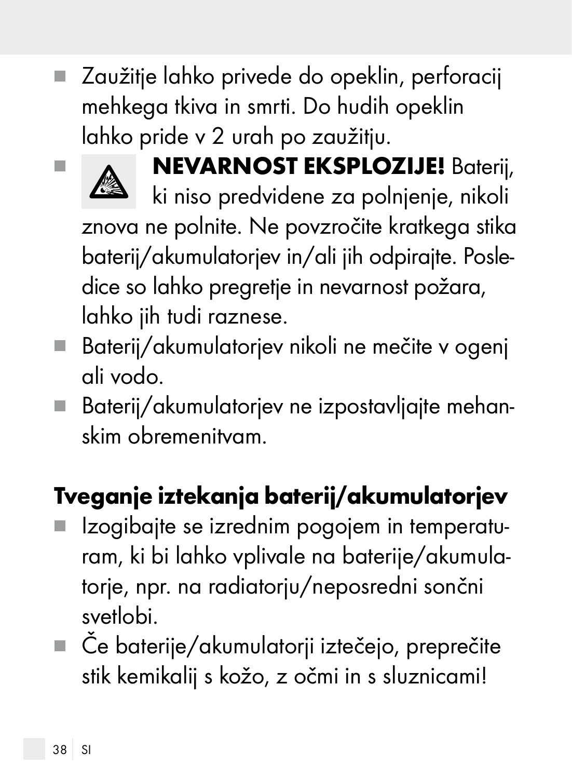Zaužitje lahko privede do opeklin, perforacij mehkega tkiva in smrti. Do hudih opeklin lahko pride v 2 urah po zaužitju.



**NEVARNOST EKSPLOZIJE!** Baterij,

ki niso predvidene za polnjenje, nikoli znova ne polnite. Ne povzročite kratkega stika baterij/akumulatorjev in/ali jih odpirajte. Posledice so lahko pregretje in nevarnost požara, lahko jih tudi raznese.

- Baterij/akumulatorjev nikoli ne mečite v ogenj ali vodo.
- Baterij/akumulatorjev ne izpostavljajte mehanskim obremenitvam.

# Tveganje iztekanja baterij/akumulatorjev

- I Izogibajte se izrednim pogojem in temperaturam, ki bi lahko vplivale na baterije/akumulatorje, npr. na radiatorju/neposredni sončni svetlobi.
- Če baterije/akumulatorji iztečejo, preprečite stik kemikalij s kožo, z očmi in s sluznicami!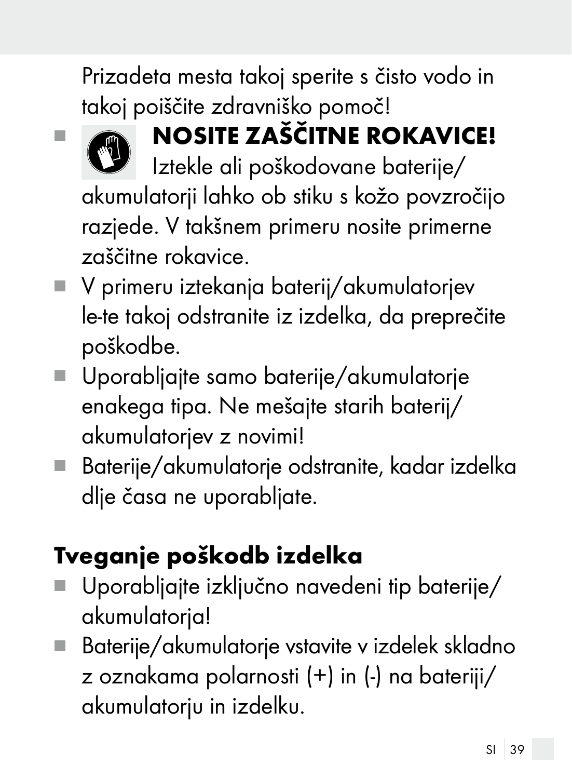Prizadeta mesta takoj sperite s čisto vodo in takoj poiščite zdravniško pomoč!



# **NOSITE ZAŠČITNE ROKAVICE!**

Iztekle ali poškodovane baterije/ akumulatorji lahko ob stiku s kožo povzročijo razjede. V takšnem primeru nosite primerne zaščitne rokavice.

- V primeru iztekanja baterij/akumulatorjev le-te takoj odstranite iz izdelka, da preprečite poškodbe.
- Uporabljajte samo baterije/akumulatorje enakega tipa. Ne mešajte starih baterij/ akumulatorjev z novimi!
- Baterije/akumulatorje odstranite, kadar izdelka dlje časa ne uporabljate.

# Tveganje poškodb izdelka

- Uporabljajte izključno navedeni tip baterije/ akumulatorja!
- Baterije/akumulatorje vstavite v izdelek skladno z oznakama polarnosti (+) in (-) na bateriji/ akumulatorju in izdelku.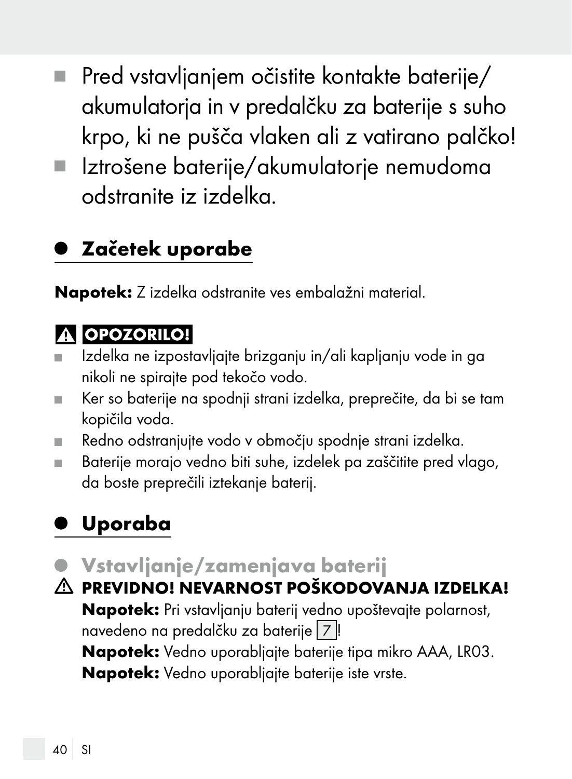- Pred vstavljanjem očistite kontakte baterije/ П akumulatorja in v predalčku za baterije s suho krpo, ki ne pušča vlaken ali z vatirano palčko!
- Iztrošene baterije/akumulatorje nemudoma odstranite iz izdelka.

#### Začetek uporabe

Napotek: Z izdelka odstranite ves embalažni material.

#### **A OPOZORILO!**

- Izdelka ne izpostavljajte brizganju in/ali kapljanju vode in ga  $\blacksquare$ nikoli ne spirajte pod tekočo vodo.
- Ker so baterije na spodnji strani izdelka, preprečite, da bi se tam ш kopičila voda.
- Redno odstranjujte vodo v območju spodnje strani izdelka. m.
- Baterije morajo vedno biti suhe, izdelek pa zaščitite pred vlago, da boste preprečili iztekanje baterij.

## Uporaba

- Vstavljanje/zamenjava baterij
- PREVIDNO! NEVARNOST POŠKODOVANJA IZDELKA! Napotek: Pri vstavljanju baterij vedno upoštevajte polarnost, navedeno na predalčku za baterije 7 ! Napotek: Vedno uporabljajte baterije tipa mikro AAA, LR03. Napotek: Vedno uporabljajte baterije iste vrste.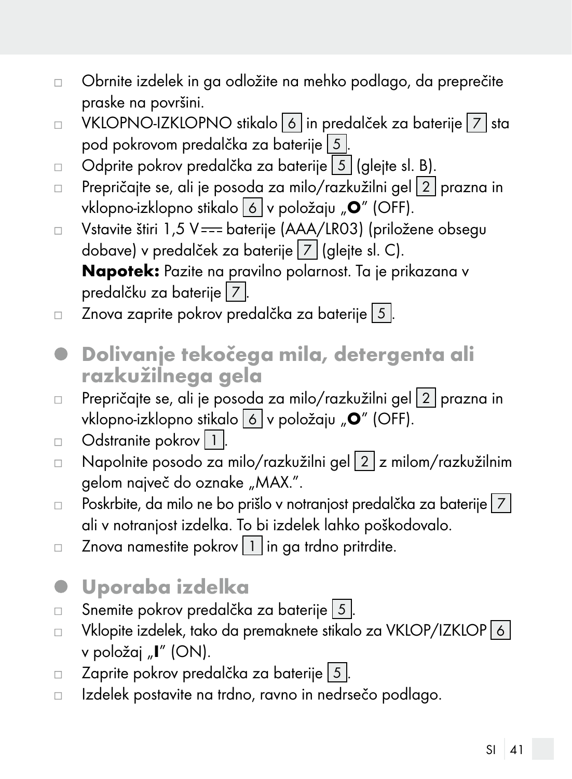- Obrnite izdelek in ga odložite na mehko podlago, da preprečite  $\Box$ praske na površini.
- VKLOPNO-IZKLOPNO stikalo 6 in predalček za baterije 7 sta  $\Box$ pod pokrovom predalčka za baterije 5 .
- Odprite pokrov predalčka za baterije 5 (glejte sl. B).  $\Box$
- Prepričajte se, ali je posoda za milo/razkužilni gel 2 prazna in  $\Box$ vklopno-izklopno stikalo 6 v položaju "O" (OFF).
- Vstavite štiri 1,5 V === baterije (AAA/LR03) (priložene obsegu  $\Box$ dobave) v predalček za baterije 7 (glejte sl. C). Napotek: Pazite na pravilno polarnost. Ta je prikazana v predalčku za baterije 7.
- Znova zaprite pokrov predalčka za baterije 5.  $\Box$
- Dolivanje tekočega mila, detergenta ali razkužilnega gela
- Prepričajte se, ali je posoda za milo/razkužilni gel 2 prazna in  $\Box$ vklopno-izklopno stikalo 6 v položaju "O" (OFF).
- Odstranite pokrov 1  $\Box$
- □ Napolnite posodo za milo/razkužilni gel 2 z milom/razkužilnim gelom največ do oznake "MAX.".
- $\Box$  Poskrbite, da milo ne bo prišlo v notranjost predalčka za baterije  $\boxed{7}$ ali v notranjost izdelka. To bi izdelek lahko poškodovalo.
- Znova namestite pokrov  $\boxed{1}$  in ga trdno pritrdite.  $\Box$
- Uporaba izdelka O
- Snemite pokrov predalčka za baterije 5.  $\Box$
- Vklopite izdelek, tako da premaknete stikalo za VKLOP/IZKLOP 6  $\Box$ v položaj "I" (ON).
- Zaprite pokrov predalčka za baterije 5.  $\Box$
- Izdelek postavite na trdno, ravno in nedrsečo podlago. $\Box$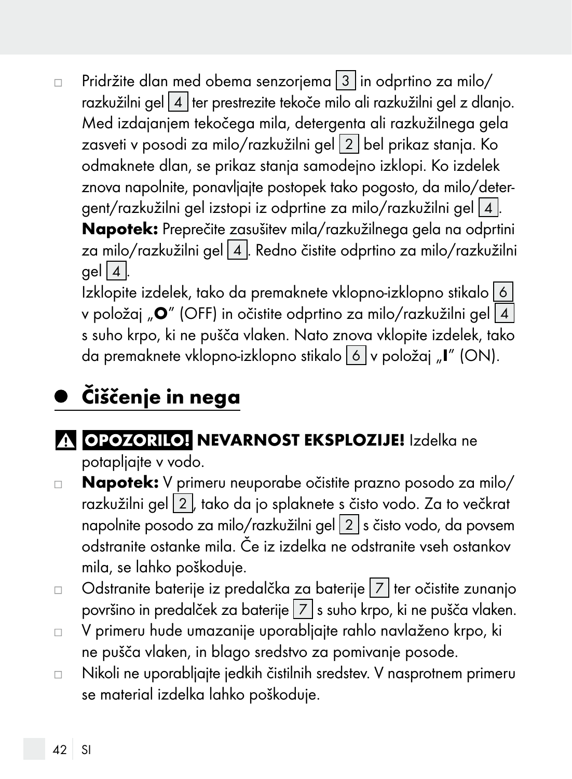Pridržite dlan med obema senzorjema 3 in odprtino za milo/  $\Box$ razkužilni gel 4 ter prestrezite tekoče milo ali razkužilni gel z dlanjo. Med izdajanjem tekočega mila, detergenta ali razkužilnega gela zasveti v posodi za milo/razkužilni gel 2 bel prikaz stanja. Ko odmaknete dlan, se prikaz stanja samodejno izklopi. Ko izdelek znova napolnite, ponavljajte postopek tako pogosto, da milo/detergent/razkužilni gel izstopi iz odprtine za milo/razkužilni gel 4. Napotek: Preprečite zasušitev mila/razkužilnega gela na odprtini za milo/razkužilni gel 4 . Redno čistite odprtino za milo/razkužilni  $gel 4.$ Izklopite izdelek, tako da premaknete vklopno-izklopno stikalo 6

v položaj " $\mathbf{O}$ " (OFF) in očistite odprtino za milo/razkužilni gel $\lceil 4 \rceil$ s suho krpo, ki ne pušča vlaken. Nato znova vklopite izdelek, tako da premaknete vklopno-izklopno stikalo  $\boxed{6}$  v položaj "I" (ON).

# Čiščenje in nega

#### A OPOZORILO! NEVARNOST EKSPLOZIJE! Izdelka ne potapljajte v vodo.

- Napotek: V primeru neuporabe očistite prazno posodo za milo/  $\Box$ razkužilni gel 2 , tako da jo splaknete s čisto vodo. Za to večkrat napolnite posodo za milo/razkužilni gel 2 s čisto vodo, da povsem odstranite ostanke mila. Če iz izdelka ne odstranite vseh ostankov mila, se lahko poškoduje.
- Odstranite baterije iz predalčka za baterije  $|7|$ ter očistite zunanjo  $\Box$ površino in predalček za baterije 7 s suho krpo, ki ne pušča vlaken.
- V primeru hude umazanije uporabljajte rahlo navlaženo krpo, ki  $\Box$ ne pušča vlaken, in blago sredstvo za pomivanje posode.
- Nikoli ne uporabljajte jedkih čistilnih sredstev. V nasprotnem primeru  $\Box$ se material izdelka lahko poškoduje.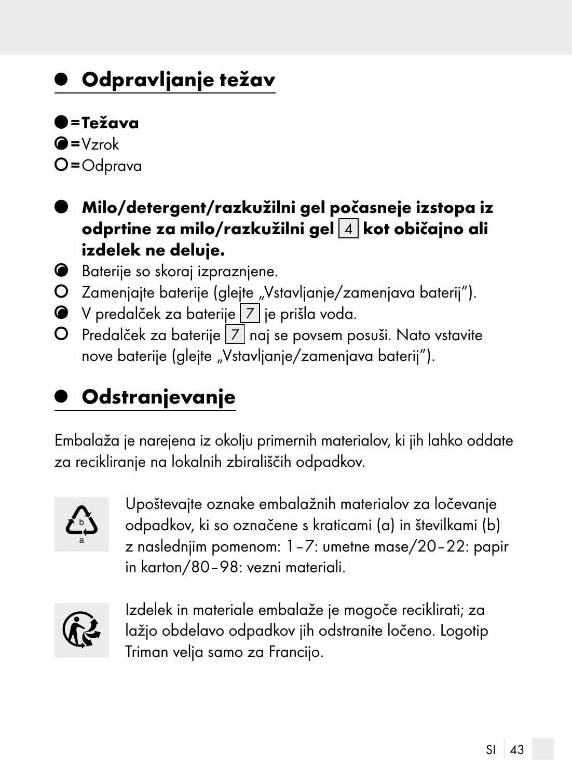### Odpravljanje težav

 $=$ Težava

 $Q = Vzrok$ =Odprava

- Milo/detergent/razkužilni gel počasneje izstopa iz odprtine za milo/razkužilni gel $\boxed{4}$ kot običajno ali izdelek ne deluje.
- Baterije so skoraj izpraznjene.
- O Zamenjajte baterije (glejte "Vstavljanje/zamenjava baterij").
- V predalček za baterije 7 je prišla voda.
- O Predalček za baterije  $|7|$ naj se povsem posuši. Nato vstavite nove baterije (glejte "Vstavljanje/zamenjava baterij").

### **Odstranjevanje**

Embalaža je narejena iz okolju primernih materialov, ki jih lahko oddate za recikliranje na lokalnih zbirališčih odpadkov.



Upoštevajte oznake embalažnih materialov za ločevanje odpadkov, ki so označene s kraticami (a) in številkami (b) z naslednjim pomenom: 1–7: umetne mase/20–22: papir in karton/80–98: vezni materiali.



Izdelek in materiale embalaže je mogoče reciklirati; za lažjo obdelavo odpadkov jih odstranite ločeno. Logotip Triman velja samo za Francijo.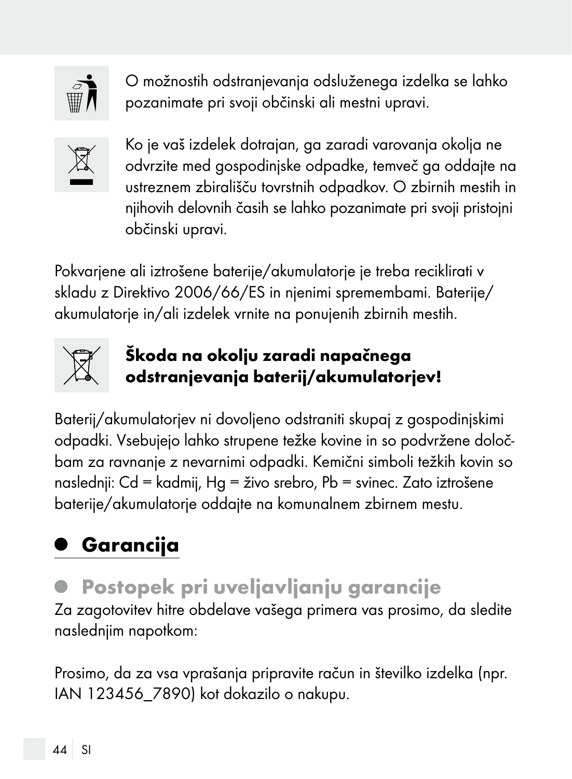

O možnostih odstranjevanja odsluženega izdelka se lahko pozanimate pri svoji občinski ali mestni upravi.



Ko je vaš izdelek dotrajan, ga zaradi varovanja okolja ne odvrzite med gospodinjske odpadke, temveč ga oddajte na ustreznem zbirališču tovrstnih odpadkov. O zbirnih mestih in njihovih delovnih časih se lahko pozanimate pri svoji pristojni občinski upravi.

Pokvarjene ali iztrošene baterije/akumulatorje je treba reciklirati v skladu z Direktivo 2006/66/ES in njenimi spremembami. Baterije/ akumulatorje in/ali izdelek vrnite na ponujenih zbirnih mestih.



#### Škoda na okolju zaradi napačnega odstranjevanja baterij/akumulatorjev!

Baterij/akumulatorjev ni dovoljeno odstraniti skupaj z gospodinjskimi odpadki. Vsebujejo lahko strupene težke kovine in so podvržene določbam za ravnanje z nevarnimi odpadki. Kemični simboli težkih kovin so naslednji: Cd = kadmij, Hg = živo srebro, Pb = svinec. Zato iztrošene baterije/akumulatorje oddajte na komunalnem zbirnem mestu.

# Garancija

### Postopek pri uveljavljanju garancije

Za zagotovitev hitre obdelave vašega primera vas prosimo, da sledite naslednjim napotkom:

Prosimo, da za vsa vprašanja pripravite račun in številko izdelka (npr. IAN 123456\_7890) kot dokazilo o nakupu.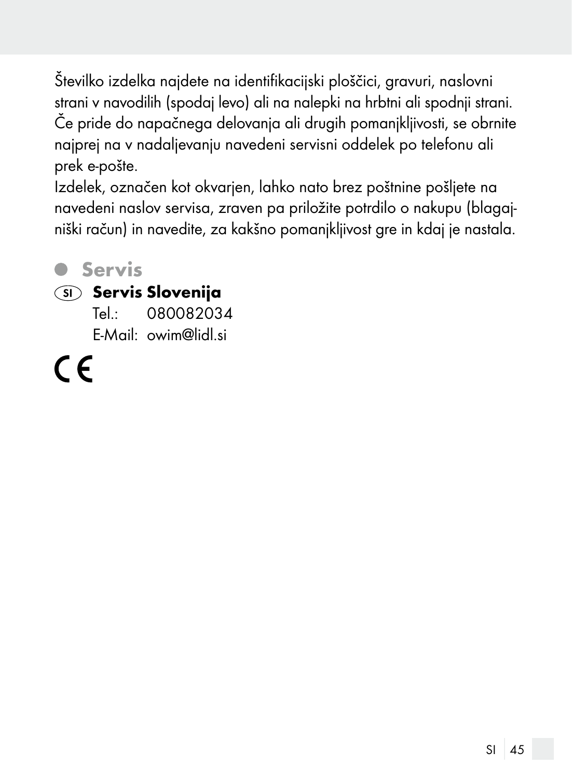Številko izdelka najdete na identifikacijski ploščici, gravuri, naslovni strani v navodilih (spodaj levo) ali na nalepki na hrbtni ali spodnji strani. Če pride do napačnega delovanja ali drugih pomanjkljivosti, se obrnite najprej na v nadaljevanju navedeni servisni oddelek po telefonu ali prek e-pošte.

Izdelek, označen kot okvarjen, lahko nato brez poštnine pošljete na navedeni naslov servisa, zraven pa priložite potrdilo o nakupu (blagajniški račun) in navedite, za kakšno pomanjkljivost gre in kdaj je nastala.

#### **6** Servis

#### (SI) Servis Slovenija

Tel.: 080082034 E-Mail: owim@lidl.si

 $\epsilon$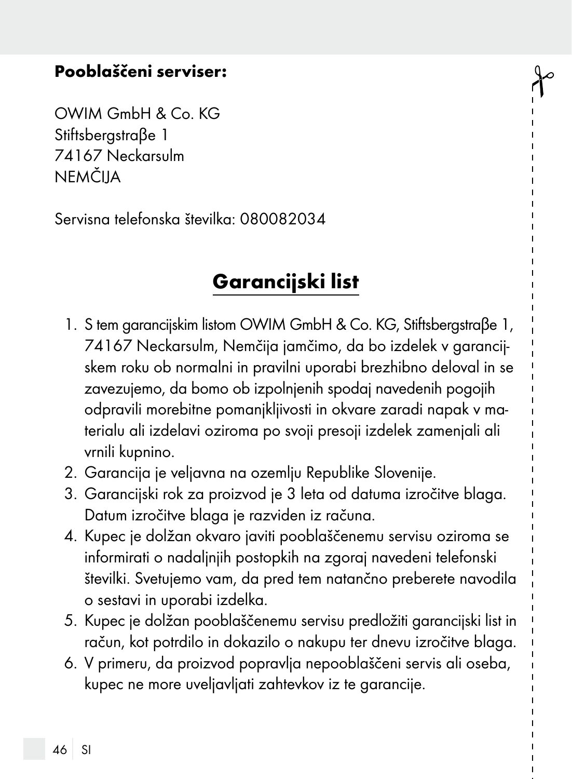#### Pooblaščeni serviser:

OWIM GmbH & Co. KG Stiftsbergstraβe 1 74167 Neckarsulm NEMČIJA

Servisna telefonska številka: 080082034

#### Garancijski list

- 1. S tem garancijskim listom OWIM GmbH & Co. KG, Stiftsbergstraβe 1, 74167 Neckarsulm, Nemčija jamčimo, da bo izdelek v garancijskem roku ob normalni in pravilni uporabi brezhibno deloval in se zavezujemo, da bomo ob izpolnjenih spodaj navedenih pogojih odpravili morebitne pomanjkljivosti in okvare zaradi napak v materialu ali izdelavi oziroma po svoji presoji izdelek zamenjali ali vrnili kupnino.
- 2. Garancija je veljavna na ozemlju Republike Slovenije.
- 3. Garancijski rok za proizvod je 3 leta od datuma izročitve blaga. Datum izročitve blaga je razviden iz računa.
- 4. Kupec je dolžan okvaro javiti pooblaščenemu servisu oziroma se informirati o nadaljnjih postopkih na zgoraj navedeni telefonski številki. Svetujemo vam, da pred tem natančno preberete navodila o sestavi in uporabi izdelka.
- 5. Kupec je dolžan pooblaščenemu servisu predložiti garancijski list in račun, kot potrdilo in dokazilo o nakupu ter dnevu izročitve blaga.
- 6. V primeru, da proizvod popravlja nepooblaščeni servis ali oseba, kupec ne more uveljavljati zahtevkov iz te garancije.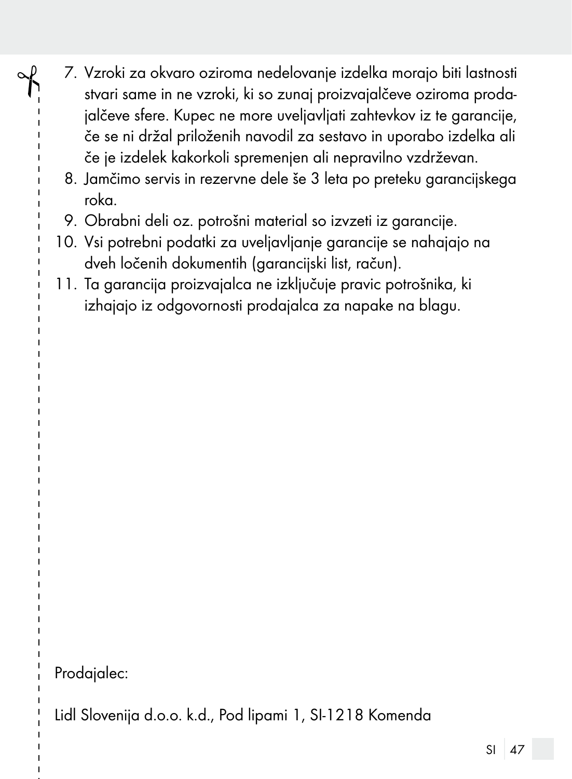- 7. Vzroki za okvaro oziroma nedelovanje izdelka morajo biti lastnosti stvari same in ne vzroki, ki so zunaj proizvajalčeve oziroma prodajalčeve sfere. Kupec ne more uveljavljati zahtevkov iz te garancije, če se ni držal priloženih navodil za sestavo in uporabo izdelka ali če je izdelek kakorkoli spremenjen ali nepravilno vzdrževan.
	- 8. Jamčimo servis in rezervne dele še 3 leta po preteku garancijskega roka.
	- 9. Obrabni deli oz. potrošni material so izvzeti iz garancije.
	- 10. Vsi potrebni podatki za uveljavljanje garancije se nahajajo na dveh ločenih dokumentih (garancijski list, račun).
	- 11. Ta garancija proizvajalca ne izključuje pravic potrošnika, ki izhajajo iz odgovornosti prodajalca za napake na blagu.

Prodajalec:

Lidl Slovenija d.o.o. k.d., Pod lipami 1, SI-1218 Komenda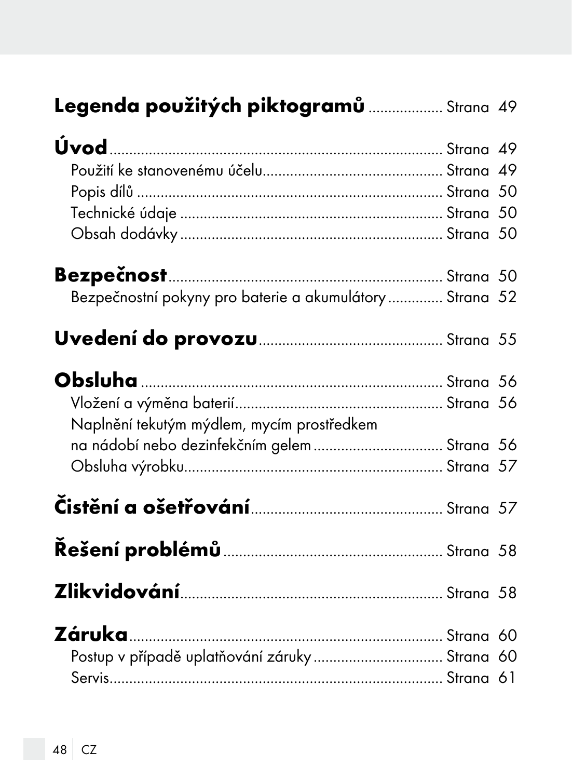|  |  |  | Legenda použitých piktogramů  Strana 49 |  |
|--|--|--|-----------------------------------------|--|
|--|--|--|-----------------------------------------|--|

| Bezpečnostní pokyny pro baterie a akumulátory  Strana 52 |  |
|----------------------------------------------------------|--|
|                                                          |  |
|                                                          |  |
| Naplnění tekutým mýdlem, mycím prostředkem               |  |
|                                                          |  |
|                                                          |  |
|                                                          |  |
|                                                          |  |
|                                                          |  |
|                                                          |  |
| Postup v případě uplatňování záruky  Strana 60           |  |
|                                                          |  |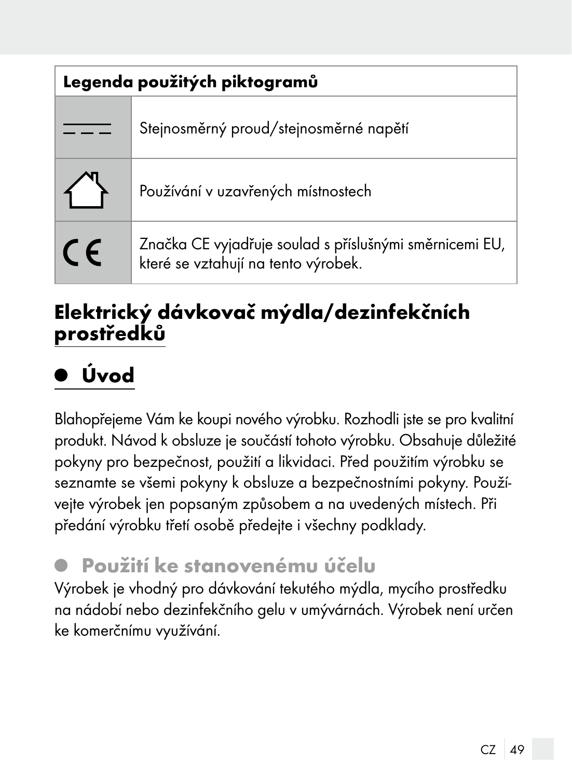| Legenda použitých piktogramů |                                                                                                |  |
|------------------------------|------------------------------------------------------------------------------------------------|--|
|                              | Stejnosměrný proud/stejnosměrné napětí                                                         |  |
|                              | Používání v uzavřených místnostech                                                             |  |
| <b>CE</b>                    | Značka CE vyjadřuje soulad s příslušnými směrnicemi EU,<br>které se vztahují na tento výrobek. |  |

#### Elektrický dávkovač mýdla/dezinfekčních prostředků

# Úvod

Blahopřejeme Vám ke koupi nového výrobku. Rozhodli jste se pro kvalitní produkt. Návod k obsluze je součástí tohoto výrobku. Obsahuje důležité pokyny pro bezpečnost, použití a likvidaci. Před použitím výrobku se seznamte se všemi pokyny k obsluze a bezpečnostními pokyny. Používejte výrobek jen popsaným způsobem a na uvedených místech. Při předání výrobku třetí osobě předejte i všechny podklady.

#### Použití ke stanovenému účelu

Výrobek je vhodný pro dávkování tekutého mýdla, mycího prostředku na nádobí nebo dezinfekčního gelu v umývárnách. Výrobek není určen ke komerčnímu využívání.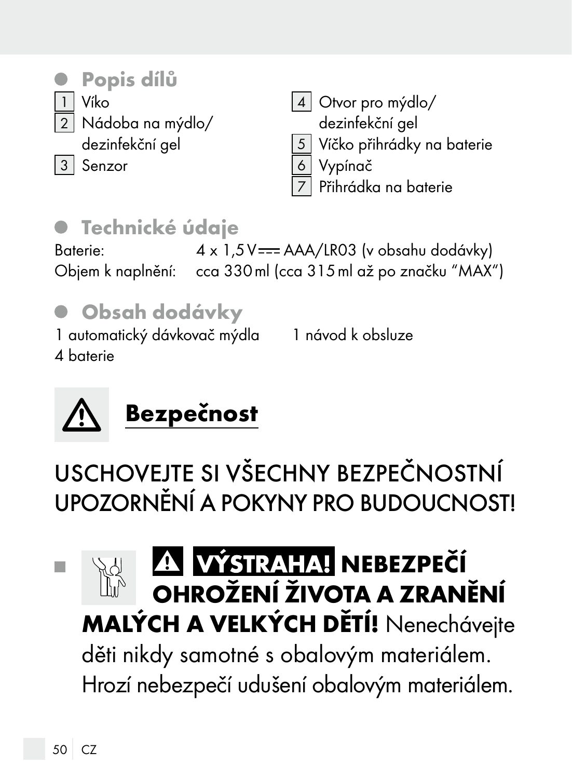

### **• Technické údaje**

Baterie: 4 x 1,5 V = == AAA/LR03 (v obsahu dodávky) Objem k naplnění: cca 330ml (cca 315ml až po značku "MAX")



1 návod k obsluze

4 baterie



USCHOVEJTE SI VŠECHNY BEZPEČNOSTNÍ UPOZORNĚNÍ A POKYNY PRO BUDOUCNOST!

#### A VÝSTRAHA! NEBEZPEČÍ п OHROŽENÍ ŽIVOTA A ZRANĚNÍ MALÝCH A VELKÝCH DĚTÍ! Nenechávejte

děti nikdy samotné s obalovým materiálem. Hrozí nebezpečí udušení obalovým materiálem.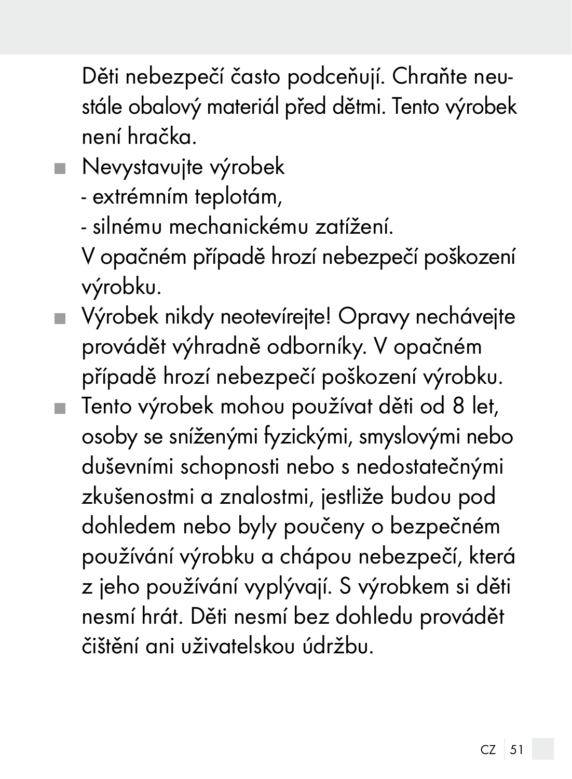Děti nebezpečí často podceňují. Chraňte neustále obalový materiál před dětmi. Tento výrobek není hračka.

Nevystavujte výrobek

- extrémním teplotám,

- silnému mechanickému zatížení.

 V opačném případě hrozí nebezpečí poškození výrobku.

 Výrobek nikdy neotevírejte! Opravy nechávejte provádět výhradně odborníky. V opačném případě hrozí nebezpečí poškození výrobku. Tento výrobek mohou používat děti od 8 let, osoby se sníženými fyzickými, smyslovými nebo duševními schopnosti nebo s nedostatečnými zkušenostmi a znalostmi, jestliže budou pod dohledem nebo byly poučeny o bezpečném používání výrobku a chápou nebezpečí, která z jeho používání vyplývají. S výrobkem si děti nesmí hrát. Děti nesmí bez dohledu provádět čištění ani uživatelskou údržbu.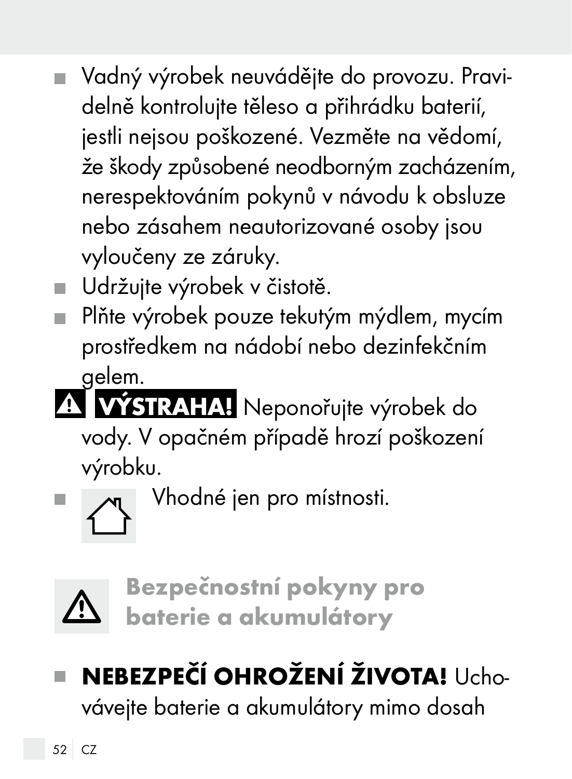- Vadný výrobek neuvádějte do provozu. Pravidelně kontrolujte těleso a přihrádku baterií, jestli nejsou poškozené. Vezměte na vědomí, že škody způsobené neodborným zacházením, nerespektováním pokynů v návodu k obsluze nebo zásahem neautorizované osoby jsou vyloučeny ze záruky.
- Udržujte výrobek v čistotě.
- Plňte výrobek pouze tekutým mýdlem, mycím prostředkem na nádobí nebo dezinfekčním gelem.
- **VÝSTRAHA!** Neponořujte výrobek do vody. V opačném případě hrozí poškození výrobku.

 $\blacksquare$   $\blacksquare$  Vhodné jen pro místnosti.



Bezpečnostní pokyny pro baterie a akumulátory

# NEBEZPEČÍ OHROŽENÍ ŽIVOTA! Ucho-

vávejte baterie a akumulátory mimo dosah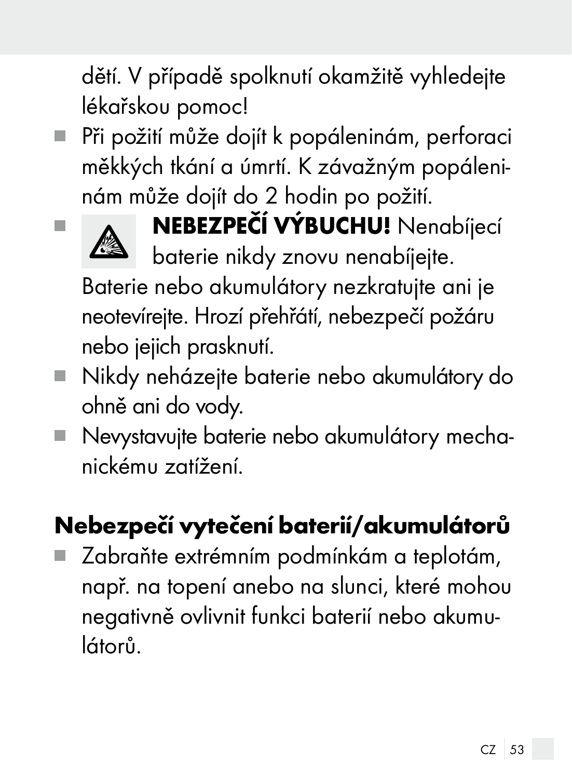dětí. V případě spolknutí okamžitě vyhledejte lékařskou pomoc!

 Při požití může dojít k popáleninám, perforaci měkkých tkání a úmrtí. K závažným popáleninám může dojít do 2 hodin po požití.



**NEBEZPEČÍ VÝBUCHU!** Nenabíjecí baterie nikdy znovu nenabíjejte.

 Baterie nebo akumulátory nezkratujte ani je neotevírejte. Hrozí přehřátí, nebezpečí požáru nebo jejich prasknutí.

- Nikdy neházejte baterie nebo akumulátory do ohně ani do vody.
- Nevystavujte baterie nebo akumulátory mechanickému zatížení.

# Nebezpečí vytečení baterií/akumulátorů

 Zabraňte extrémním podmínkám a teplotám, např. na topení anebo na slunci, které mohou negativně ovlivnit funkci baterií nebo akumulátorů.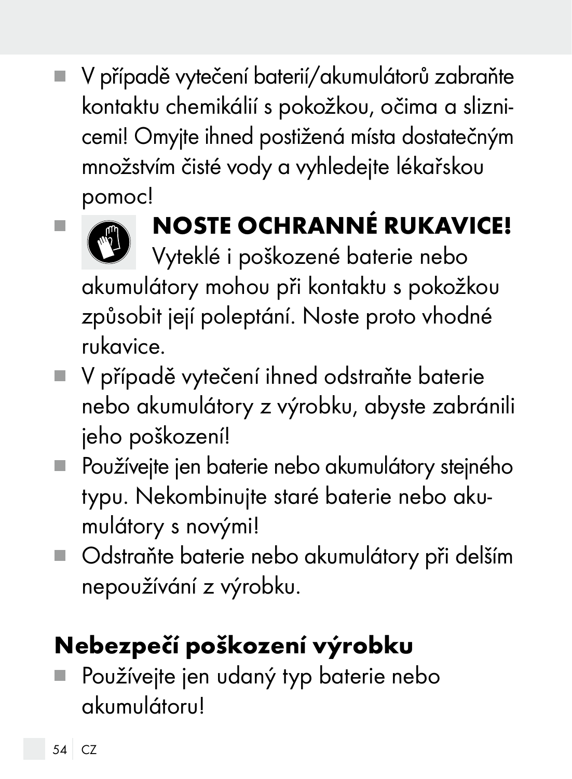V případě vytečení baterií/akumulátorů zabraňte п kontaktu chemikálií s pokožkou, očima a sliznicemi! Omyjte ihned postižená místa dostatečným množstvím čisté vody a vyhledejte lékařskou pomoc!



# **NOSTE OCHRANNÉ RUKAVICE!**

Vyteklé i poškozené baterie nebo akumulátory mohou při kontaktu s pokožkou způsobit její poleptání. Noste proto vhodné rukavice.

- V případě vytečení ihned odstraňte baterie nebo akumulátory z výrobku, abyste zabránili jeho poškození!
- Používejte jen baterie nebo akumulátory stejného typu. Nekombinujte staré baterie nebo akumulátory s novými!
- Odstraňte baterie nebo akumulátory při delším nepoužívání z výrobku.

# Nebezpečí poškození výrobku

 Používejte jen udaný typ baterie nebo akumulátoru!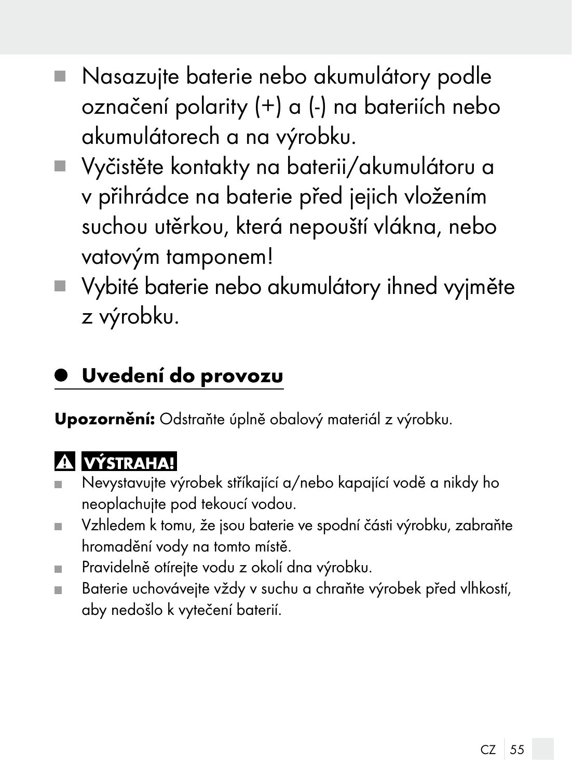- Nasazujte baterie nebo akumulátory podle označení polarity (+) a (-) na bateriích nebo akumulátorech a na výrobku.
- Vyčistěte kontakty na baterii/akumulátoru a v přihrádce na baterie před jejich vložením suchou utěrkou, která nepouští vlákna, nebo vatovým tamponem!
- Vybité baterie nebo akumulátory ihned vyjměte z výrobku.

#### Uvedení do provozu

Upozornění: Odstraňte úplně obalový materiál z výrobku.

#### **A** VÝSTRAHA!

- Nevystavujte výrobek stříkající a/nebo kapající vodě a nikdy ho  $\blacksquare$ neoplachujte pod tekoucí vodou.
- Vzhledem k tomu, že jsou baterie ve spodní části výrobku, zabraňte ш hromadění vody na tomto místě.
- Pravidelně otírejte vodu z okolí dna výrobku. m.
- Baterie uchovávejte vždy v suchu a chraňte výrobek před vlhkostí, aby nedošlo k vytečení baterií.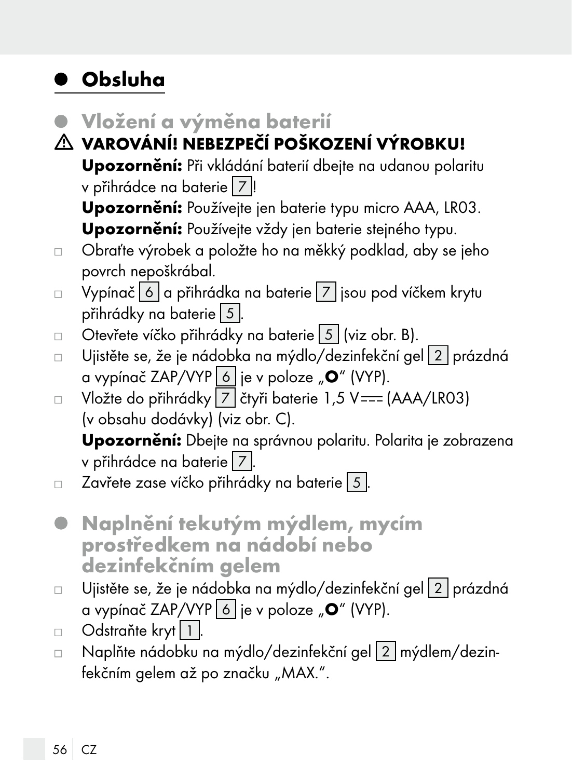### Obsluha

- Vložení a výměna baterií
- VAROVÁNÍ! NEBEZPEČÍ POŠKOZENÍ VÝROBKU! Upozornění: Při vkládání baterií dbejte na udanou polaritu v přihrádce na baterie  $\boxed{7}$ !

 Upozornění: Používejte jen baterie typu micro AAA, LR03. Upozornění: Používejte vždy jen baterie stejného typu.

- Obraťte výrobek a položte ho na měkký podklad, aby se jeho  $\Box$ povrch nepoškrábal.
- Vypínač 6 a přihrádka na baterie 7 jsou pod víčkem krytu  $\Box$ přihrádky na baterie  $\boxed{5}$ .
- Otevřete víčko přihrádky na baterie 5 (viz obr. B).  $\Box$
- Ujistěte se, že je nádobka na mýdlo/dezinfekční gel 2 prázdná  $\Box$ a vypínač ZAP/VYP  $\boxed{6}$  je v poloze " $\boxed{0}$ " (VYP).
- Vložte do přihrádky  $\boxed{7}$  čtyři baterie 1,5 V === (AAA/LR03)  $\Box$ (v obsahu dodávky) (viz obr. C).

Upozornění: Dbejte na správnou polaritu. Polarita je zobrazena v přihrádce na baterie  $|7|$ .

- $\Box$  Zavřete zase víčko přihrádky na baterie  $\vert 5 \vert$ .
- Naplnění tekutým mýdlem, mycím prostředkem na nádobí nebo dezinfekčním gelem
- Ujistěte se, že je nádobka na mýdlo/dezinfekční gel 2 prázdná  $\Box$ a vypínač ZAP/VYP  $\boxed{6}$  je v poloze " $\boxed{0}$ " (VYP).
- Odstraňte kryt 1.  $\Box$
- □ Naplňte nádobku na mýdlo/dezinfekční gel 2 mýdlem/dezinfekčním gelem až po značku "MAX.".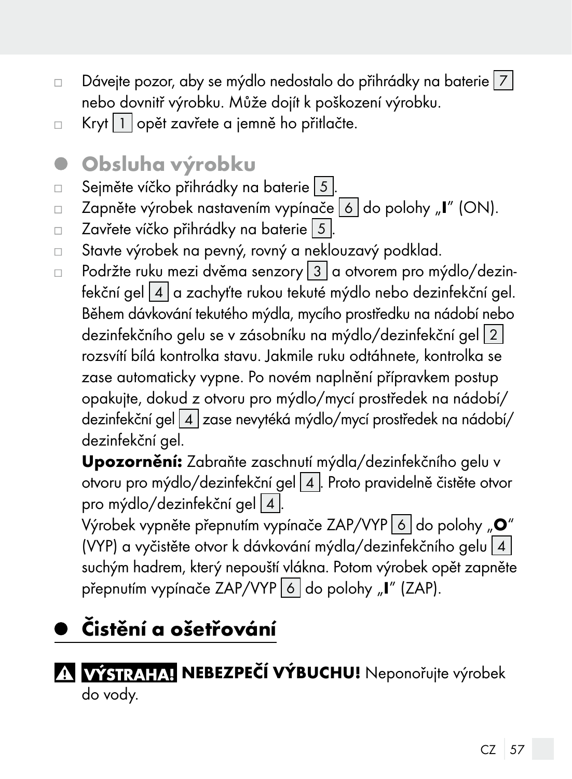- $\Box$  Dávejte pozor, aby se mýdlo nedostalo do přihrádky na baterie  $|7|$ nebo dovnitř výrobku. Může dojít k poškození výrobku.
- Kryt 1 opět zavřete a jemně ho přitlačte.  $\Box$
- Obsluha výrobku
- Seiměte víčko přihrádky na baterie 5.  $\Box$
- Zapněte výrobek nastavením vypínače 6 do polohy "I" (ON).  $\Box$
- Zavřete víčko přihrádky na baterie 5  $\Box$
- Stavte výrobek na pevný, rovný a neklouzavý podklad.  $\Box$
- Podržte ruku mezi dvěma senzory  $3/a$  otvorem pro mýdlo/dezin- $\Box$ fekční gel  $\boxed{4}$  a zachyťte rukou tekuté mýdlo nebo dezinfekční gel. Během dávkování tekutého mýdla, mycího prostředku na nádobí nebo dezinfekčního gelu se v zásobníku na mýdlo/dezinfekční gel | 2 | rozsvítí bílá kontrolka stavu. Jakmile ruku odtáhnete, kontrolka se zase automaticky vypne. Po novém naplnění přípravkem postup opakujte, dokud z otvoru pro mýdlo/mycí prostředek na nádobí/ dezinfekční gel 4 zase nevytéká mýdlo/mycí prostředek na nádobí/ dezinfekční gel.

Upozornění: Zabraňte zaschnutí mýdla/dezinfekčního gelu v otvoru pro mýdlo/dezinfekční gel 4 . Proto pravidelně čistěte otvor pro mýdlo/dezinfekční gel $\boxed{4}$ .

Výrobek vypněte přepnutím vypínače ZAP/VYP 6 do polohy "O" (VYP) a vyčistěte otvor k dávkování mýdla/dezinfekčního gelu  $4$ suchým hadrem, který nepouští vlákna. Potom výrobek opět zapněte přepnutím vypínače ZAP/VYP 6 do polohy "I" (ZAP).

# Čistění a ošetřování

A VÝSTRAHA! NEBEZPEČÍ VÝBUCHU! Neponořujte výrobek do vody.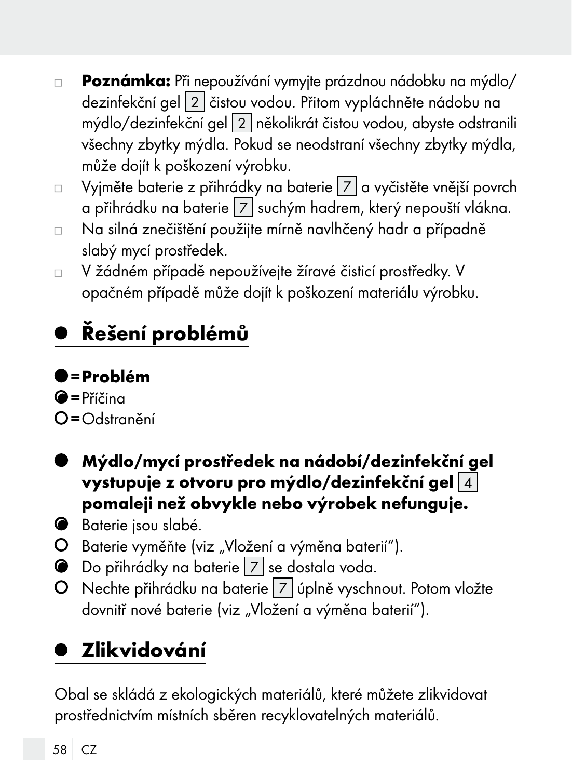- Poznámka: Při nepoužívání vymyjte prázdnou nádobku na mýdlo/  $\Box$ dezinfekční gel 2 čistou vodou. Přitom vypláchněte nádobu na mýdlo/dezinfekční gel 2 několikrát čistou vodou, abyste odstranili všechny zbytky mýdla. Pokud se neodstraní všechny zbytky mýdla, může dojít k poškození výrobku.
- Vyjměte baterie z přihrádky na baterie 7 a vyčistěte vnější povrch  $\Box$ a přihrádku na baterie 7 suchým hadrem, který nepouští vlákna.
- Na silná znečištění použijte mírně navlhčený hadr a případně  $\Box$ slabý mycí prostředek.
- V žádném případě nepoužívejte žíravé čisticí prostředky. V  $\Box$ opačném případě může dojít k poškození materiálu výrobku.

# Řešení problémů

#### =Problém

 $\bullet$ =Příčina  $O = \bigcap_{r=1}^{n}$ 

- Mýdlo/mycí prostředek na nádobí/dezinfekční gel vystupuje z otvoru pro mýdlo/dezinfekční gel $|4|$ pomaleji než obvykle nebo výrobek nefunguje.
- **B**aterie jsou slabé.
- O Baterie vyměňte (viz "Vložení a výměna baterií").
- Do přihrádky na baterie 7 se dostala voda.
- O Nechte přihrádku na baterie 7 úplně vyschnout. Potom vložte dovnitř nové baterie (viz "Vložení a výměna baterií").

## Zlikvidování

Obal se skládá z ekologických materiálů, které můžete zlikvidovat prostřednictvím místních sběren recyklovatelných materiálů.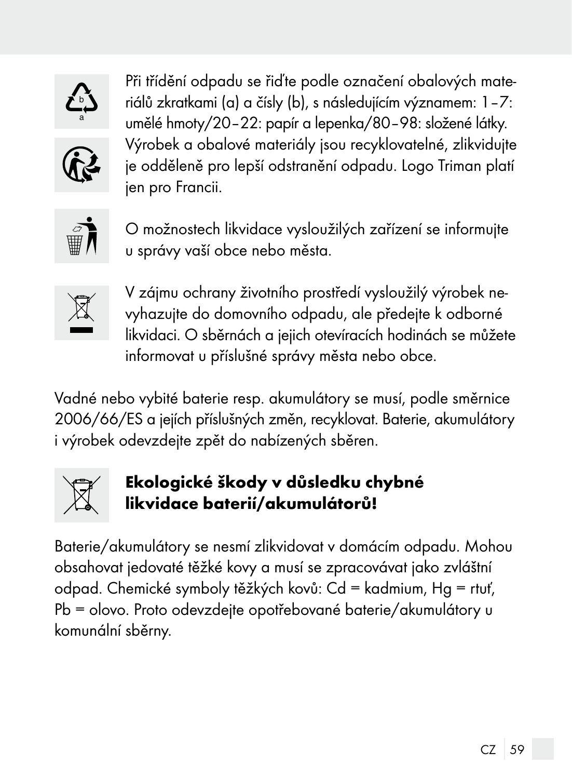

Při třídění odpadu se řiďte podle označení obalových materiálů zkratkami (a) a čísly (b), s následujícím významem: 1–7: umělé hmoty/20–22: papír a lepenka/80–98: složené látky. Výrobek a obalové materiály jsou recyklovatelné, zlikvidujte je odděleně pro lepší odstranění odpadu. Logo Triman platí ien pro Francii.



O možnostech likvidace vysloužilých zařízení se informujte u správy vaší obce nebo města.



V zájmu ochrany životního prostředí vysloužilý výrobek nevyhazujte do domovního odpadu, ale předejte k odborné likvidaci. O sběrnách a jejich otevíracích hodinách se můžete informovat u příslušné správy města nebo obce.

Vadné nebo vybité baterie resp. akumulátory se musí, podle směrnice 2006/66/ES a jejích příslušných změn, recyklovat. Baterie, akumulátory i výrobek odevzdejte zpět do nabízených sběren.



#### Ekologické škody v důsledku chybné likvidace baterií/akumulátorů!

Baterie/akumulátory se nesmí zlikvidovat v domácím odpadu. Mohou obsahovat jedovaté těžké kovy a musí se zpracovávat jako zvláštní odpad. Chemické symboly těžkých kovů: Cd = kadmium, Hg = rtuť, Pb = olovo. Proto odevzdejte opotřebované baterie/akumulátory u komunální sběrny.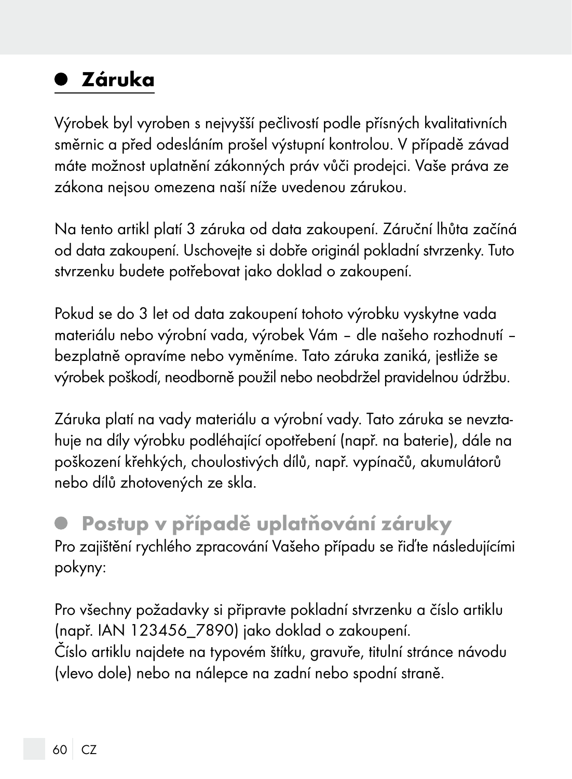### Záruka

Výrobek byl vyroben s nejvyšší pečlivostí podle přísných kvalitativních směrnic a před odesláním prošel výstupní kontrolou. V případě závad máte možnost uplatnění zákonných práv vůči prodejci. Vaše práva ze zákona nejsou omezena naší níže uvedenou zárukou.

Na tento artikl platí 3 záruka od data zakoupení. Záruční lhůta začíná od data zakoupení. Uschovejte si dobře originál pokladní stvrzenky. Tuto stvrzenku budete potřebovat jako doklad o zakoupení.

Pokud se do 3 let od data zakoupení tohoto výrobku vyskytne vada materiálu nebo výrobní vada, výrobek Vám – dle našeho rozhodnutí – bezplatně opravíme nebo vyměníme. Tato záruka zaniká, jestliže se výrobek poškodí, neodborně použil nebo neobdržel pravidelnou údržbu.

Záruka platí na vady materiálu a výrobní vady. Tato záruka se nevztahuje na díly výrobku podléhající opotřebení (např. na baterie), dále na poškození křehkých, choulostivých dílů, např. vypínačů, akumulátorů nebo dílů zhotovených ze skla.

#### Postup v případě uplatňování záruky Pro zajištění rychlého zpracování Vašeho případu se řiďte následujícími pokyny:

Pro všechny požadavky si připravte pokladní stvrzenku a číslo artiklu (např. IAN 123456\_7890) jako doklad o zakoupení. Číslo artiklu najdete na typovém štítku, gravuře, titulní stránce návodu (vlevo dole) nebo na nálepce na zadní nebo spodní straně.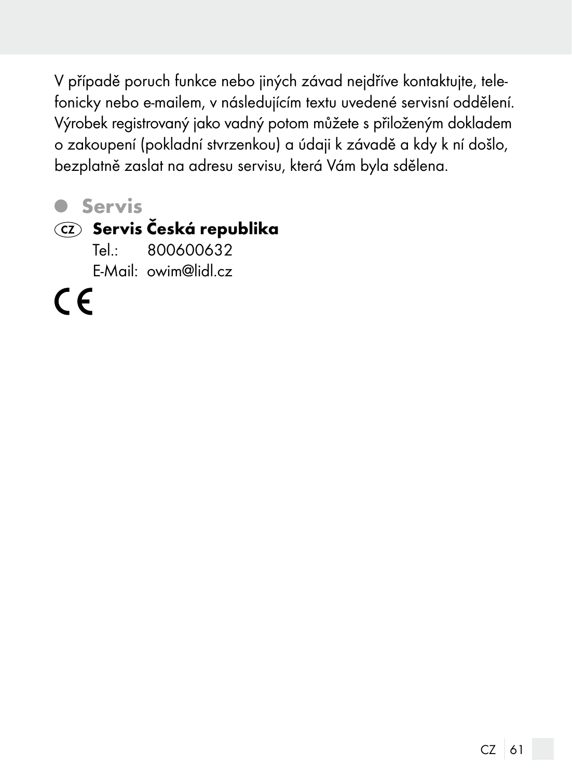V případě poruch funkce nebo jiných závad nejdříve kontaktujte, telefonicky nebo e-mailem, v následujícím textu uvedené servisní oddělení. Výrobek registrovaný jako vadný potom můžete s přiloženým dokladem o zakoupení (pokladní stvrzenkou) a údaji k závadě a kdy k ní došlo, bezplatně zaslat na adresu servisu, která Vám byla sdělena.

**O** Servis

#### $CZ$  Servis Česká republika

Tel.: 800600632 E-Mail: owim@lidl.cz

 $\epsilon$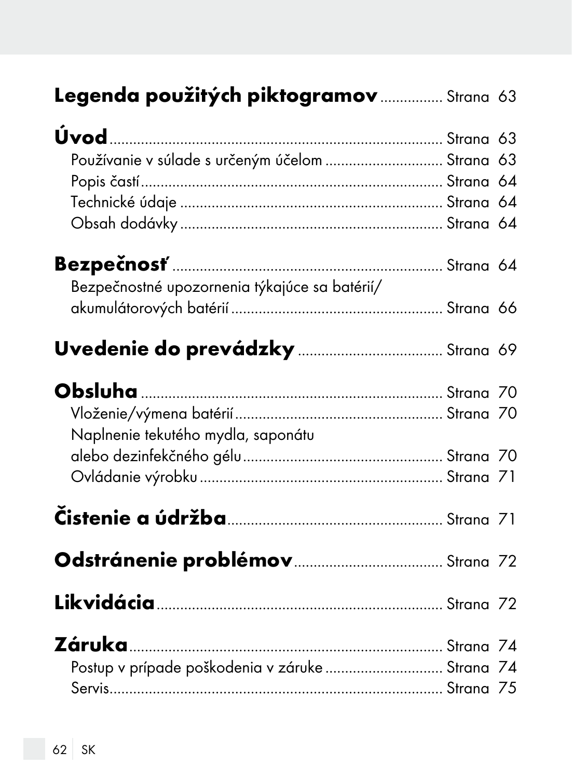|  |  | Legenda použitých piktogramov  Strana 63 |  |  |
|--|--|------------------------------------------|--|--|
|--|--|------------------------------------------|--|--|

| Používanie v súlade s určeným účelom  Strana 63 |  |
|-------------------------------------------------|--|
|                                                 |  |
|                                                 |  |
|                                                 |  |

| Bezpečnostné upozornenia týkajúce sa batérií/ |  |  |
|-----------------------------------------------|--|--|
|                                               |  |  |

# Uvedenie do prevádzky..................................... Strana 69

| Naplnenie tekutého mydla, saponátu              |  |
|-------------------------------------------------|--|
|                                                 |  |
|                                                 |  |
|                                                 |  |
|                                                 |  |
|                                                 |  |
| Postup v prípade poškodenia v záruke  Strana 74 |  |
|                                                 |  |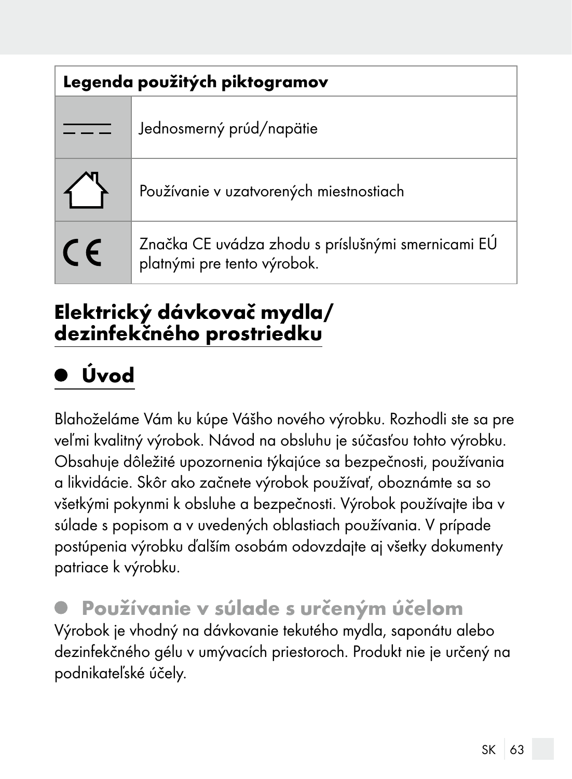| Legenda použitých piktogramov |                                                                                   |  |
|-------------------------------|-----------------------------------------------------------------------------------|--|
|                               | Jednosmerný prúd/napätie                                                          |  |
|                               | Používanie v uzatvorených miestnostiach                                           |  |
| <b>CE</b>                     | Značka CE uvádza zhodu s príslušnými smernicami EÚ<br>platnými pre tento výrobok. |  |

#### Elektrický dávkovač mydla/ dezinfekčného prostriedku

# Úvod

Blahoželáme Vám ku kúpe Vášho nového výrobku. Rozhodli ste sa pre veľmi kvalitný výrobok. Návod na obsluhu je súčasťou tohto výrobku. Obsahuje dôležité upozornenia týkajúce sa bezpečnosti, používania a likvidácie. Skôr ako začnete výrobok používať, oboznámte sa so všetkými pokynmi k obsluhe a bezpečnosti. Výrobok používajte iba v súlade s popisom a v uvedených oblastiach používania. V prípade postúpenia výrobku ďalším osobám odovzdajte aj všetky dokumenty patriace k výrobku.

 Používanie v súlade s určeným účelom Výrobok je vhodný na dávkovanie tekutého mydla, saponátu alebo dezinfekčného gélu v umývacích priestoroch. Produkt nie je určený na podnikateľské účely.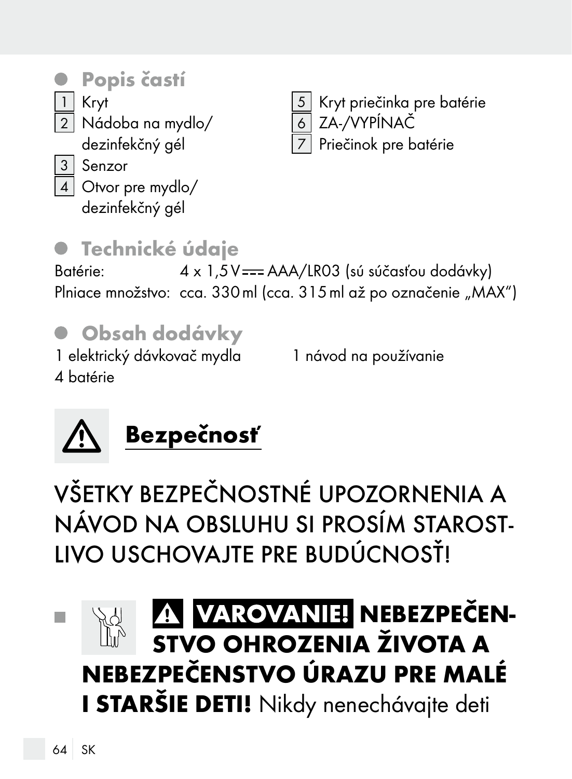### Popis častí

1 Kryt 2 Nádoba na mydlo/

dezinfekčný gél

5 Kryt priečinka pre batérie 6 ZA-/VYPÍNAČ Priečinok pre batérie

3 Senzor

4 Otvor pre mydlo/

dezinfekčný gél

### **• Technické údaje**

Batérie:  $4 \times 1.5V = AAA/LR03$  (sú súčasťou dodávky) Plniace množstvo: cca. 330 ml (cca. 315 ml až po označenie "MAX")

# Obsah dodávky

1 elektrický dávkovač mydla 4 batérie

1 návod na používanie



VŠETKY BEZPEČNOSTNÉ UPOZORNENIA A NÁVOD NA OBSLUHU SI PROSÍM STAROST-LIVO USCHOVAJTE PRE BUDÚCNOSŤ!

#### VAROVANIE! NEBEZPEČEN-**Tall** STVO OHROZENIA ŽIVOTA A NEBEZPEČENSTVO ÚRAZU PRE MALÉ I STARŠIE DETI! Nikdy nenechávajte deti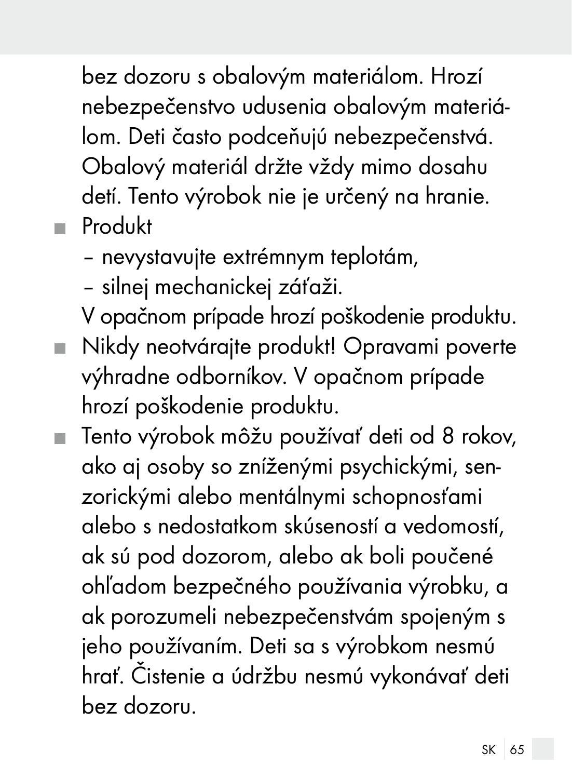bez dozoru s obalovým materiálom. Hrozí nebezpečenstvo udusenia obalovým materiálom. Deti často podceňujú nebezpečenstvá. Obalový materiál držte vždy mimo dosahu detí. Tento výrobok nie je určený na hranie. **Produkt** 

- nevystavujte extrémnym teplotám,
- silnej mechanickej záťaži.
- V opačnom prípade hrozí poškodenie produktu.
- Nikdy neotvárajte produkt! Opravami poverte výhradne odborníkov. V opačnom prípade hrozí poškodenie produktu.
- Tento výrobok môžu používať deti od 8 rokov, ako aj osoby so zníženými psychickými, senzorickými alebo mentálnymi schopnosťami alebo s nedostatkom skúseností a vedomostí, ak sú pod dozorom, alebo ak boli poučené ohľadom bezpečného používania výrobku, a ak porozumeli nebezpečenstvám spojeným s jeho používaním. Deti sa s výrobkom nesmú hrať. Čistenie a údržbu nesmú vykonávať deti bez dozoru.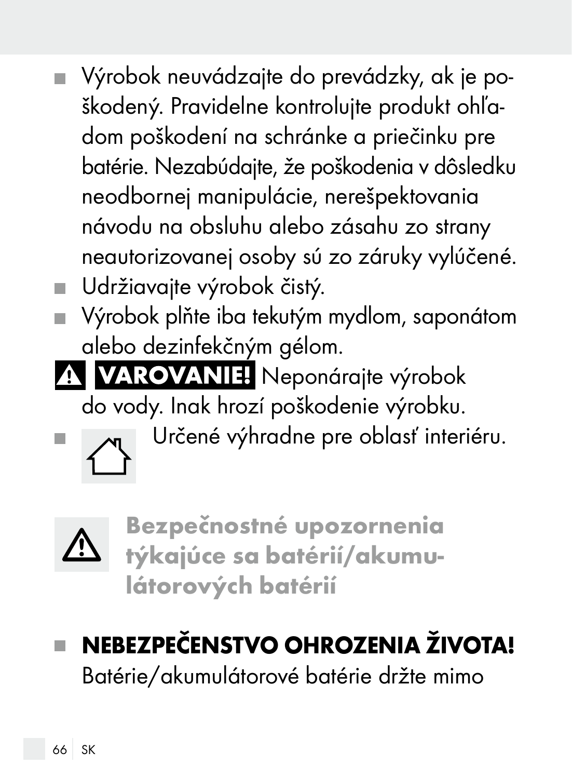- Výrobok neuvádzajte do prevádzky, ak je poškodený. Pravidelne kontrolujte produkt ohľadom poškodení na schránke a priečinku pre batérie. Nezabúdajte, že poškodenia v dôsledku neodbornej manipulácie, nerešpektovania návodu na obsluhu alebo zásahu zo strany neautorizovanej osoby sú zo záruky vylúčené. Udržiavajte výrobok čistý.
- Výrobok plňte iba tekutým mydlom, saponátom alebo dezinfekčným gélom.
- A VAROVANIE! Neponárajte výrobok do vody. Inak hrozí poškodenie výrobku.
- **Určené výhradne pre oblasť interiéru.**



Bezpečnostné upozornenia týkajúce sa batérií/akumulátorových batérií

# NEBEZPEČENSTVO OHROZENIA ŽIVOTA!

Batérie/akumulátorové batérie držte mimo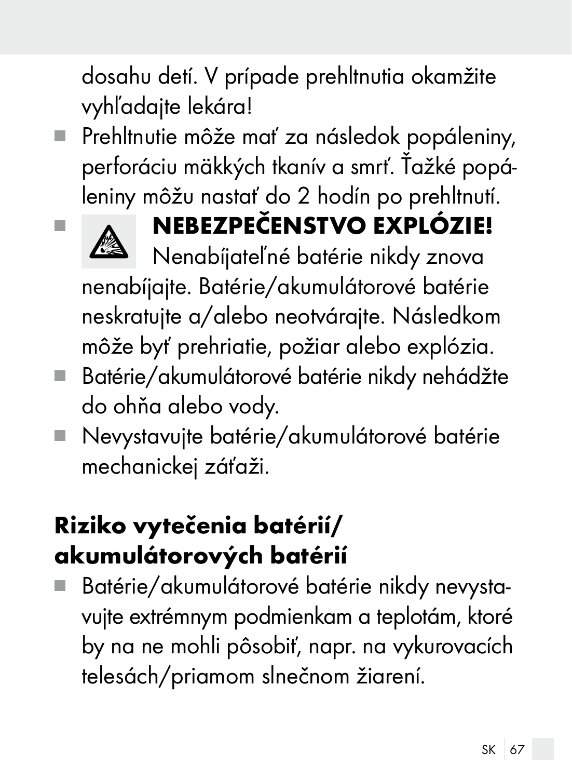dosahu detí. V prípade prehltnutia okamžite vyhľadajte lekára!

Prehltnutie môže mať za následok popáleniny, perforáciu mäkkých tkanív a smrť. Ťažké popáleniny môžu nastať do 2 hodín po prehltnutí.



# **NEBEZPEČENSTVO EXPLÓZIE!**

Nenabíjateľné batérie nikdy znova nenabíjajte. Batérie/akumulátorové batérie neskratujte a/alebo neotvárajte. Následkom môže byť prehriatie, požiar alebo explózia.

- Batérie/akumulátorové batérie nikdy nehádžte do ohňa alebo vody.
- Nevystavujte batérie/akumulátorové batérie mechanickej záťaži.

# Riziko vytečenia batérií/ akumulátorových batérií

 Batérie/akumulátorové batérie nikdy nevystavujte extrémnym podmienkam a teplotám, ktoré by na ne mohli pôsobiť, napr. na vykurovacích telesách/priamom slnečnom žiarení.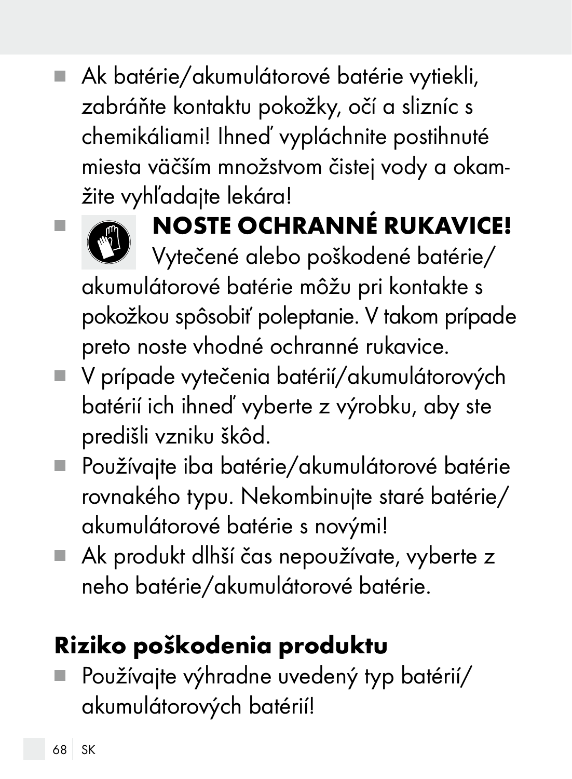Ak batérie/akumulátorové batérie vytiekli, zabráňte kontaktu pokožky, očí a slizníc s chemikáliami! Ihneď vypláchnite postihnuté miesta väčším množstvom čistej vody a okamžite vyhľadajte lekára!



# **NOSTE OCHRANNÉ RUKAVICE!**

Vytečené alebo poškodené batérie/ akumulátorové batérie môžu pri kontakte s pokožkou spôsobiť poleptanie. V takom prípade preto noste vhodné ochranné rukavice.

- V prípade vytečenia batérií/akumulátorových batérií ich ihneď vyberte z výrobku, aby ste predišli vzniku škôd.
- Používajte iba batérie/akumulátorové batérie rovnakého typu. Nekombinujte staré batérie/ akumulátorové batérie s novými!
- Ak produkt dlhší čas nepoužívate, vyberte z neho batérie/akumulátorové batérie.

# Riziko poškodenia produktu

 Používajte výhradne uvedený typ batérií/ akumulátorových batérií!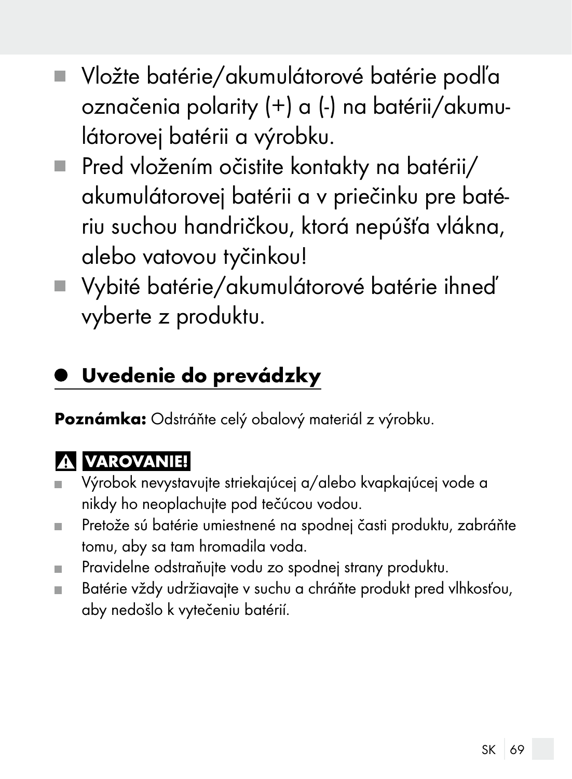- Vložte batérie/akumulátorové batérie podľa označenia polarity (+) a (-) na batérii/akumulátorovej batérii a výrobku.
- Pred vložením očistite kontakty na batérii/ akumulátorovej batérii a v priečinku pre batériu suchou handričkou, ktorá nepúšťa vlákna, alebo vatovou tyčinkou!
- Vybité batérie/akumulátorové batérie ihneď vyberte z produktu.

### Uvedenie do prevádzky

Poznámka: Odstráňte celý obalový materiál z výrobku.

#### **A VAROVANIE!**

- Výrobok nevystavujte striekajúcej a/alebo kvapkajúcej vode a  $\blacksquare$ nikdy ho neoplachujte pod tečúcou vodou.
- Pretože sú batérie umiestnené na spodnej časti produktu, zabráňte ш tomu, aby sa tam hromadila voda.
- Pravidelne odstraňujte vodu zo spodnej strany produktu. m.
- Batérie vždy udržiavajte v suchu a chráňte produkt pred vlhkosťou, aby nedošlo k vytečeniu batérií.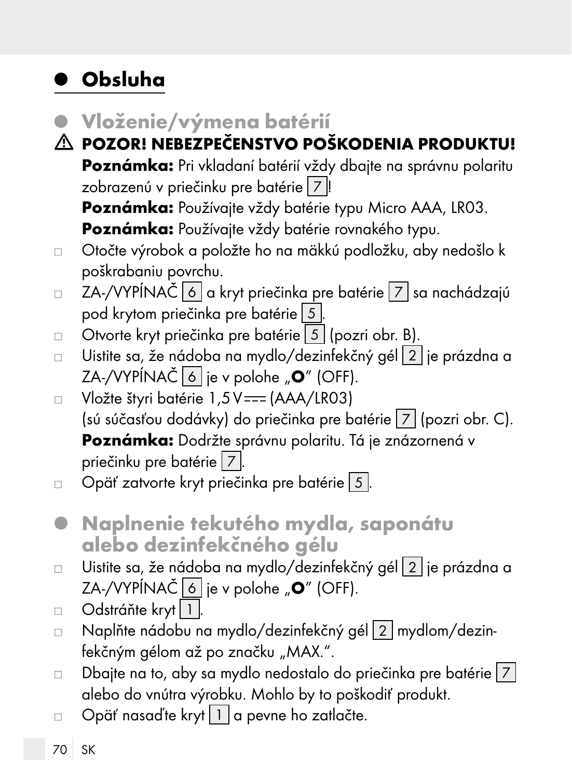### Obsluha

- Vloženie/výmena batérií
- POZOR! NEBEZPEČENSTVO POŠKODENIA PRODUKTU! Poznámka: Pri vkladaní batérií vždy dbajte na správnu polaritu zobrazenú v priečinku pre batérie 7 Poznámka: Používajte vždy batérie typu Micro AAA, LR03.

Poznámka: Používajte vždy batérie rovnakého typu.

- Otočte výrobok a položte ho na mäkkú podložku, aby nedošlo k  $\Box$ poškrabaniu povrchu.
- ZA-/VYPÍNAČ 6 a kryt priečinka pre batérie 7 sa nachádzajú  $\Box$ pod krytom priečinka pre batérie 5 .
- $\Box$  Otvorte kryt priečinka pre batérie 5 (pozri obr. B).
- Uistite sa, že nádoba na mydlo/dezinfekčný gél 2 je prázdna a  $\Box$ ZA-/VYPÍNAČ  $\boxed{6}$  je v polohe " $\degree$  (OFF).
- Vložte štyri batérie 1,5V === (AAA/LR03)  $\Box$ (sú súčasťou dodávky) do priečinka pre batérie 7 (pozri obr. C). Poznámka: Dodržte správnu polaritu. Tá je znázornená v priečinku pre batérie 7
- Opäť zatvorte kryt priečinka pre batérie 5  $\Box$
- Naplnenie tekutého mydla, saponátu alebo dezinfekčného gélu
- Uistite sa, že nádoba na mydlo/dezinfekčný gél 2 je prázdna a  $\Box$ ZA-/VYPÍNAČ  $\boxed{6}$  je v polohe " $\boxed{0}$ " (OFF).
- Odstráňte kryt | 1 |  $\Box$
- □ Naplňte nádobu na mydlo/dezinfekčný gél 2 mydlom/dezinfekčným gélom až po značku "MAX.".
- $\Box$  Dbajte na to, aby sa mydlo nedostalo do priečinka pre batérie  $|7|$ alebo do vnútra výrobku. Mohlo by to poškodiť produkt.
- Opäť nasaďte kryt $|1|$ a pevne ho zatlačte.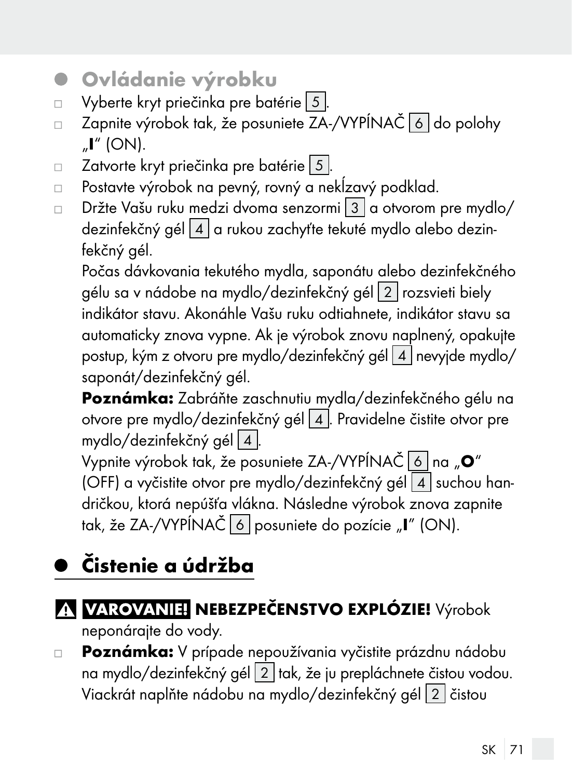- Ovládanie výrobku  $\bullet$
- Vyberte kryt priečinka pre batérie 5.  $\Box$
- Zapnite výrobok tak, že posuniete ZA-/VYPÍNAČ 6 do polohy  $\Box$  $\mathbb{I}$ " (ON).
- Zatvorte kryt priečinka pre batérie 5  $\Box$
- Postavte výrobok na pevný, rovný a nekĺzavý podklad.  $\Box$
- Držte Vašu ruku medzi dvoma senzormi 3 a otvorom pre mydlo/  $\Box$ dezinfekčný gél  $\boxed{4}$  a rukou zachyťte tekuté mydlo alebo dezinfekčný gél.

Počas dávkovania tekutého mydla, saponátu alebo dezinfekčného gélu sa v nádobe na mydlo/dezinfekčný gél 2 rozsvieti biely indikátor stavu. Akonáhle Vašu ruku odtiahnete, indikátor stavu sa automaticky znova vypne. Ak je výrobok znovu naplnený, opakujte postup, kým z otvoru pre mydlo/dezinfekčný gél 4 nevyjde mydlo/ saponát/dezinfekčný gél.

Poznámka: Zabráňte zaschnutiu mydla/dezinfekčného gélu na otvore pre mydlo/dezinfekčný gél 4. Pravidelne čistite otvor pre mydlo/dezinfekčný gél 4 .

Vypnite výrobok tak, že posuniete ZA-/VYPÍNAČ 6 na "O" (OFF) a vyčistite otvor pre mydlo/dezinfekčný gél  $4$  suchou handričkou, ktorá nepúšťa vlákna. Následne výrobok znova zapnite tak, že ZA-/VYPÍNAČ 6 posuniete do pozície "I" (ON).

# Čistenie a údržba

#### A VAROVANIEI NEBEZPEČENSTVO EXPLÓZIE! Výrobok

neponárajte do vody.

Poznámka: V prípade nepoužívania vyčistite prázdnu nádobu  $\Box$ na mydlo/dezinfekčný gél 2 tak, že ju prepláchnete čistou vodou. Viackrát naplňte nádobu na mydlo/dezinfekčný gél 2 čistou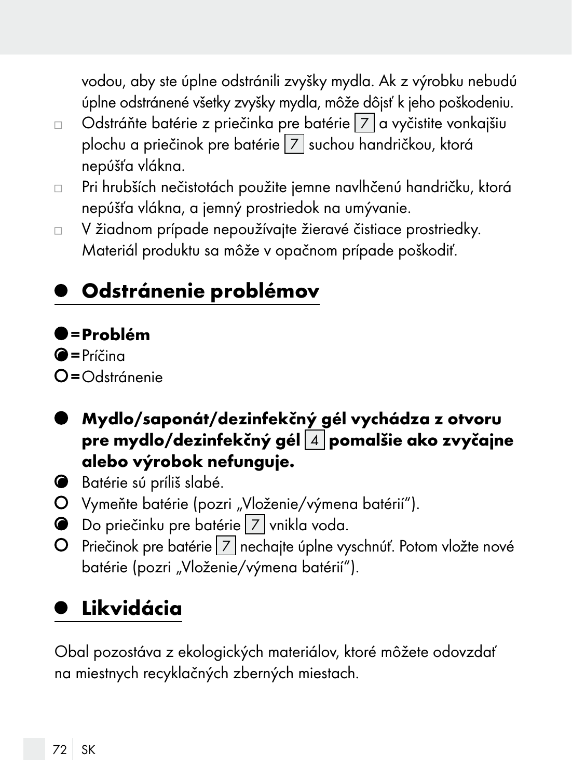vodou, aby ste úplne odstránili zvyšky mydla. Ak z výrobku nebudú úplne odstránené všetky zvyšky mydla, môže dôjsť k jeho poškodeniu.

- Odstráňte batérie z priečinka pre batérie 7 a vyčistite vonkajšiu  $\Box$ plochu a priečinok pre batérie 7 suchou handričkou, ktorá nepúšťa vlákna.
- Pri hrubších nečistotách použite jemne navlhčenú handričku, ktorá  $\Box$ nepúšťa vlákna, a jemný prostriedok na umývanie.
- V žiadnom prípade nepoužívajte žieravé čistiace prostriedky.  $\Box$ Materiál produktu sa môže v opačnom prípade poškodiť.

# Odstránenie problémov

#### $\bullet$ =Problém

 $\bullet$ =Príčina

- $O =$ Odstránenie
- Mydlo/saponát/dezinfekčný gél vychádza z otvoru pre mydlo/dezinfekčný gél $\boxed{4}$  pomalšie ako zvyčajne alebo výrobok nefunguje.
- Batérie sú príliš slabé.
- O Vymeňte batérie (pozri "Vloženie/výmena batérií").
- Do priečinku pre batérie 7 vnikla voda.
- Priečinok pre batérie 7 nechajte úplne vyschnúť. Potom vložte nové batérie (pozri "Vloženie/výmena batérií").

## Likvidácia

Obal pozostáva z ekologických materiálov, ktoré môžete odovzdať na miestnych recyklačných zberných miestach.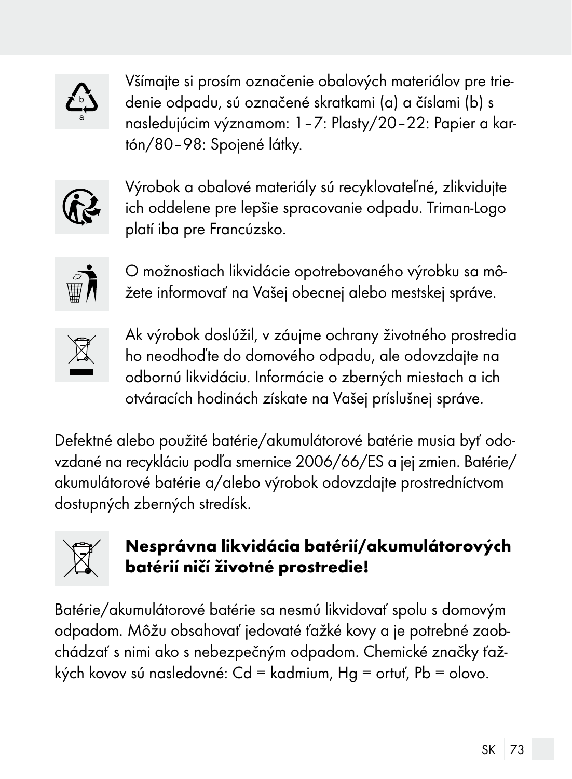

Všímajte si prosím označenie obalových materiálov pre triedenie odpadu, sú označené skratkami (a) a číslami (b) s nasledujúcim významom: 1–7: Plasty/20–22: Papier a kartón/80–98: Spojené látky.



Výrobok a obalové materiály sú recyklovateľné, zlikvidujte ich oddelene pre lepšie spracovanie odpadu. Triman-Logo platí iba pre Francúzsko.



O možnostiach likvidácie opotrebovaného výrobku sa môžete informovať na Vašej obecnej alebo mestskej správe.



Ak výrobok doslúžil, v záujme ochrany životného prostredia ho neodhoďte do domového odpadu, ale odovzdajte na odbornú likvidáciu. Informácie o zberných miestach a ich otváracích hodinách získate na Vašej príslušnej správe.

Defektné alebo použité batérie/akumulátorové batérie musia byť odovzdané na recykláciu podľa smernice 2006/66/ES a jej zmien. Batérie/ akumulátorové batérie a/alebo výrobok odovzdajte prostredníctvom dostupných zberných stredísk.



#### Nesprávna likvidácia batérií/akumulátorových batérií ničí životné prostredie!

Batérie/akumulátorové batérie sa nesmú likvidovať spolu s domovým odpadom. Môžu obsahovať jedovaté ťažké kovy a je potrebné zaobchádzať s nimi ako s nebezpečným odpadom. Chemické značky ťažkých kovov sú nasledovné: Cd = kadmium, Hg = ortuť, Pb = olovo.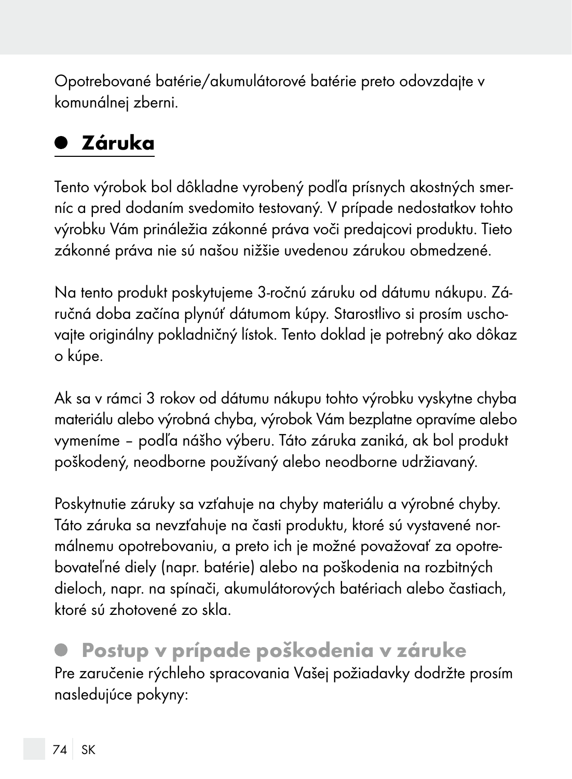Opotrebované batérie/akumulátorové batérie preto odovzdajte v komunálnej zberni.

## Záruka

Tento výrobok bol dôkladne vyrobený podľa prísnych akostných smerníc a pred dodaním svedomito testovaný. V prípade nedostatkov tohto výrobku Vám prináležia zákonné práva voči predajcovi produktu. Tieto zákonné práva nie sú našou nižšie uvedenou zárukou obmedzené.

Na tento produkt poskytujeme 3-ročnú záruku od dátumu nákupu. Záručná doba začína plynúť dátumom kúpy. Starostlivo si prosím uschovajte originálny pokladničný lístok. Tento doklad je potrebný ako dôkaz o kúpe.

Ak sa v rámci 3 rokov od dátumu nákupu tohto výrobku vyskytne chyba materiálu alebo výrobná chyba, výrobok Vám bezplatne opravíme alebo vymeníme – podľa nášho výberu. Táto záruka zaniká, ak bol produkt poškodený, neodborne používaný alebo neodborne udržiavaný.

Poskytnutie záruky sa vzťahuje na chyby materiálu a výrobné chyby. Táto záruka sa nevzťahuje na časti produktu, ktoré sú vystavené normálnemu opotrebovaniu, a preto ich je možné považovať za opotrebovateľné diely (napr. batérie) alebo na poškodenia na rozbitných dieloch, napr. na spínači, akumulátorových batériach alebo častiach, ktoré sú zhotovené zo skla.

 Postup v prípade poškodenia v záruke Pre zaručenie rýchleho spracovania Vašej požiadavky dodržte prosím nasledujúce pokyny: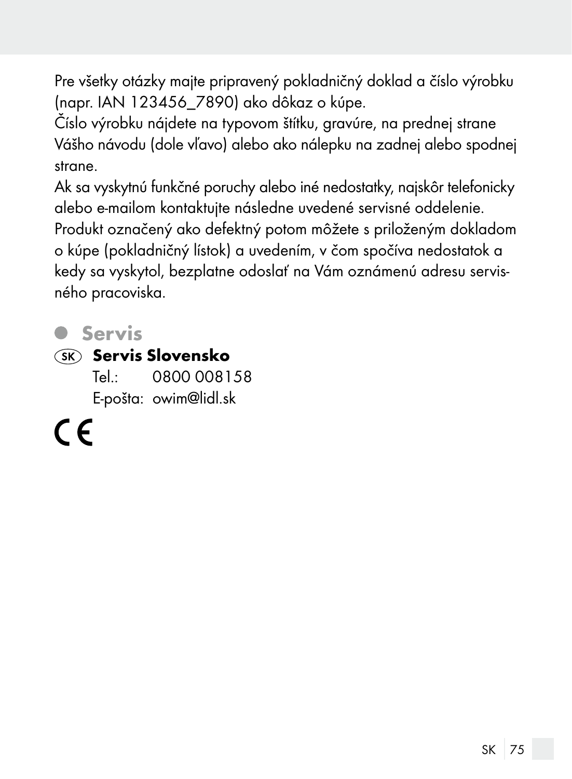Pre všetky otázky majte pripravený pokladničný doklad a číslo výrobku (napr. IAN 123456\_7890) ako dôkaz o kúpe.

Číslo výrobku nájdete na typovom štítku, gravúre, na prednej strane Vášho návodu (dole vľavo) alebo ako nálepku na zadnej alebo spodnej strane.

Ak sa vyskytnú funkčné poruchy alebo iné nedostatky, najskôr telefonicky alebo e-mailom kontaktujte následne uvedené servisné oddelenie. Produkt označený ako defektný potom môžete s priloženým dokladom o kúpe (pokladničný lístok) a uvedením, v čom spočíva nedostatok a kedy sa vyskytol, bezplatne odoslať na Vám oznámenú adresu servisného pracoviska.

### Servis

#### **SK** Servis Slovensko

Tel.: 0800 008158 E-pošta: owim@lidl.sk

( F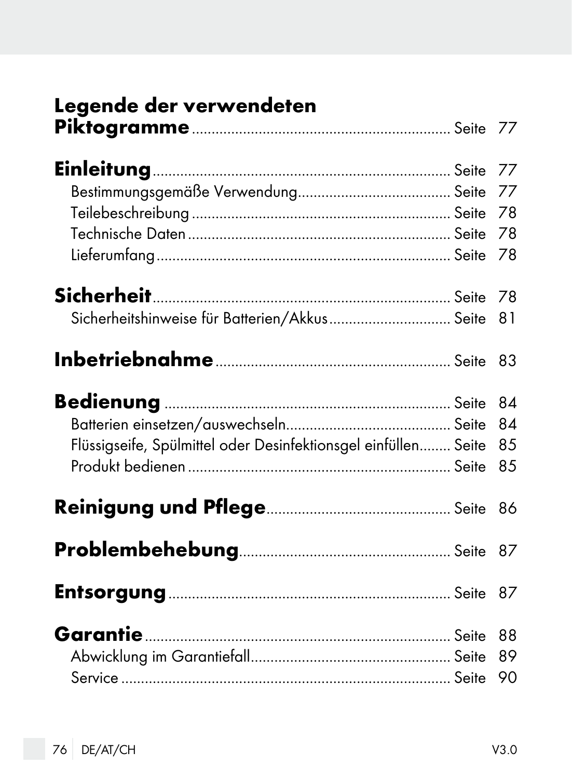| Legende der verwendeten                                        |    |
|----------------------------------------------------------------|----|
|                                                                |    |
|                                                                |    |
|                                                                |    |
|                                                                |    |
|                                                                |    |
|                                                                |    |
|                                                                |    |
| Sicherheitshinweise für Batterien/Akkus Seite                  | 81 |
|                                                                |    |
|                                                                |    |
|                                                                | 84 |
| Flüssigseife, Spülmittel oder Desinfektionsgel einfüllen Seite | 85 |
|                                                                | 85 |
|                                                                |    |
|                                                                |    |
|                                                                |    |
|                                                                | 88 |
|                                                                | 89 |
|                                                                |    |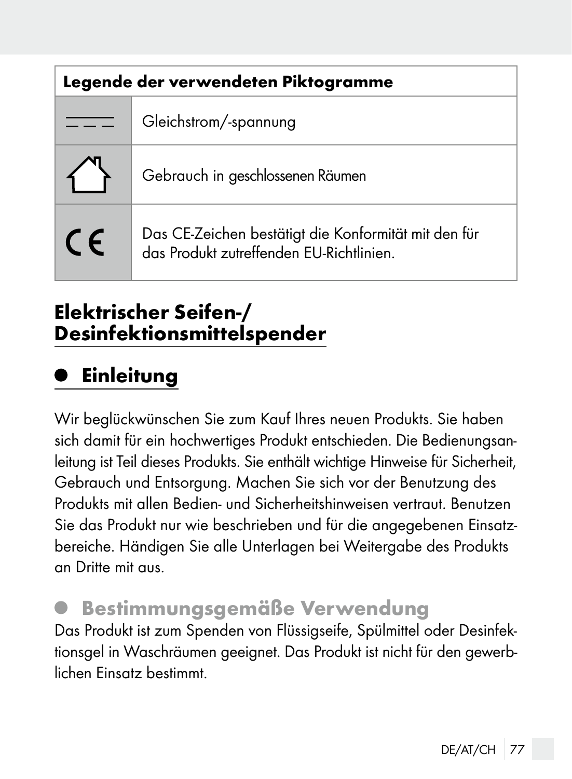| Legende der verwendeten Piktogramme |                                                                                                  |
|-------------------------------------|--------------------------------------------------------------------------------------------------|
| . — -                               | Gleichstrom/-spannung                                                                            |
|                                     | Gebrauch in geschlossenen Räumen                                                                 |
| <b>CE</b>                           | Das CE-Zeichen bestätigt die Konformität mit den für<br>das Produkt zutreffenden EU-Richtlinien. |

#### Elektrischer Seifen-/ Desinfektionsmittelspender

## Einleitung

Wir beglückwünschen Sie zum Kauf Ihres neuen Produkts. Sie haben sich damit für ein hochwertiges Produkt entschieden. Die Bedienungsanleitung ist Teil dieses Produkts. Sie enthält wichtige Hinweise für Sicherheit, Gebrauch und Entsorgung. Machen Sie sich vor der Benutzung des Produkts mit allen Bedien- und Sicherheitshinweisen vertraut. Benutzen Sie das Produkt nur wie beschrieben und für die angegebenen Einsatzbereiche. Händigen Sie alle Unterlagen bei Weitergabe des Produkts an Dritte mit aus.

### Bestimmungsgemäße Verwendung

Das Produkt ist zum Spenden von Flüssigseife, Spülmittel oder Desinfektionsgel in Waschräumen geeignet. Das Produkt ist nicht für den gewerblichen Einsatz bestimmt.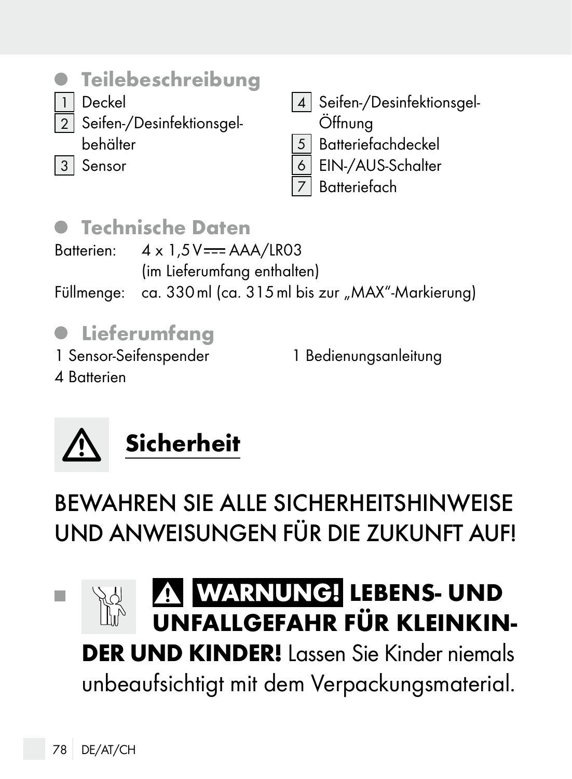

- 1 Deckel
	- 2 Seifen-/Desinfektionsgel
		- behälter
- 3 Sensor
- 4 | Seifen-/Desinfektionsgel-Öffnung
- 5 Batteriefachdeckel
- EIN-/AUS-Schalter
- **Batteriefach**

### Technische Daten

Batterien:  $4 \times 1.5V = -AAA/LR03$ (im Lieferumfang enthalten) Füllmenge: ca. 330 ml (ca. 315 ml bis zur "MAX"-Markierung)

## $\bullet$  Lieferumfang

1 Sensor-Seifenspender

4 Batterien

1 Bedienungsanleitung



BEWAHREN SIE ALLE SICHERHEITSHINWEISE UND ANWEISUNGEN FÜR DIE ZUKUNFT AUF!

#### **WARNUNG! LEBENS- UND** П UNFALLGEFAHR FÜR KLEINKIN-

DER UND KINDER! Lassen Sie Kinder niemals unbeaufsichtigt mit dem Verpackungsmaterial.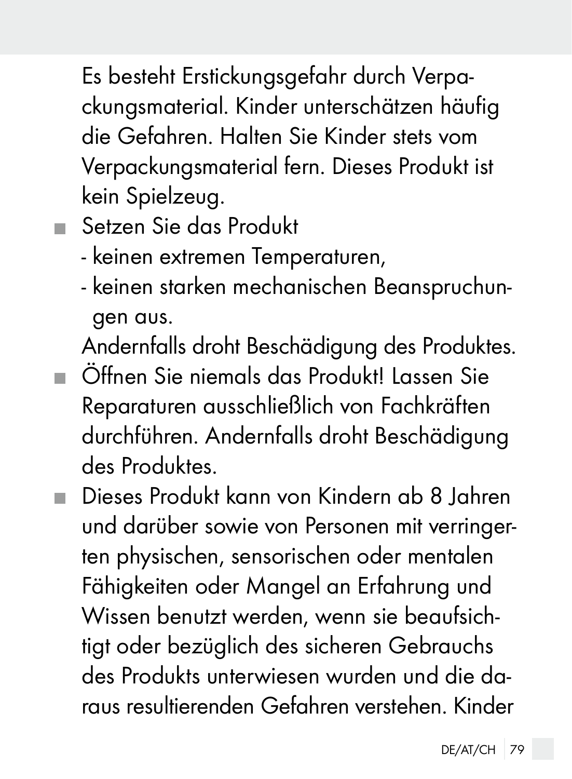Es besteht Erstickungsgefahr durch Verpackungsmaterial. Kinder unterschätzen häufig die Gefahren. Halten Sie Kinder stets vom Verpackungsmaterial fern. Dieses Produkt ist kein Spielzeug.

Setzen Sie das Produkt

- keinen extremen Temperaturen,
- keinen starken mechanischen Beanspruchungen aus.

Andernfalls droht Beschädigung des Produktes.

- Öffnen Sie niemals das Produkt! Lassen Sie Reparaturen ausschließlich von Fachkräften durchführen. Andernfalls droht Beschädigung des Produktes.
- Dieses Produkt kann von Kindern ab 8 Jahren und darüber sowie von Personen mit verringerten physischen, sensorischen oder mentalen Fähigkeiten oder Mangel an Erfahrung und Wissen benutzt werden, wenn sie beaufsichtigt oder bezüglich des sicheren Gebrauchs des Produkts unterwiesen wurden und die daraus resultierenden Gefahren verstehen. Kinder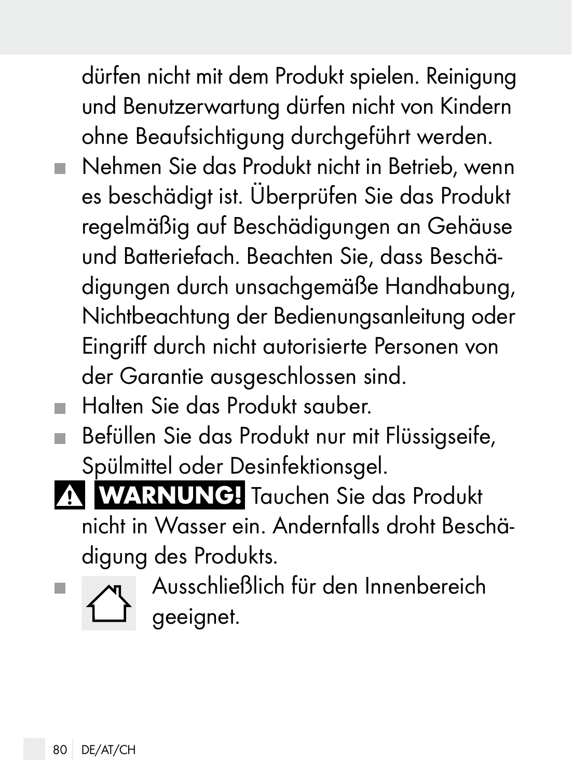dürfen nicht mit dem Produkt spielen. Reinigung und Benutzerwartung dürfen nicht von Kindern ohne Beaufsichtigung durchgeführt werden.

- Nehmen Sie das Produkt nicht in Betrieb, wenn es beschädigt ist. Überprüfen Sie das Produkt regelmäßig auf Beschädigungen an Gehäuse und Batteriefach. Beachten Sie, dass Beschädigungen durch unsachgemäße Handhabung, Nichtbeachtung der Bedienungsanleitung oder Eingriff durch nicht autorisierte Personen von der Garantie ausgeschlossen sind.
- Halten Sie das Produkt sauber.
- Befüllen Sie das Produkt nur mit Flüssigseife, Spülmittel oder Desinfektionsgel.

A WARNUNG! Tauchen Sie das Produkt nicht in Wasser ein. Andernfalls droht Beschädigung des Produkts.

Ausschließlich für den Innenbereich geeignet.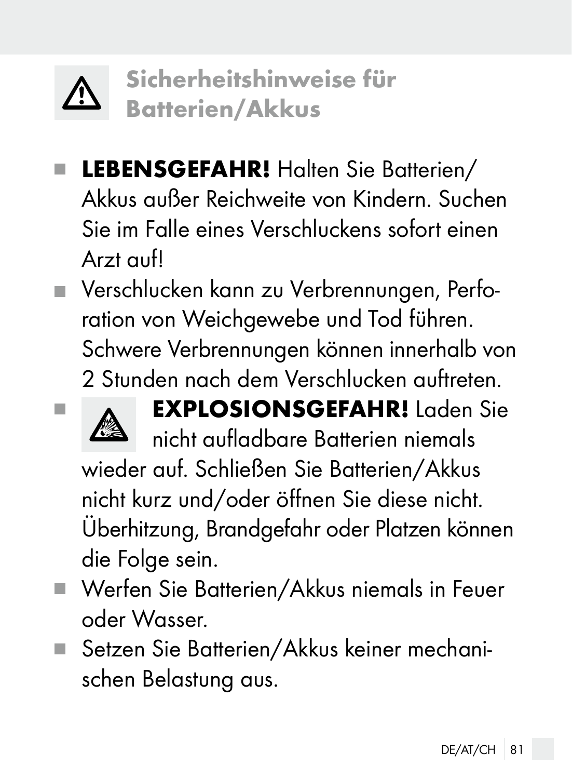

Sicherheitshinweise für Batterien/Akkus

- LEBENSGEFAHR! Halten Sie Batterien/ Akkus außer Reichweite von Kindern. Suchen Sie im Falle eines Verschluckens sofort einen Arzt auf!
- Verschlucken kann zu Verbrennungen, Perforation von Weichgewebe und Tod führen. Schwere Verbrennungen können innerhalb von 2 Stunden nach dem Verschlucken auftreten.



**EXPLOSIONSGEFAHR!** Laden Sie nicht aufladbare Batterien niemals wieder auf. Schließen Sie Batterien/Akkus nicht kurz und/oder öffnen Sie diese nicht. Überhitzung, Brandgefahr oder Platzen können die Folge sein.

- Werfen Sie Batterien/Akkus niemals in Feuer oder Wasser.
- Setzen Sie Batterien/Akkus keiner mechanischen Belastung aus.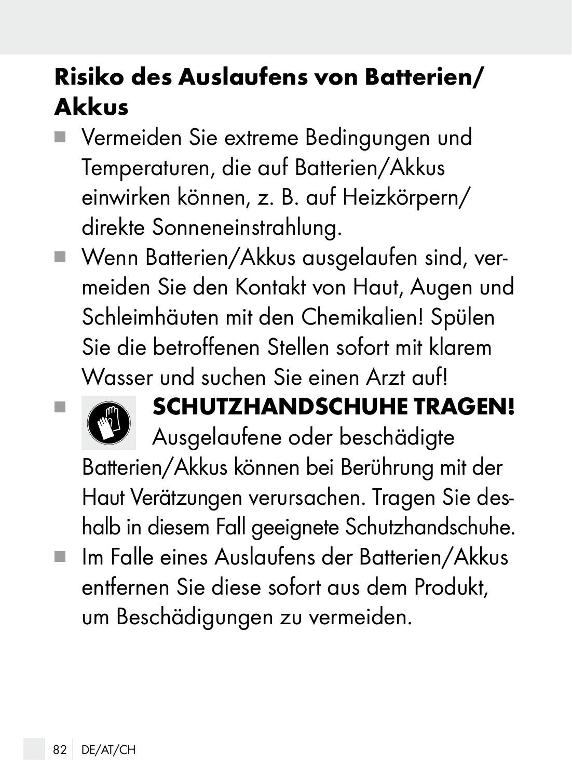## Risiko des Auslaufens von Batterien/ Akkus

- Vermeiden Sie extreme Bedingungen und Temperaturen, die auf Batterien/Akkus einwirken können, z. B. auf Heizkörpern/ direkte Sonneneinstrahlung.
- Wenn Batterien/Akkus ausgelaufen sind, vermeiden Sie den Kontakt von Haut, Augen und Schleimhäuten mit den Chemikalien! Spülen Sie die betroffenen Stellen sofort mit klarem Wasser und suchen Sie einen Arzt aufl



## **EXAMPLE TRAGEN!**

Ausgelaufene oder beschädigte Batterien/Akkus können bei Berührung mit der Haut Verätzungen verursachen. Tragen Sie deshalb in diesem Fall geeignete Schutzhandschuhe.

 Im Falle eines Auslaufens der Batterien/Akkus entfernen Sie diese sofort aus dem Produkt, um Beschädigungen zu vermeiden.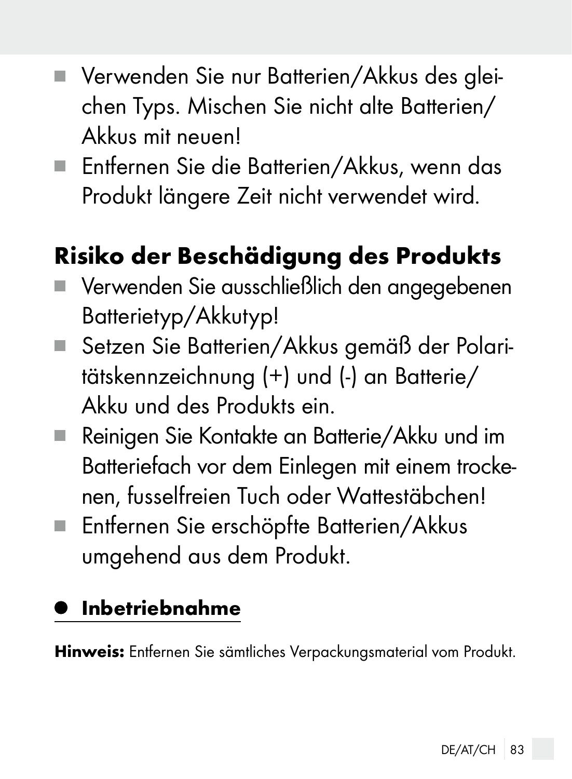- Verwenden Sie nur Batterien/Akkus des aleichen Typs. Mischen Sie nicht alte Batterien/ Akkus mit neuen!
- Entfernen Sie die Batterien/Akkus, wenn das Produkt längere Zeit nicht verwendet wird.

# Risiko der Beschädigung des Produkts

- Verwenden Sie ausschließlich den angegebenen Batterietyp/Akkutyp!
- Setzen Sie Batterien/Akkus gemäß der Polaritätskennzeichnung (+) und (-) an Batterie/ Akku und des Produkts ein.
- Reinigen Sie Kontakte an Batterie/Akku und im Batteriefach vor dem Einlegen mit einem trockenen, fusselfreien Tuch oder Wattestäbchen!
- Entfernen Sie erschöpfte Batterien/Akkus umgehend aus dem Produkt.

### Inbetriebnahme

Hinweis: Entfernen Sie sämtliches Verpackungsmaterial vom Produkt.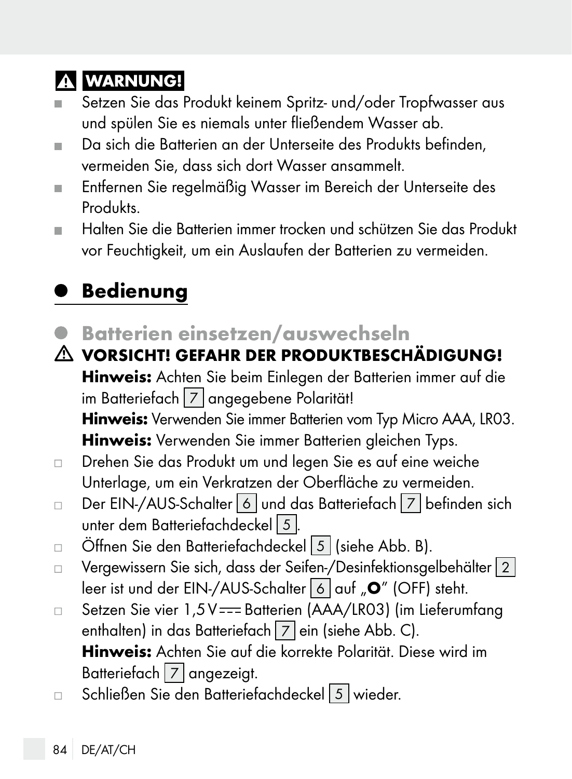### **A WARNUNG!**

- Setzen Sie das Produkt keinem Spritz- und/oder Tropfwasser aus und spülen Sie es niemals unter fließendem Wasser ab.
- Da sich die Batterien an der Unterseite des Produkts befinden, ш vermeiden Sie, dass sich dort Wasser ansammelt.
- Entfernen Sie regelmäßig Wasser im Bereich der Unterseite des  $\blacksquare$ Produkts.
- Halten Sie die Batterien immer trocken und schützen Sie das Produkt vor Feuchtigkeit, um ein Auslaufen der Batterien zu vermeiden.

## Bedienung

Batterien einsetzen/auswechseln

VORSICHT! GEFAHR DER PRODUKTBESCHÄDIGUNG! Hinweis: Achten Sie beim Einlegen der Batterien immer auf die im Batteriefach 7 angegebene Polarität! Hinweis: Verwenden Sie immer Batterien vom Typ Micro AAA, LR03. Hinweis: Verwenden Sie immer Batterien gleichen Typs.

- Drehen Sie das Produkt um und legen Sie es auf eine weiche  $\Box$ Unterlage, um ein Verkratzen der Oberfläche zu vermeiden.
- Der EIN-/AUS-Schalter 6 und das Batteriefach 7 befinden sich  $\Box$ unter dem Batteriefachdeckel 5
- Öffnen Sie den Batteriefachdeckel 5 (siehe Abb. B).  $\Box$
- Vergewissern Sie sich, dass der Seifen-/Desinfektionsgelbehälter 2  $\Box$ leer ist und der EIN-/AUS-Schalter 6 auf "O" (OFF) steht.
- Setzen Sie vier 1,5V === Batterien (AAA/LR03) (im Lieferumfang  $\Box$ enthalten) in das Batteriefach [7] ein (siehe Abb. C). Hinweis: Achten Sie auf die korrekte Polarität. Diese wird im Batteriefach 7 angezeigt.
- Schließen Sie den Batteriefachdeckel 5 wieder. $\Box$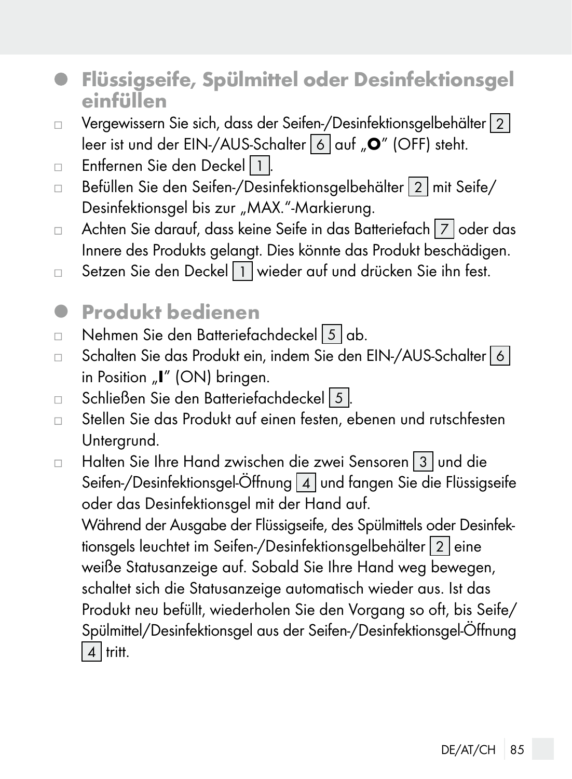- Flüssigseife, Spülmittel oder Desinfektionsgel einfüllen
- Vergewissern Sie sich, dass der Seifen-/Desinfektionsgelbehälter 2  $\Box$ leer ist und der EIN-/AUS-Schalter 6 auf "<sup>O</sup>" (OFF) steht.
- Entfernen Sie den Deckel 1.  $\Box$
- Befüllen Sie den Seifen-/Desinfektionsgelbehälter 2 mit Seife/ Desinfektionsgel bis zur "MAX."-Markierung.
- $\Box$  Achten Sie darauf, dass keine Seife in das Batteriefach  $|7|$  oder das Innere des Produkts gelangt. Dies könnte das Produkt beschädigen.
- Setzen Sie den Deckel 1 wieder auf und drücken Sie ihn fest.  $\Box$
- <sup>Q</sup> Produkt bedienen
- Nehmen Sie den Batteriefachdeckel 5 ab.  $\Box$
- Schalten Sie das Produkt ein, indem Sie den EIN-/AUS-Schalter 6  $\Box$ in Position "I" (ON) bringen.
- Schließen Sie den Batteriefachdeckel 5 .  $\Box$
- Stellen Sie das Produkt auf einen festen, ebenen und rutschfesten  $\Box$ Untergrund.
- Halten Sie Ihre Hand zwischen die zwei Sensoren 3 und die  $\Box$ Seifen-/Desinfektionsgel-Öffnung 4 und fangen Sie die Flüssigseife oder das Desinfektionsgel mit der Hand auf. Während der Ausgabe der Flüssigseife, des Spülmittels oder Desinfektionsgels leuchtet im Seifen-/Desinfektionsgelbehälter 2 eine weiße Statusanzeige auf. Sobald Sie Ihre Hand weg bewegen, schaltet sich die Statusanzeige automatisch wieder aus. Ist das Produkt neu befüllt, wiederholen Sie den Vorgang so oft, bis Seife/ Spülmittel/Desinfektionsgel aus der Seifen-/Desinfektionsgel-Öffnung  $\boxed{4}$  tritt.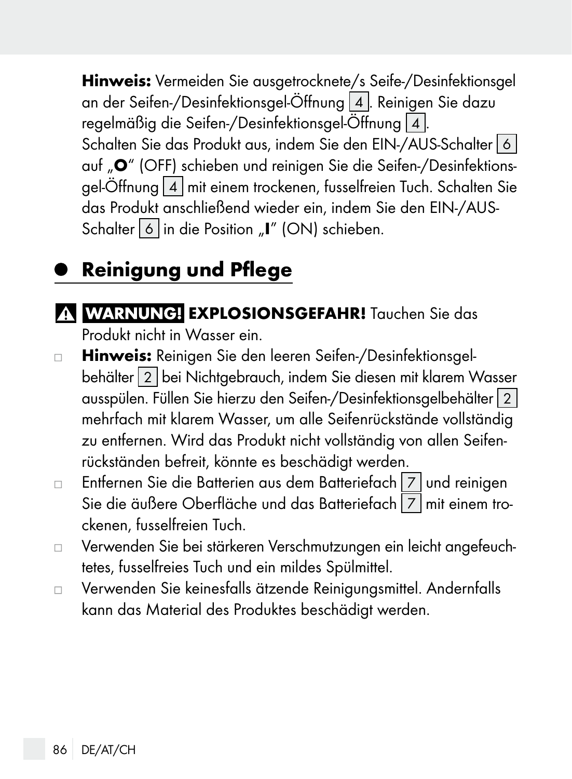Hinweis: Vermeiden Sie ausgetrocknete/s Seife-/Desinfektionsgel an der Seifen-/Desinfektionsgel-Öffnung 4. Reinigen Sie dazu regelmäßig die Seifen-/Desinfektionsgel-Öffnung 4. Schalten Sie das Produkt aus, indem Sie den EIN-/AUS-Schalter 6 auf "<sup>O</sup>" (OFF) schieben und reinigen Sie die Seifen-/Desinfektionsgel-Öffnung 4 mit einem trockenen, fusselfreien Tuch. Schalten Sie das Produkt anschließend wieder ein, indem Sie den EIN-/AUS-Schalter 6 in die Position "I" (ON) schieben.

### Reinigung und Pflege

- A WARNUNG! EXPLOSIONSGEFAHR! Tauchen Sie das Produkt nicht in Wasser ein.
- Hinweis: Reinigen Sie den leeren Seifen-/Desinfektionsgel- $\Box$ behälter 2 bei Nichtgebrauch, indem Sie diesen mit klarem Wasser ausspülen. Füllen Sie hierzu den Seifen-/Desinfektionsgelbehälter 2 mehrfach mit klarem Wasser, um alle Seifenrückstände vollständig zu entfernen. Wird das Produkt nicht vollständig von allen Seifenrückständen befreit, könnte es beschädigt werden.
- Entfernen Sie die Batterien aus dem Batteriefach | 7 und reinigen  $\Box$ Sie die äußere Oberfläche und das Batteriefach 7 mit einem trockenen, fusselfreien Tuch.
- Verwenden Sie bei stärkeren Verschmutzungen ein leicht angefeuch- $\Box$ tetes, fusselfreies Tuch und ein mildes Spülmittel.
- Verwenden Sie keinesfalls ätzende Reinigungsmittel. Andernfalls  $\Box$ kann das Material des Produktes beschädigt werden.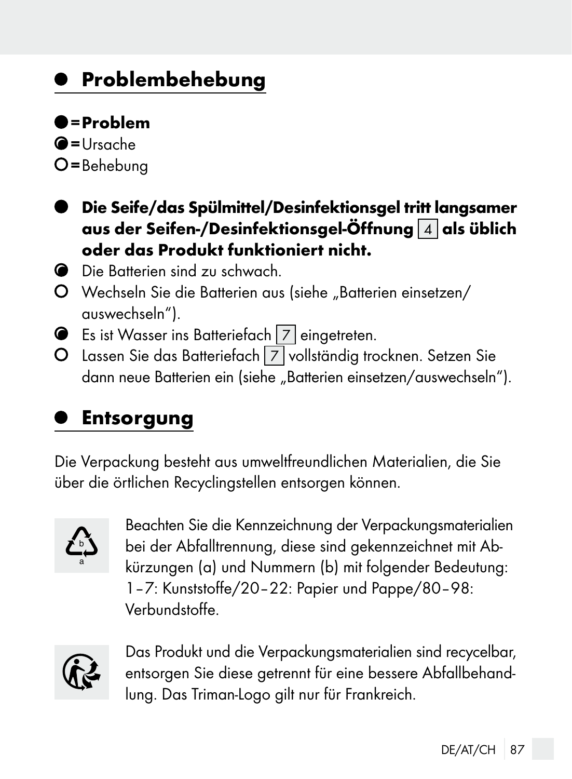### Problembehebung

#### $<sub>en</sub>$ </sub>

- $\bigcirc$ =Ursache
- $O$  = Behebung
- Die Seife/das Spülmittel/Desinfektionsgel tritt langsamer aus der Seifen-/Desinfektionsgel-Öffnung  $\boxed{4}$  als üblich oder das Produkt funktioniert nicht.
- Die Batterien sind zu schwach.
- O Wechseln Sie die Batterien aus (siehe "Batterien einsetzen/ auswechseln").
- **Es ist Wasser ins Batteriefach 7 eingetreten.**
- O Lassen Sie das Batteriefach 7 vollständig trocknen. Setzen Sie dann neue Batterien ein (siehe "Batterien einsetzen/auswechseln").

### Entsorgung

Die Verpackung besteht aus umweltfreundlichen Materialien, die Sie über die örtlichen Recyclingstellen entsorgen können.



Beachten Sie die Kennzeichnung der Verpackungsmaterialien bei der Abfalltrennung, diese sind gekennzeichnet mit Abkürzungen (a) und Nummern (b) mit folgender Bedeutung: 1–7: Kunststoffe/20–22: Papier und Pappe/80–98: Verbundstoffe.



Das Produkt und die Verpackungsmaterialien sind recycelbar, entsorgen Sie diese getrennt für eine bessere Abfallbehandlung. Das Triman-Logo gilt nur für Frankreich.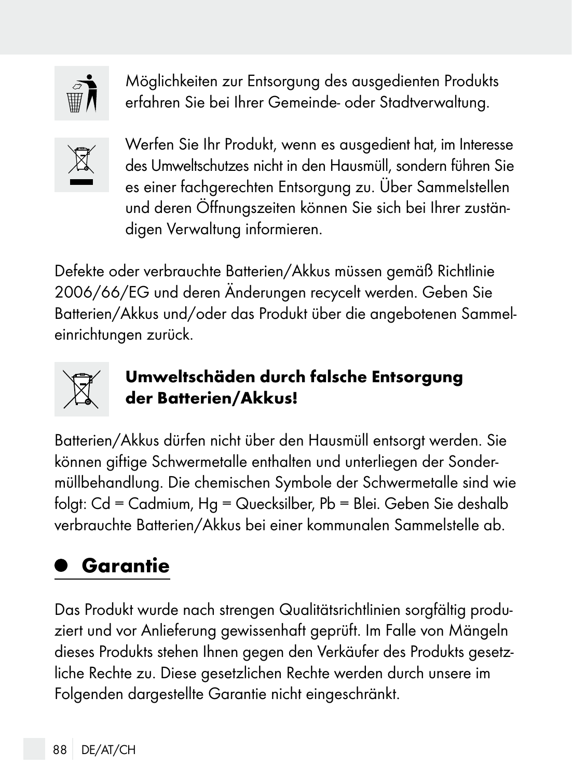

Möglichkeiten zur Entsorgung des ausgedienten Produkts erfahren Sie bei Ihrer Gemeinde- oder Stadtverwaltung.



Werfen Sie Ihr Produkt, wenn es ausgedient hat, im Interesse des Umweltschutzes nicht in den Hausmüll, sondern führen Sie es einer fachgerechten Entsorgung zu. Über Sammelstellen und deren Öffnungszeiten können Sie sich bei Ihrer zuständigen Verwaltung informieren.

Defekte oder verbrauchte Batterien/Akkus müssen gemäß Richtlinie 2006/66/EG und deren Änderungen recycelt werden. Geben Sie Batterien/Akkus und/oder das Produkt über die angebotenen Sammeleinrichtungen zurück.



#### Umweltschäden durch falsche Entsorgung der Batterien/Akkus!

Batterien/Akkus dürfen nicht über den Hausmüll entsorgt werden. Sie können giftige Schwermetalle enthalten und unterliegen der Sondermüllbehandlung. Die chemischen Symbole der Schwermetalle sind wie folgt: Cd = Cadmium, Hg = Quecksilber, Pb = Blei. Geben Sie deshalb verbrauchte Batterien/Akkus bei einer kommunalen Sammelstelle ab.

## Garantie

Das Produkt wurde nach strengen Qualitätsrichtlinien sorgfältig produziert und vor Anlieferung gewissenhaft geprüft. Im Falle von Mängeln dieses Produkts stehen Ihnen gegen den Verkäufer des Produkts gesetzliche Rechte zu. Diese gesetzlichen Rechte werden durch unsere im Folgenden dargestellte Garantie nicht eingeschränkt.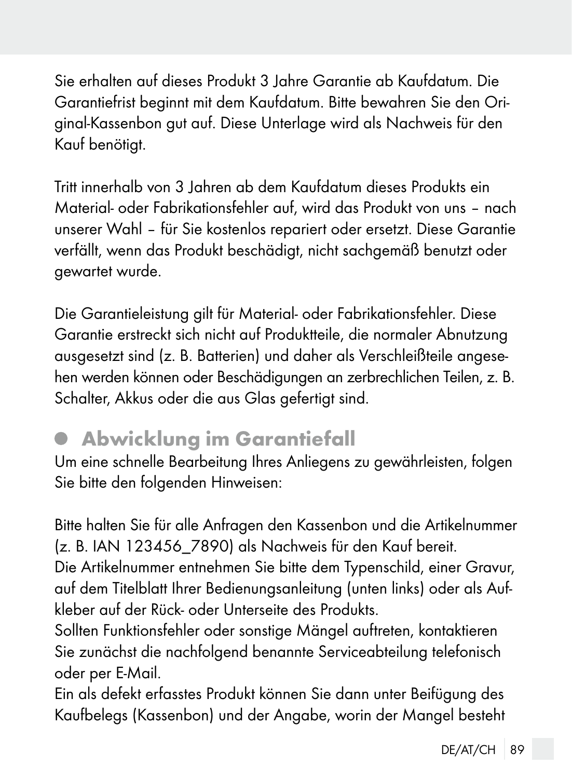Sie erhalten auf dieses Produkt 3 Jahre Garantie ab Kaufdatum. Die Garantiefrist beginnt mit dem Kaufdatum. Bitte bewahren Sie den Original-Kassenbon gut auf. Diese Unterlage wird als Nachweis für den Kauf benötigt.

Tritt innerhalb von 3 Jahren ab dem Kaufdatum dieses Produkts ein Material- oder Fabrikationsfehler auf, wird das Produkt von uns – nach unserer Wahl – für Sie kostenlos repariert oder ersetzt. Diese Garantie verfällt, wenn das Produkt beschädigt, nicht sachgemäß benutzt oder gewartet wurde.

Die Garantieleistung gilt für Material- oder Fabrikationsfehler. Diese Garantie erstreckt sich nicht auf Produktteile, die normaler Abnutzung ausgesetzt sind (z. B. Batterien) und daher als Verschleißteile angesehen werden können oder Beschädigungen an zerbrechlichen Teilen, z. B. Schalter, Akkus oder die aus Glas gefertigt sind.

### Abwicklung im Garantiefall

Um eine schnelle Bearbeitung Ihres Anliegens zu gewährleisten, folgen Sie bitte den folgenden Hinweisen:

Bitte halten Sie für alle Anfragen den Kassenbon und die Artikelnummer (z. B. IAN 123456\_7890) als Nachweis für den Kauf bereit.

Die Artikelnummer entnehmen Sie bitte dem Typenschild, einer Gravur, auf dem Titelblatt Ihrer Bedienungsanleitung (unten links) oder als Aufkleber auf der Rück- oder Unterseite des Produkts.

Sollten Funktionsfehler oder sonstige Mängel auftreten, kontaktieren Sie zunächst die nachfolgend benannte Serviceabteilung telefonisch oder per E-Mail.

Ein als defekt erfasstes Produkt können Sie dann unter Beifügung des Kaufbelegs (Kassenbon) und der Angabe, worin der Mangel besteht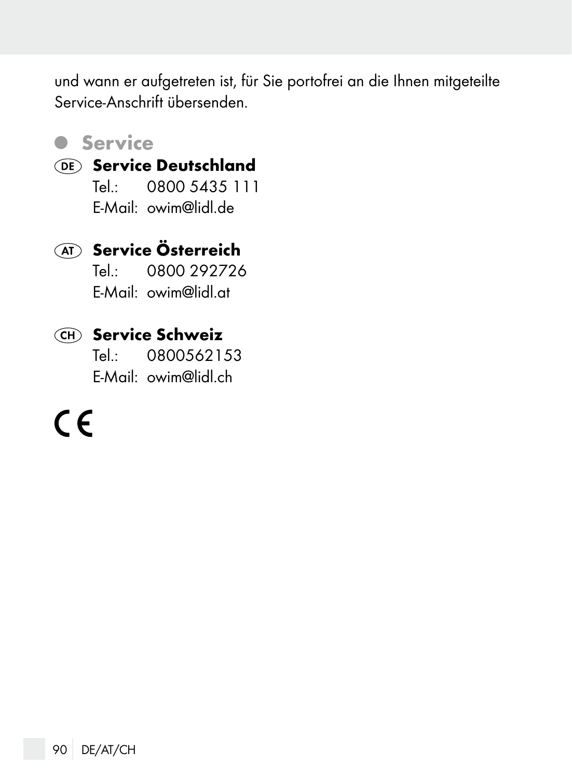und wann er aufgetreten ist, für Sie portofrei an die Ihnen mitgeteilte Service-Anschrift übersenden.

#### **Service**

#### Service Deutschland

Tel.: 0800 5435 111 E-Mail: owim@lidl.de

#### **AT** Service Österreich

Tel.: 0800 292726 E-Mail: owim@lidl.at

#### Service Schweiz

Tel.: 0800562153 E-Mail: owim@lidl.ch

 $\epsilon$